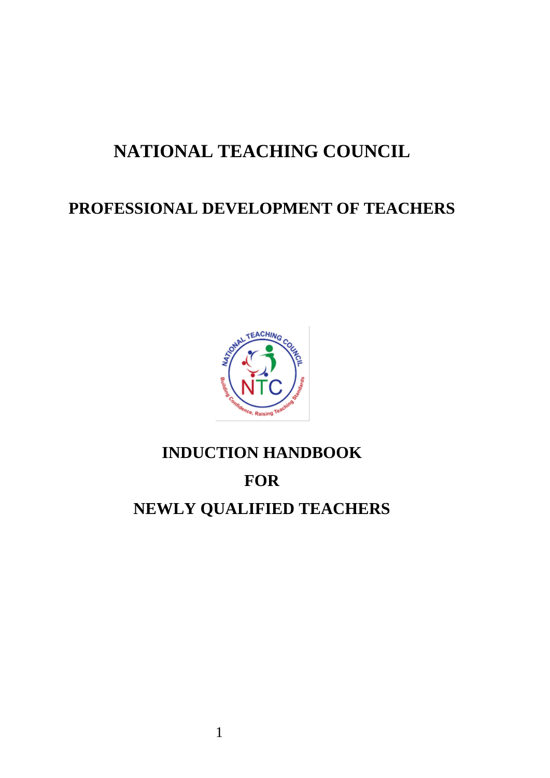# **NATIONAL TEACHING COUNCIL**

# **PROFESSIONAL DEVELOPMENT OF TEACHERS**



# **INDUCTION HANDBOOK FOR NEWLY QUALIFIED TEACHERS**

1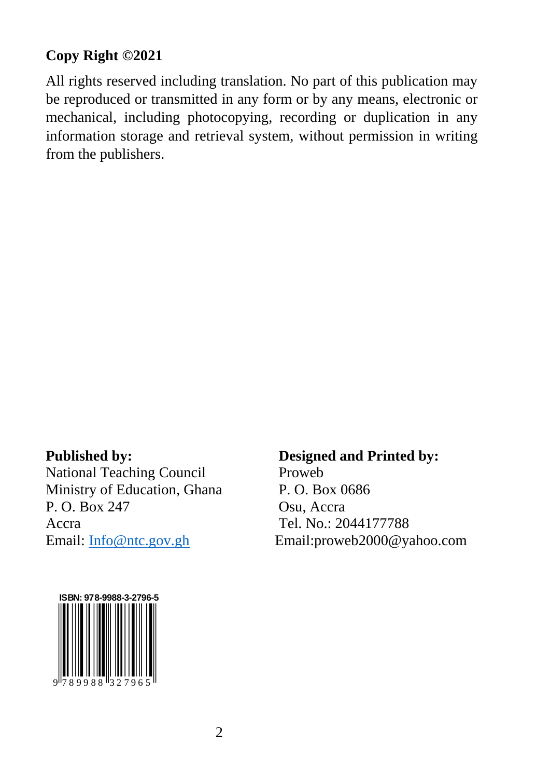#### **Copy Right ©2021**

All rights reserved including translation. No part of this publication may be reproduced or transmitted in any form or by any means, electronic or mechanical, including photocopying, recording or duplication in any information storage and retrieval system, without permission in writing from the publishers.

National Teaching Council Proweb Ministry of Education, Ghana P. O. Box 0686 P. O. Box 247 Osu, Accra Accra Tel. No.: 2044177788

#### **Published by: Designed and Printed by:**

Email: [Info@ntc.gov.gh](mailto:Info@ntc.gov.gh) Email:proweb2000@yahoo.com

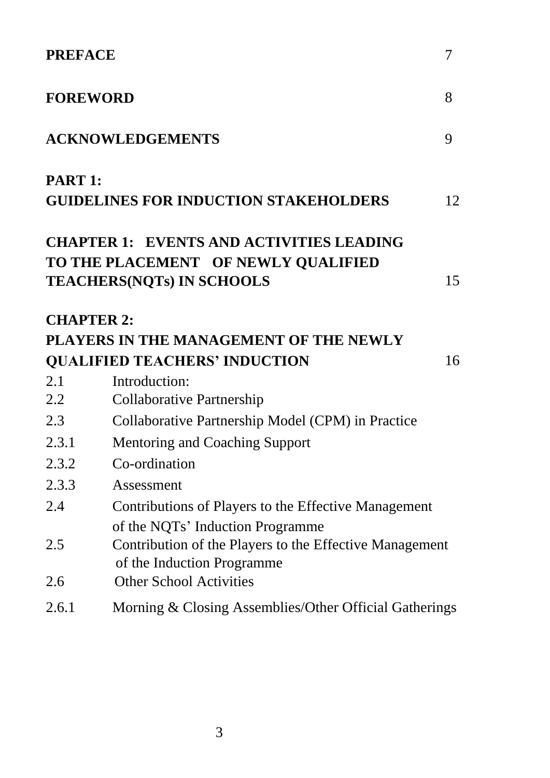| <b>FOREWORD</b><br>8<br><b>ACKNOWLEDGEMENTS</b><br>9                                                                                                                      |  |
|---------------------------------------------------------------------------------------------------------------------------------------------------------------------------|--|
|                                                                                                                                                                           |  |
|                                                                                                                                                                           |  |
| PART 1:<br><b>GUIDELINES FOR INDUCTION STAKEHOLDERS</b><br>12                                                                                                             |  |
| <b>CHAPTER 1: EVENTS AND ACTIVITIES LEADING</b><br>TO THE PLACEMENT OF NEWLY QUALIFIED<br>15<br><b>TEACHERS(NQTs) IN SCHOOLS</b>                                          |  |
| <b>CHAPTER 2:</b><br>PLAYERS IN THE MANAGEMENT OF THE NEWLY                                                                                                               |  |
| <b>QUALIFIED TEACHERS' INDUCTION</b><br>16                                                                                                                                |  |
| 2.1<br>Introduction:                                                                                                                                                      |  |
| 2.2<br><b>Collaborative Partnership</b>                                                                                                                                   |  |
| Collaborative Partnership Model (CPM) in Practice<br>2.3                                                                                                                  |  |
| 2.3.1<br><b>Mentoring and Coaching Support</b>                                                                                                                            |  |
| Co-ordination<br>2.3.2                                                                                                                                                    |  |
| 2.3.3<br>Assessment                                                                                                                                                       |  |
| 2.4<br>Contributions of Players to the Effective Management                                                                                                               |  |
| of the NQTs' Induction Programme<br>Contribution of the Players to the Effective Management<br>2.5<br>of the Induction Programme<br><b>Other School Activities</b><br>2.6 |  |
| Morning & Closing Assemblies/Other Official Gatherings<br>2.6.1                                                                                                           |  |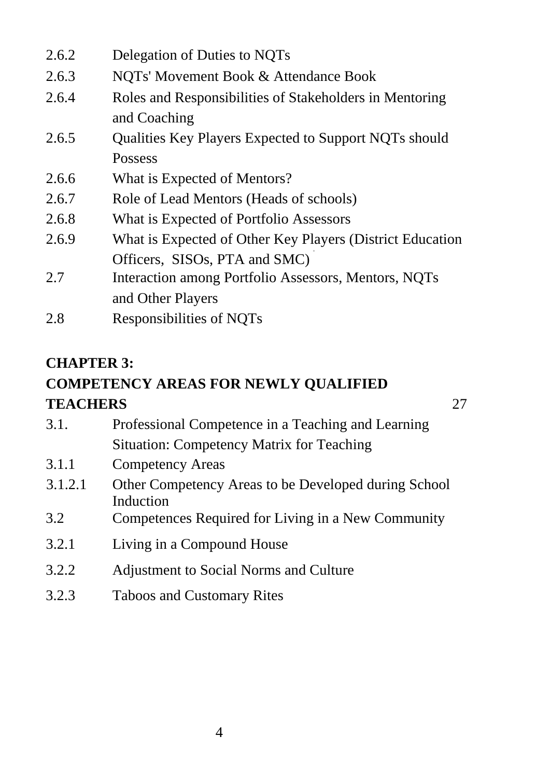| 2.6.2         | Delegation of Duties to NQTs                                            |
|---------------|-------------------------------------------------------------------------|
| 2.6.3         | NOTs' Movement Book & Attendance Book                                   |
| 2.6.4         | Roles and Responsibilities of Stakeholders in Mentoring<br>and Coaching |
| 2.6.5         | Qualities Key Players Expected to Support NQTs should                   |
|               | Possess                                                                 |
| 2.6.6         | What is Expected of Mentors?                                            |
| 2.6.7         | Role of Lead Mentors (Heads of schools)                                 |
| 2.6.8         | What is Expected of Portfolio Assessors                                 |
| 2.6.9         | What is Expected of Other Key Players (District Education               |
|               | Officers, SISOs, PTA and SMC)                                           |
| 2.7           | Interaction among Portfolio Assessors, Mentors, NQTs                    |
|               | and Other Players                                                       |
| $\sim$ $\sim$ |                                                                         |

2.8 Responsibilities of NQTs

#### **CHAPTER 3:**

# **COMPETENCY AREAS FOR NEWLY QUALIFIED TEACHERS** 27

3.1. Professional Competence in a Teaching and Learning Situation: Competency Matrix for Teaching

- 3.1.1 Competency Areas
- 3.1.2.1 Other Competency Areas to be Developed during School Induction
- 3.2 Competences Required for Living in a New Community
- 3.2.1 Living in a Compound House
- 3.2.2 Adjustment to Social Norms and Culture
- 3.2.3 Taboos and Customary Rites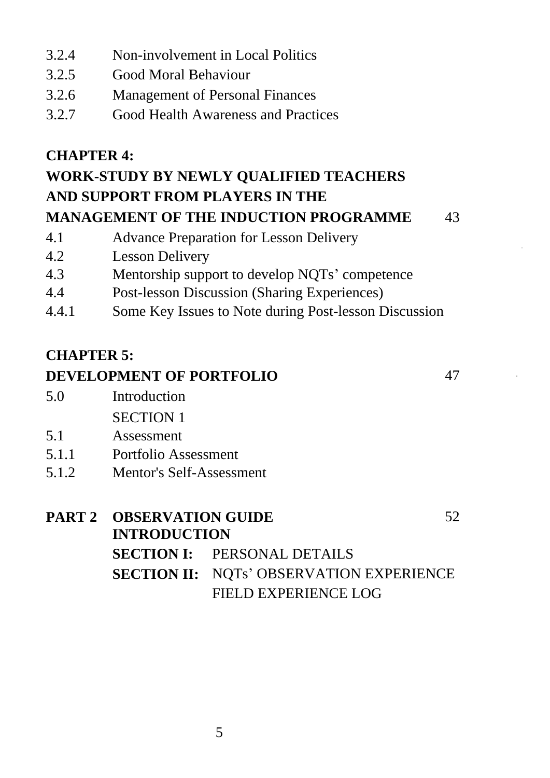- 3.2.4 Non-involvement in Local Politics
- 3.2.5 Good Moral Behaviour
- 3.2.6 Management of Personal Finances
- 3.2.7 Good Health Awareness and Practices

#### **CHAPTER 4:**

# **WORK-STUDY BY NEWLY QUALIFIED TEACHERS AND SUPPORT FROM PLAYERS IN THE**

- **MANAGEMENT OF THE INDUCTION PROGRAMME** 43
- 

- 4.1 Advance Preparation for Lesson Delivery
- 4.2 Lesson Delivery
- 4.3 Mentorship support to develop NQTs' competence
- 4.4 Post-lesson Discussion (Sharing Experiences)
- 4.4.1 Some Key Issues to Note during Post-lesson Discussion

# **CHAPTER 5:**

#### **DEVELOPMENT OF PORTFOLIO** 47

- 5.0 Introduction SECTION 1
- 5.1 Assessment
- 5.1.1 Portfolio Assessment
- 5.1.2 Mentor's Self-Assessment

# **PART 2 OBSERVATION GUIDE** 52 **INTRODUCTION SECTION I:** PERSONAL DETAILS **SECTION II:** NQTs' OBSERVATION EXPERIENCE FIELD EXPERIENCE LOG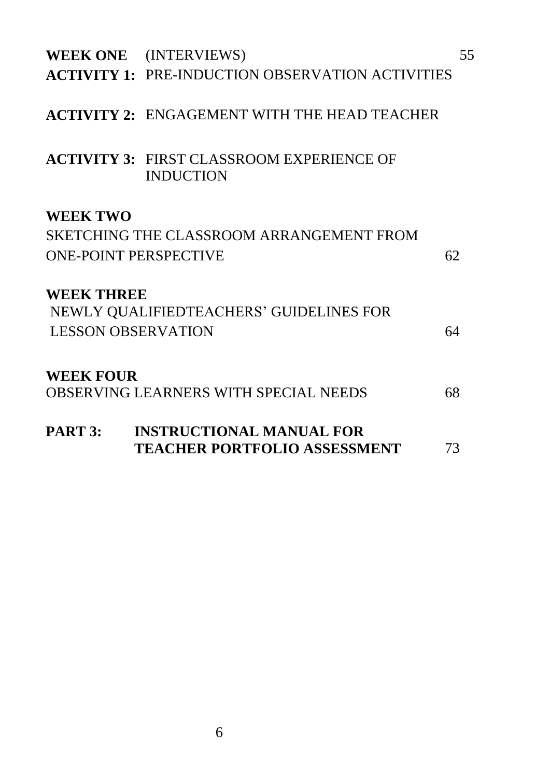| PART 3:                                         | <b>INSTRUCTIONAL MANUAL FOR</b><br><b>TEACHER PORTFOLIO ASSESSMENT</b>           | 73 |
|-------------------------------------------------|----------------------------------------------------------------------------------|----|
| <b>WEEK FOUR</b>                                | OBSERVING LEARNERS WITH SPECIAL NEEDS                                            | 68 |
| <b>WEEK THREE</b><br><b>LESSON OBSERVATION</b>  | NEWLY QUALIFIEDTEACHERS' GUIDELINES FOR                                          | 64 |
| <b>WEEK TWO</b><br><b>ONE-POINT PERSPECTIVE</b> | SKETCHING THE CLASSROOM ARRANGEMENT FROM                                         | 62 |
|                                                 | <b>ACTIVITY 3: FIRST CLASSROOM EXPERIENCE OF</b><br><b>INDUCTION</b>             |    |
|                                                 | <b>ACTIVITY 2: ENGAGEMENT WITH THE HEAD TEACHER</b>                              |    |
|                                                 | WEEK ONE (INTERVIEWS)<br><b>ACTIVITY 1: PRE-INDUCTION OBSERVATION ACTIVITIES</b> | 55 |
|                                                 |                                                                                  |    |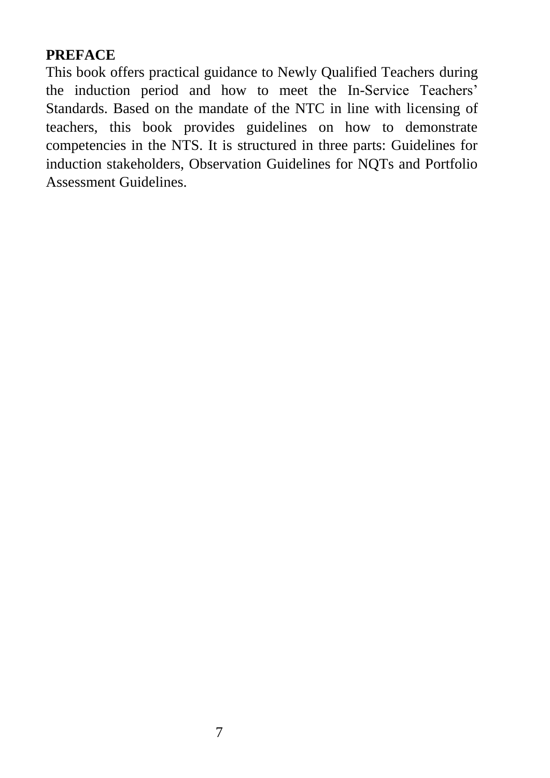#### **PREFACE**

This book offers practical guidance to Newly Qualified Teachers during the induction period and how to meet the In-Service Teachers' Standards. Based on the mandate of the NTC in line with licensing of teachers, this book provides guidelines on how to demonstrate competencies in the NTS. It is structured in three parts: Guidelines for induction stakeholders, Observation Guidelines for NQTs and Portfolio Assessment Guidelines.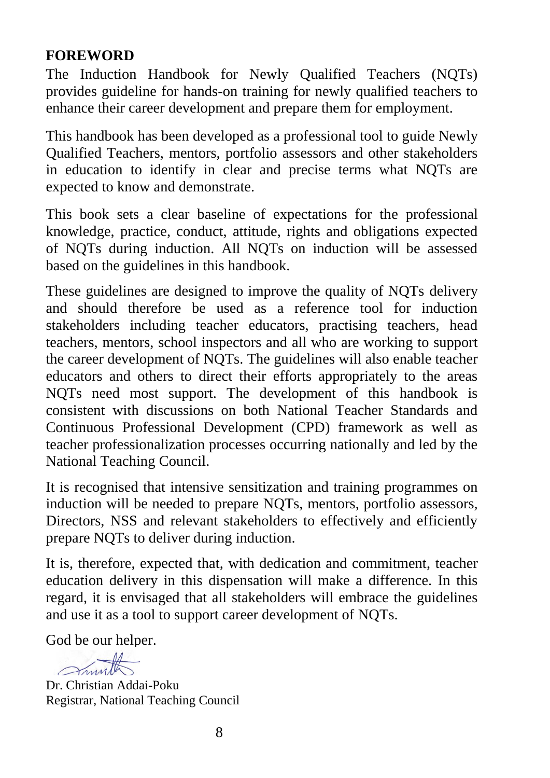#### **FOREWORD**

The Induction Handbook for Newly Qualified Teachers (NQTs) provides guideline for hands-on training for newly qualified teachers to enhance their career development and prepare them for employment.

This handbook has been developed as a professional tool to guide Newly Qualified Teachers, mentors, portfolio assessors and other stakeholders in education to identify in clear and precise terms what NQTs are expected to know and demonstrate.

This book sets a clear baseline of expectations for the professional knowledge, practice, conduct, attitude, rights and obligations expected of NQTs during induction. All NQTs on induction will be assessed based on the guidelines in this handbook.

These guidelines are designed to improve the quality of NQTs delivery and should therefore be used as a reference tool for induction stakeholders including teacher educators, practising teachers, head teachers, mentors, school inspectors and all who are working to support the career development of NQTs. The guidelines will also enable teacher educators and others to direct their efforts appropriately to the areas NQTs need most support. The development of this handbook is consistent with discussions on both National Teacher Standards and Continuous Professional Development (CPD) framework as well as teacher professionalization processes occurring nationally and led by the National Teaching Council.

It is recognised that intensive sensitization and training programmes on induction will be needed to prepare NQTs, mentors, portfolio assessors, Directors, NSS and relevant stakeholders to effectively and efficiently prepare NQTs to deliver during induction.

It is, therefore, expected that, with dedication and commitment, teacher education delivery in this dispensation will make a difference. In this regard, it is envisaged that all stakeholders will embrace the guidelines and use it as a tool to support career development of NQTs.

God be our helper.

Smith

Dr. Christian Addai-Poku Registrar, National Teaching Council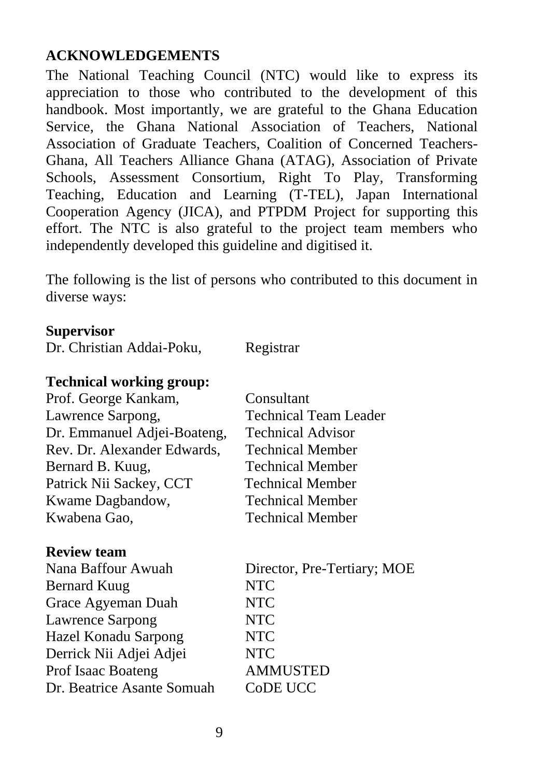#### **ACKNOWLEDGEMENTS**

The National Teaching Council (NTC) would like to express its appreciation to those who contributed to the development of this handbook. Most importantly, we are grateful to the Ghana Education Service, the Ghana National Association of Teachers, National Association of Graduate Teachers, Coalition of Concerned Teachers-Ghana, All Teachers Alliance Ghana (ATAG), Association of Private Schools, Assessment Consortium, Right To Play, Transforming Teaching, Education and Learning (T-TEL), Japan International Cooperation Agency (JICA), and PTPDM Project for supporting this effort. The NTC is also grateful to the project team members who independently developed this guideline and digitised it.

The following is the list of persons who contributed to this document in diverse ways:

#### **Supervisor**

|  | Dr. Christian Addai-Poku, | Registrar |
|--|---------------------------|-----------|
|  |                           |           |

#### **Technical working group:**

| Prof. George Kankam,        | Consultant                   |
|-----------------------------|------------------------------|
| Lawrence Sarpong,           | <b>Technical Team Leader</b> |
| Dr. Emmanuel Adjei-Boateng, | <b>Technical Advisor</b>     |
| Rev. Dr. Alexander Edwards, | <b>Technical Member</b>      |
| Bernard B. Kuug,            | <b>Technical Member</b>      |
| Patrick Nii Sackey, CCT     | <b>Technical Member</b>      |
| Kwame Dagbandow,            | <b>Technical Member</b>      |
| Kwabena Gao,                | <b>Technical Member</b>      |
|                             |                              |

#### **Review team**

| Nana Baffour Awuah          | Director, Pre-Tertiary; MOE |
|-----------------------------|-----------------------------|
| Bernard Kuug                | <b>NTC</b>                  |
| Grace Agyeman Duah          | <b>NTC</b>                  |
| <b>Lawrence Sarpong</b>     | <b>NTC</b>                  |
| <b>Hazel Konadu Sarpong</b> | <b>NTC</b>                  |
| Derrick Nii Adjei Adjei     | <b>NTC</b>                  |
| <b>Prof Isaac Boateng</b>   | <b>AMMUSTED</b>             |
| Dr. Beatrice Asante Somuah  | CoDE UCC                    |
|                             |                             |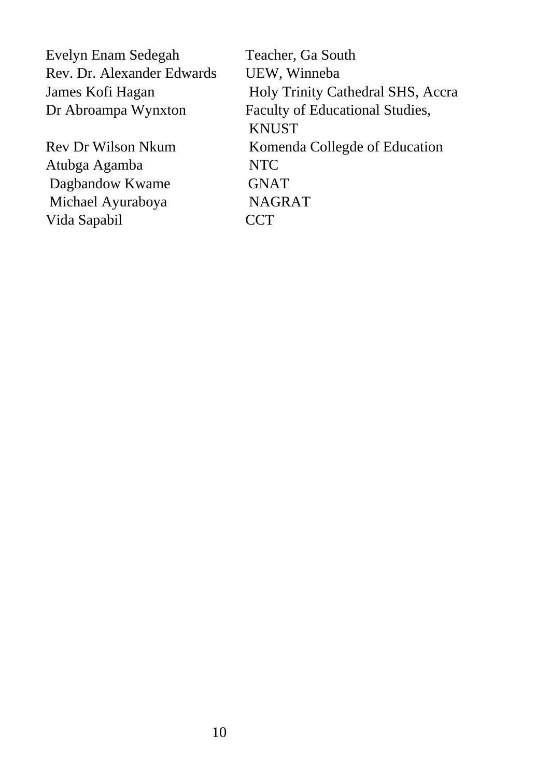Evelyn Enam Sedegah Teacher, Ga South Rev. Dr. Alexander Edwards UEW, Winneba

Atubga Agamba NTC Dagbandow Kwame GNAT Michael Ayuraboya NAGRAT Vida Sapabil CCT

James Kofi Hagan Holy Trinity Cathedral SHS, Accra Dr Abroampa Wynxton Faculty of Educational Studies, **KNUST** Rev Dr Wilson Nkum Komenda Collegde of Education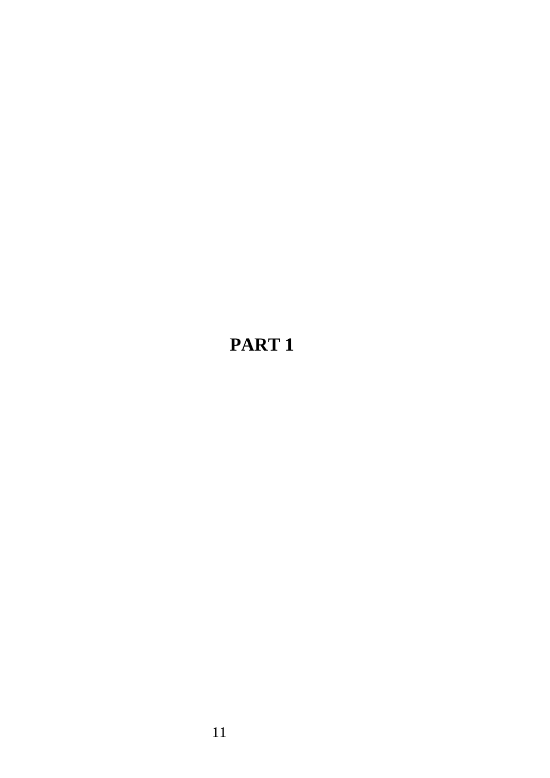# **PART 1**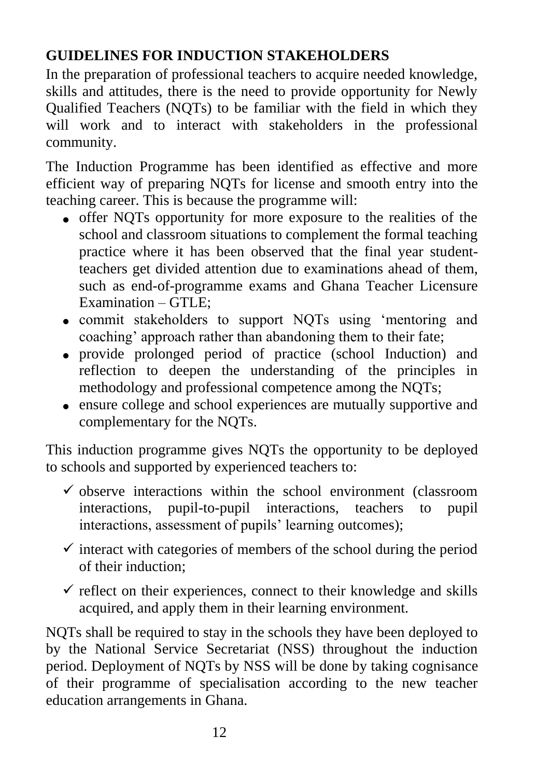# **GUIDELINES FOR INDUCTION STAKEHOLDERS**

In the preparation of professional teachers to acquire needed knowledge, skills and attitudes, there is the need to provide opportunity for Newly Qualified Teachers (NQTs) to be familiar with the field in which they will work and to interact with stakeholders in the professional community.

The Induction Programme has been identified as effective and more efficient way of preparing NQTs for license and smooth entry into the teaching career. This is because the programme will:

- offer NQTs opportunity for more exposure to the realities of the school and classroom situations to complement the formal teaching practice where it has been observed that the final year studentteachers get divided attention due to examinations ahead of them, such as end-of-programme exams and Ghana Teacher Licensure Examination – GTLE;
- commit stakeholders to support NQTs using 'mentoring and coaching' approach rather than abandoning them to their fate;
- provide prolonged period of practice (school Induction) and reflection to deepen the understanding of the principles in methodology and professional competence among the NQTs;
- ensure college and school experiences are mutually supportive and complementary for the NQTs.

This induction programme gives NQTs the opportunity to be deployed to schools and supported by experienced teachers to:

- $\checkmark$  observe interactions within the school environment (classroom interactions, pupil-to-pupil interactions, teachers to pupil interactions, assessment of pupils' learning outcomes);
- $\checkmark$  interact with categories of members of the school during the period of their induction;
- $\checkmark$  reflect on their experiences, connect to their knowledge and skills acquired, and apply them in their learning environment.

NQTs shall be required to stay in the schools they have been deployed to by the National Service Secretariat (NSS) throughout the induction period. Deployment of NQTs by NSS will be done by taking cognisance of their programme of specialisation according to the new teacher education arrangements in Ghana.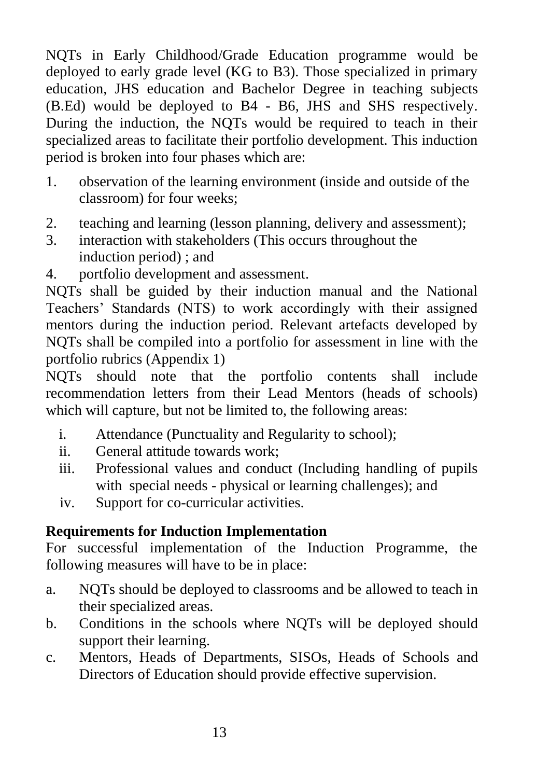NQTs in Early Childhood/Grade Education programme would be deployed to early grade level (KG to B3). Those specialized in primary education, JHS education and Bachelor Degree in teaching subjects (B.Ed) would be deployed to B4 - B6, JHS and SHS respectively. During the induction, the NQTs would be required to teach in their specialized areas to facilitate their portfolio development. This induction period is broken into four phases which are:

- 1. observation of the learning environment (inside and outside of the classroom) for four weeks;
- 2. teaching and learning (lesson planning, delivery and assessment);
- 3. interaction with stakeholders (This occurs throughout the induction period) ; and
- 4. portfolio development and assessment.

NQTs shall be guided by their induction manual and the National Teachers' Standards (NTS) to work accordingly with their assigned mentors during the induction period. Relevant artefacts developed by NQTs shall be compiled into a portfolio for assessment in line with the portfolio rubrics (Appendix 1)

NQTs should note that the portfolio contents shall include recommendation letters from their Lead Mentors (heads of schools) which will capture, but not be limited to, the following areas:

- i. Attendance (Punctuality and Regularity to school);
- ii. General attitude towards work;
- iii. Professional values and conduct (Including handling of pupils with special needs - physical or learning challenges); and
- iv. Support for co-curricular activities.

#### **Requirements for Induction Implementation**

For successful implementation of the Induction Programme, the following measures will have to be in place:

- a. NQTs should be deployed to classrooms and be allowed to teach in their specialized areas.
- b. Conditions in the schools where NQTs will be deployed should support their learning.
- c. Mentors, Heads of Departments, SISOs, Heads of Schools and Directors of Education should provide effective supervision.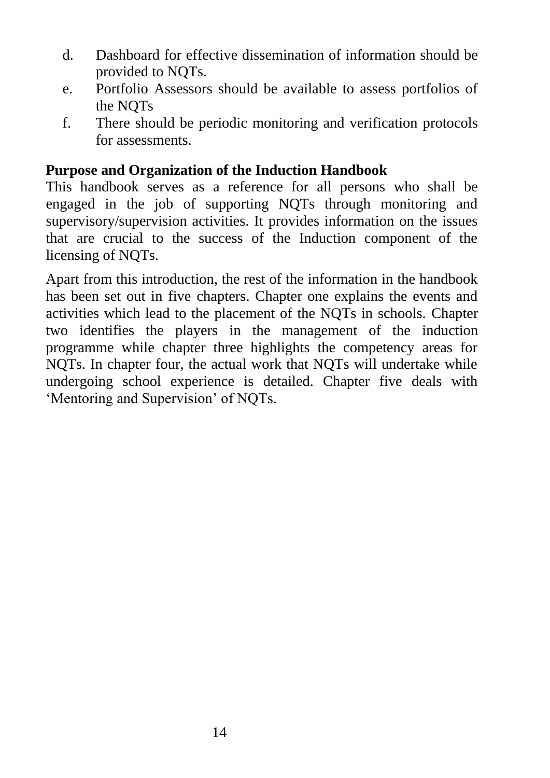- d. Dashboard for effective dissemination of information should be provided to NQTs.
- e. Portfolio Assessors should be available to assess portfolios of the NQTs
- f. There should be periodic monitoring and verification protocols for assessments.

#### **Purpose and Organization of the Induction Handbook**

This handbook serves as a reference for all persons who shall be engaged in the job of supporting NQTs through monitoring and supervisory/supervision activities. It provides information on the issues that are crucial to the success of the Induction component of the licensing of NQTs.

Apart from this introduction, the rest of the information in the handbook has been set out in five chapters. Chapter one explains the events and activities which lead to the placement of the NQTs in schools. Chapter two identifies the players in the management of the induction programme while chapter three highlights the competency areas for NQTs. In chapter four, the actual work that NQTs will undertake while undergoing school experience is detailed. Chapter five deals with 'Mentoring and Supervision' of NQTs.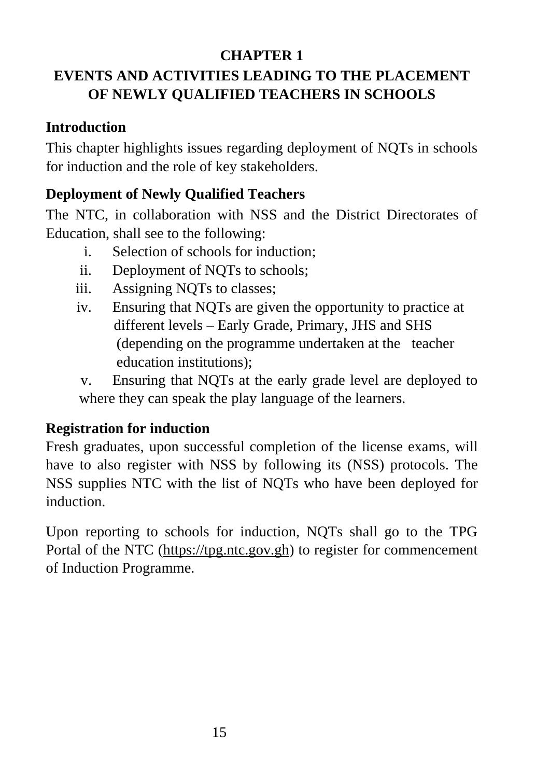## **CHAPTER 1**

# **EVENTS AND ACTIVITIES LEADING TO THE PLACEMENT OF NEWLY QUALIFIED TEACHERS IN SCHOOLS**

# **Introduction**

This chapter highlights issues regarding deployment of NQTs in schools for induction and the role of key stakeholders.

# **Deployment of Newly Qualified Teachers**

The NTC, in collaboration with NSS and the District Directorates of Education, shall see to the following:

- i. Selection of schools for induction;
- ii. Deployment of NQTs to schools;
- iii. Assigning NQTs to classes;
- iv. Ensuring that NQTs are given the opportunity to practice at different levels – Early Grade, Primary, JHS and SHS (depending on the programme undertaken at the teacher education institutions);

v. Ensuring that NQTs at the early grade level are deployed to where they can speak the play language of the learners.

# **Registration for induction**

Fresh graduates, upon successful completion of the license exams, will have to also register with NSS by following its (NSS) protocols. The NSS supplies NTC with the list of NQTs who have been deployed for induction.

Upon reporting to schools for induction, NQTs shall go to the TPG Portal of the NTC [\(https://tpg.ntc.gov.gh\)](https://tpg.ntc.gov.gh/) to register for commencement of Induction Programme.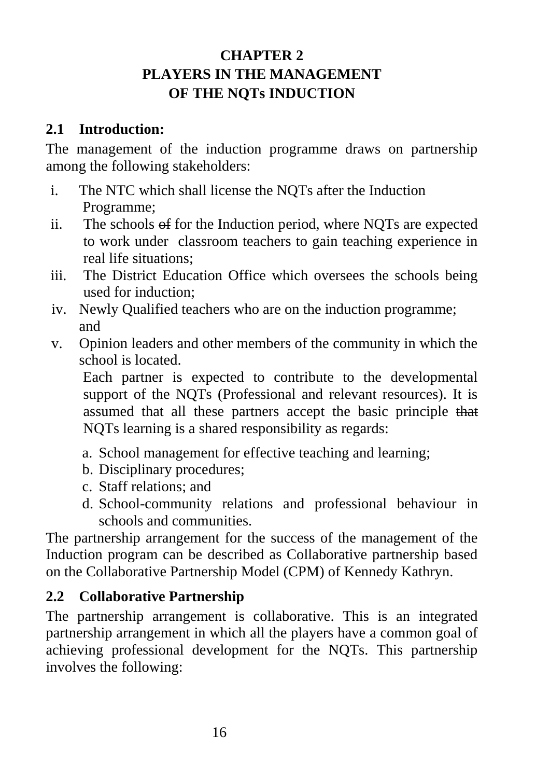# **CHAPTER 2 PLAYERS IN THE MANAGEMENT OF THE NQTs INDUCTION**

#### **2.1 Introduction:**

The management of the induction programme draws on partnership among the following stakeholders:

- i. The NTC which shall license the NQTs after the Induction Programme;
- ii. The schools of for the Induction period, where NQTs are expected to work under classroom teachers to gain teaching experience in real life situations;
- iii. The District Education Office which oversees the schools being used for induction;
- iv. Newly Qualified teachers who are on the induction programme; and
- v. Opinion leaders and other members of the community in which the school is located.

Each partner is expected to contribute to the developmental support of the NQTs (Professional and relevant resources). It is assumed that all these partners accept the basic principle that NQTs learning is a shared responsibility as regards:

- a. School management for effective teaching and learning;
- b. Disciplinary procedures;
- c. Staff relations; and
- d. School-community relations and professional behaviour in schools and communities.

The partnership arrangement for the success of the management of the Induction program can be described as Collaborative partnership based on the Collaborative Partnership Model (CPM) of Kennedy Kathryn.

# **2.2 Collaborative Partnership**

The partnership arrangement is collaborative. This is an integrated partnership arrangement in which all the players have a common goal of achieving professional development for the NQTs. This partnership involves the following: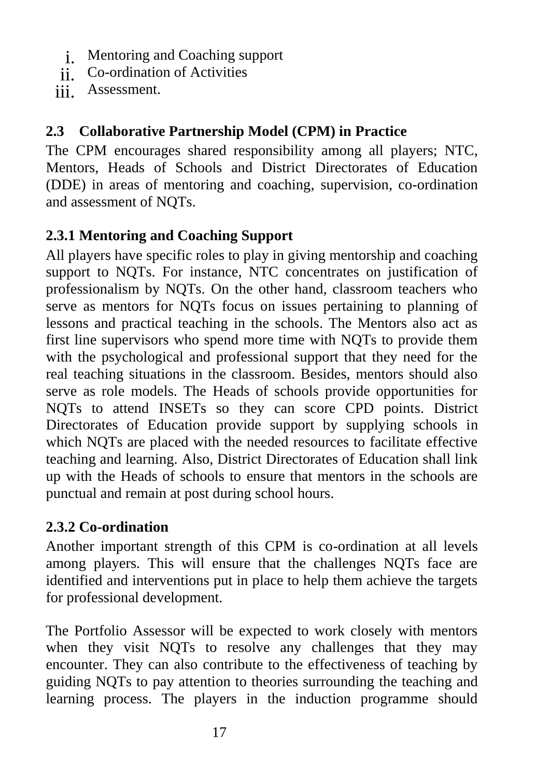- i. Mentoring and Coaching support
- ii. Co-ordination of Activities
- iii. Assessment.

#### **2.3 Collaborative Partnership Model (CPM) in Practice**

The CPM encourages shared responsibility among all players; NTC, Mentors, Heads of Schools and District Directorates of Education (DDE) in areas of mentoring and coaching, supervision, co-ordination and assessment of NQTs.

# **2.3.1 Mentoring and Coaching Support**

All players have specific roles to play in giving mentorship and coaching support to NQTs. For instance, NTC concentrates on justification of professionalism by NQTs. On the other hand, classroom teachers who serve as mentors for NQTs focus on issues pertaining to planning of lessons and practical teaching in the schools. The Mentors also act as first line supervisors who spend more time with NQTs to provide them with the psychological and professional support that they need for the real teaching situations in the classroom. Besides, mentors should also serve as role models. The Heads of schools provide opportunities for NQTs to attend INSETs so they can score CPD points. District Directorates of Education provide support by supplying schools in which NQTs are placed with the needed resources to facilitate effective teaching and learning. Also, District Directorates of Education shall link up with the Heads of schools to ensure that mentors in the schools are punctual and remain at post during school hours.

#### **2.3.2 Co-ordination**

Another important strength of this CPM is co-ordination at all levels among players. This will ensure that the challenges NQTs face are identified and interventions put in place to help them achieve the targets for professional development.

The Portfolio Assessor will be expected to work closely with mentors when they visit NQTs to resolve any challenges that they may encounter. They can also contribute to the effectiveness of teaching by guiding NQTs to pay attention to theories surrounding the teaching and learning process. The players in the induction programme should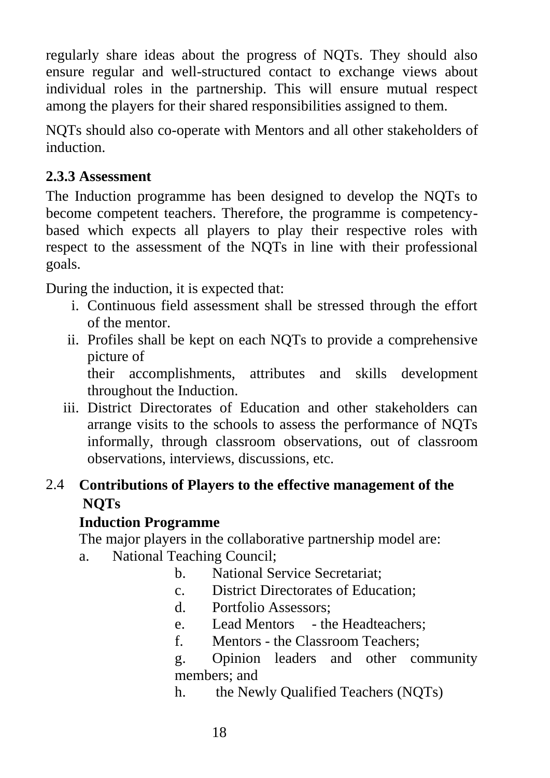regularly share ideas about the progress of NQTs. They should also ensure regular and well-structured contact to exchange views about individual roles in the partnership. This will ensure mutual respect among the players for their shared responsibilities assigned to them.

NQTs should also co-operate with Mentors and all other stakeholders of induction.

## **2.3.3 Assessment**

The Induction programme has been designed to develop the NQTs to become competent teachers. Therefore, the programme is competencybased which expects all players to play their respective roles with respect to the assessment of the NQTs in line with their professional goals.

During the induction, it is expected that:

- i. Continuous field assessment shall be stressed through the effort of the mentor.
- ii. Profiles shall be kept on each NQTs to provide a comprehensive picture of

their accomplishments, attributes and skills development throughout the Induction.

iii. District Directorates of Education and other stakeholders can arrange visits to the schools to assess the performance of NQTs informally, through classroom observations, out of classroom observations, interviews, discussions, etc.

# 2.4 **Contributions of Players to the effective management of the NQTs**

#### **Induction Programme**

The major players in the collaborative partnership model are:

- a. National Teaching Council;
	- b. National Service Secretariat;
	- c. District Directorates of Education;
	- d. Portfolio Assessors;
	- e. Lead Mentors the Headteachers;
	- f. Mentors the Classroom Teachers;

g. Opinion leaders and other community members; and

h. the Newly Qualified Teachers (NQTs)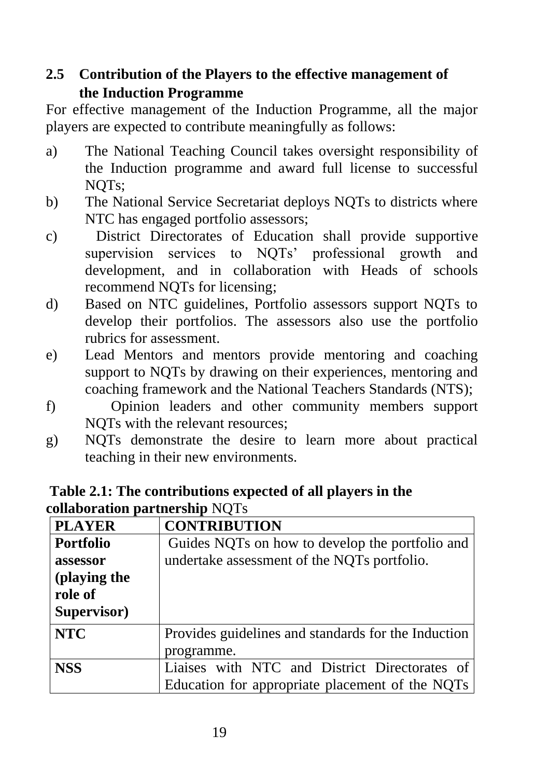# **2.5 Contribution of the Players to the effective management of the Induction Programme**

For effective management of the Induction Programme, all the major players are expected to contribute meaningfully as follows:

- a) The National Teaching Council takes oversight responsibility of the Induction programme and award full license to successful NQTs;
- b) The National Service Secretariat deploys NQTs to districts where NTC has engaged portfolio assessors;
- c) District Directorates of Education shall provide supportive supervision services to NQTs' professional growth and development, and in collaboration with Heads of schools recommend NQTs for licensing;
- d) Based on NTC guidelines, Portfolio assessors support NQTs to develop their portfolios. The assessors also use the portfolio rubrics for assessment.
- e) Lead Mentors and mentors provide mentoring and coaching support to NQTs by drawing on their experiences, mentoring and coaching framework and the National Teachers Standards (NTS);
- f) Opinion leaders and other community members support NQTs with the relevant resources;
- g) NQTs demonstrate the desire to learn more about practical teaching in their new environments.

| <b>PLAYER</b>    | <b>CONTRIBUTION</b>                                 |  |  |  |
|------------------|-----------------------------------------------------|--|--|--|
| <b>Portfolio</b> | Guides NQTs on how to develop the portfolio and     |  |  |  |
| assessor         | undertake assessment of the NQTs portfolio.         |  |  |  |
| (playing the     |                                                     |  |  |  |
| role of          |                                                     |  |  |  |
| Supervisor)      |                                                     |  |  |  |
| <b>NTC</b>       | Provides guidelines and standards for the Induction |  |  |  |
|                  | programme.                                          |  |  |  |
| <b>NSS</b>       | Liaises with NTC and District Directorates of       |  |  |  |
|                  | Education for appropriate placement of the NQTs     |  |  |  |

#### **Table 2.1: The contributions expected of all players in the collaboration partnership** NQTs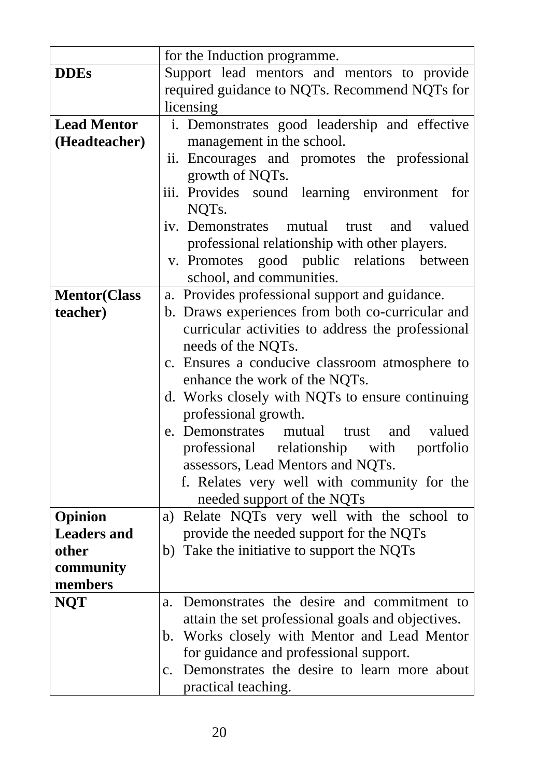|                      | for the Induction programme.                                               |  |  |  |
|----------------------|----------------------------------------------------------------------------|--|--|--|
| <b>DDEs</b>          | Support lead mentors and mentors to provide                                |  |  |  |
|                      | required guidance to NQTs. Recommend NQTs for                              |  |  |  |
|                      | licensing                                                                  |  |  |  |
| <b>Lead Mentor</b>   |                                                                            |  |  |  |
| (Headteacher)        | i. Demonstrates good leadership and effective<br>management in the school. |  |  |  |
|                      | Encourages and promotes the professional<br>ii.                            |  |  |  |
|                      | growth of NQTs.                                                            |  |  |  |
|                      | iii. Provides sound learning environment<br>for                            |  |  |  |
|                      | NQT <sub>s</sub> .                                                         |  |  |  |
|                      | iv. Demonstrates mutual trust and valued                                   |  |  |  |
|                      | professional relationship with other players.                              |  |  |  |
|                      | v. Promotes good public relations between                                  |  |  |  |
|                      | school, and communities.                                                   |  |  |  |
| <b>Mentor</b> (Class | a. Provides professional support and guidance.                             |  |  |  |
| teacher)             | b. Draws experiences from both co-curricular and                           |  |  |  |
|                      | curricular activities to address the professional                          |  |  |  |
|                      | needs of the NQTs.                                                         |  |  |  |
|                      | c. Ensures a conducive classroom atmosphere to                             |  |  |  |
|                      | enhance the work of the NQTs.                                              |  |  |  |
|                      | d. Works closely with NQTs to ensure continuing                            |  |  |  |
|                      | professional growth.                                                       |  |  |  |
|                      | e. Demonstrates mutual trust<br>and valued                                 |  |  |  |
|                      | professional relationship with portfolio                                   |  |  |  |
|                      | assessors, Lead Mentors and NQTs.                                          |  |  |  |
|                      | f. Relates very well with community for the                                |  |  |  |
|                      | needed support of the NQTs                                                 |  |  |  |
| Opinion              | a) Relate NQTs very well with the school to                                |  |  |  |
| <b>Leaders and</b>   | provide the needed support for the NQTs                                    |  |  |  |
| other                | b) Take the initiative to support the NQTs                                 |  |  |  |
| community            |                                                                            |  |  |  |
| members              |                                                                            |  |  |  |
| <b>NQT</b>           | Demonstrates the desire and commitment to<br>$\mathbf{a}$ .                |  |  |  |
|                      | attain the set professional goals and objectives.                          |  |  |  |
|                      | b. Works closely with Mentor and Lead Mentor                               |  |  |  |
|                      | for guidance and professional support.                                     |  |  |  |
|                      | c. Demonstrates the desire to learn more about                             |  |  |  |
|                      | practical teaching.                                                        |  |  |  |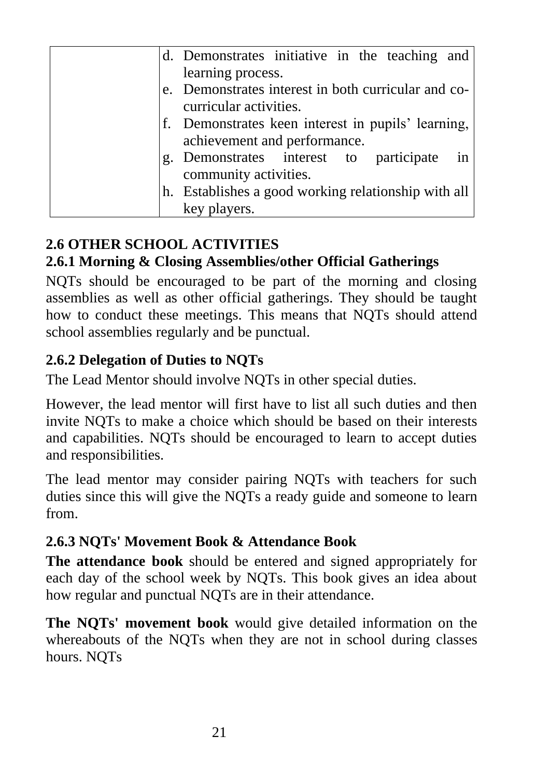|    | d. Demonstrates initiative in the teaching and      |
|----|-----------------------------------------------------|
|    | learning process.                                   |
|    | e. Demonstrates interest in both curricular and co- |
|    | curricular activities.                              |
|    | f. Demonstrates keen interest in pupils' learning,  |
|    | achievement and performance.                        |
| g. | Demonstrates interest to participate<br>in          |
|    | community activities.                               |
|    | h. Establishes a good working relationship with all |
|    | key players.                                        |

# **2.6 OTHER SCHOOL ACTIVITIES**

# **2.6.1 Morning & Closing Assemblies/other Official Gatherings**

NQTs should be encouraged to be part of the morning and closing assemblies as well as other official gatherings. They should be taught how to conduct these meetings. This means that NQTs should attend school assemblies regularly and be punctual.

# **2.6.2 Delegation of Duties to NQTs**

The Lead Mentor should involve NQTs in other special duties.

However, the lead mentor will first have to list all such duties and then invite NQTs to make a choice which should be based on their interests and capabilities. NQTs should be encouraged to learn to accept duties and responsibilities.

The lead mentor may consider pairing NQTs with teachers for such duties since this will give the NQTs a ready guide and someone to learn from.

# **2.6.3 NQTs' Movement Book & Attendance Book**

**The attendance book** should be entered and signed appropriately for each day of the school week by NQTs. This book gives an idea about how regular and punctual NQTs are in their attendance.

**The NQTs' movement book** would give detailed information on the whereabouts of the NQTs when they are not in school during classes hours. NQTs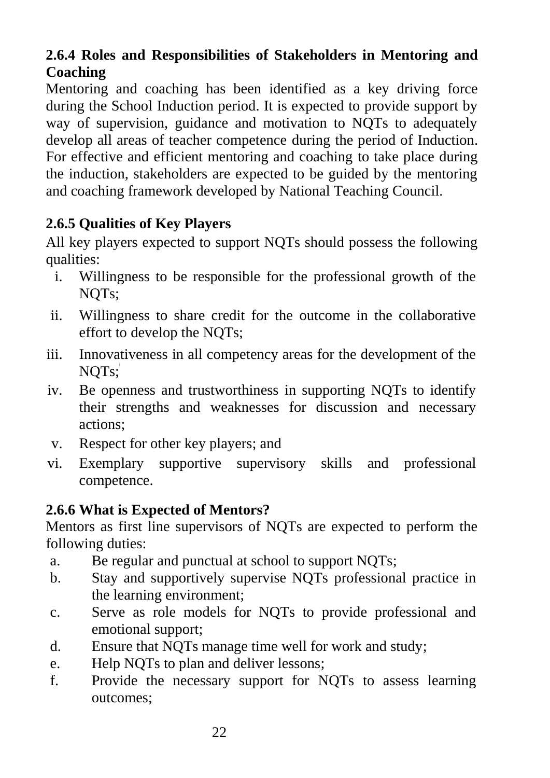# **2.6.4 Roles and Responsibilities of Stakeholders in Mentoring and Coaching**

Mentoring and coaching has been identified as a key driving force during the School Induction period. It is expected to provide support by way of supervision, guidance and motivation to NQTs to adequately develop all areas of teacher competence during the period of Induction. For effective and efficient mentoring and coaching to take place during the induction, stakeholders are expected to be guided by the mentoring and coaching framework developed by National Teaching Council.

# **2.6.5 Qualities of Key Players**

All key players expected to support NQTs should possess the following qualities:

- i. Willingness to be responsible for the professional growth of the NQTs;
- ii. Willingness to share credit for the outcome in the collaborative effort to develop the NQTs;
- iii. Innovativeness in all competency areas for the development of the NQTs;
- iv. Be openness and trustworthiness in supporting NQTs to identify their strengths and weaknesses for discussion and necessary actions;
- v. Respect for other key players; and
- vi. Exemplary supportive supervisory skills and professional competence.

# **2.6.6 What is Expected of Mentors?**

Mentors as first line supervisors of NQTs are expected to perform the following duties:

- a. Be regular and punctual at school to support NQTs;
- b. Stay and supportively supervise NQTs professional practice in the learning environment;
- c. Serve as role models for NQTs to provide professional and emotional support;
- d. Ensure that NQTs manage time well for work and study;
- e. Help NQTs to plan and deliver lessons;
- f. Provide the necessary support for NQTs to assess learning outcomes;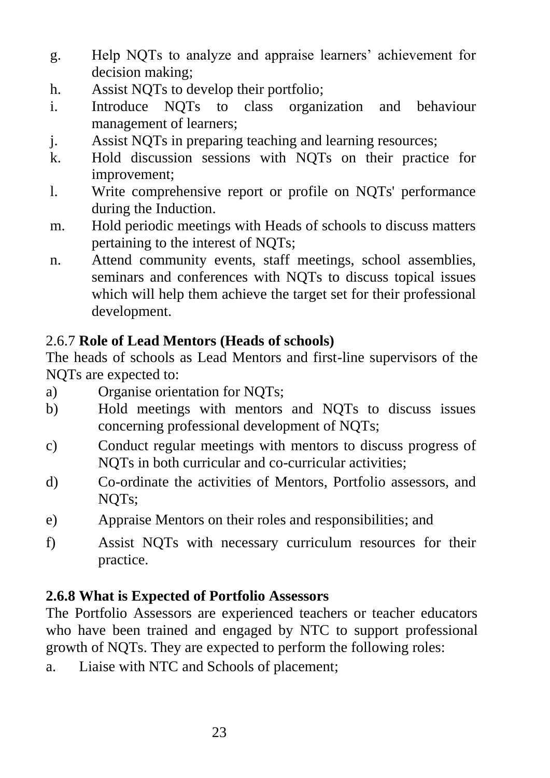- g. Help NQTs to analyze and appraise learners' achievement for decision making;
- h. Assist NQTs to develop their portfolio;
- i. Introduce NQTs to class organization and behaviour management of learners;
- j. Assist NQTs in preparing teaching and learning resources;
- k. Hold discussion sessions with NQTs on their practice for improvement;
- l. Write comprehensive report or profile on NQTs' performance during the Induction.
- m. Hold periodic meetings with Heads of schools to discuss matters pertaining to the interest of NQTs;
- n. Attend community events, staff meetings, school assemblies, seminars and conferences with NQTs to discuss topical issues which will help them achieve the target set for their professional development.

#### 2.6.7 **Role of Lead Mentors (Heads of schools)**

The heads of schools as Lead Mentors and first-line supervisors of the NQTs are expected to:

- a) Organise orientation for NQTs;
- b) Hold meetings with mentors and NQTs to discuss issues concerning professional development of NQTs;
- c) Conduct regular meetings with mentors to discuss progress of NQTs in both curricular and co-curricular activities;
- d) Co-ordinate the activities of Mentors, Portfolio assessors, and NQTs;
- e) Appraise Mentors on their roles and responsibilities; and
- f) Assist NQTs with necessary curriculum resources for their practice.

#### **2.6.8 What is Expected of Portfolio Assessors**

The Portfolio Assessors are experienced teachers or teacher educators who have been trained and engaged by NTC to support professional growth of NQTs. They are expected to perform the following roles:

a. Liaise with NTC and Schools of placement;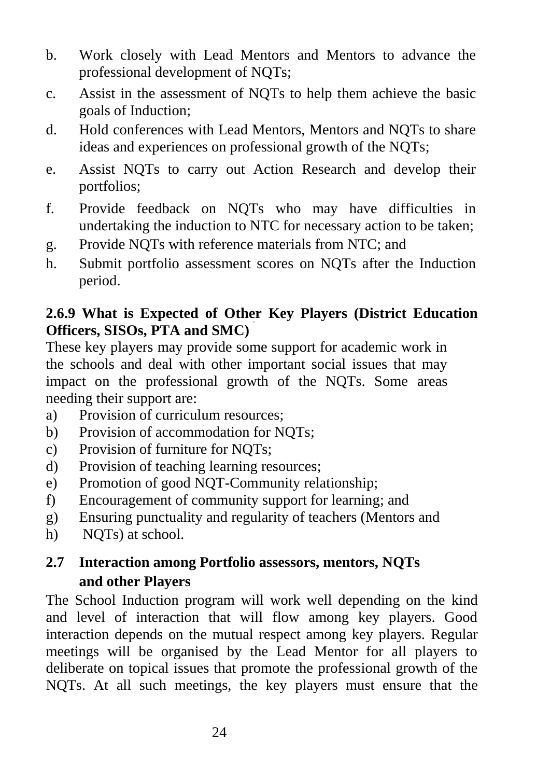- b. Work closely with Lead Mentors and Mentors to advance the professional development of NQTs;
- c. Assist in the assessment of NQTs to help them achieve the basic goals of Induction;
- d. Hold conferences with Lead Mentors, Mentors and NQTs to share ideas and experiences on professional growth of the NQTs;
- e. Assist NQTs to carry out Action Research and develop their portfolios;
- f. Provide feedback on NQTs who may have difficulties in undertaking the induction to NTC for necessary action to be taken;
- g. Provide NQTs with reference materials from NTC; and
- h. Submit portfolio assessment scores on NQTs after the Induction period.

#### **2.6.9 What is Expected of Other Key Players (District Education Officers, SISOs, PTA and SMC)**

These key players may provide some support for academic work in the schools and deal with other important social issues that may impact on the professional growth of the NQTs. Some areas needing their support are:

- a) Provision of curriculum resources;
- b) Provision of accommodation for NQTs;
- c) Provision of furniture for NQTs;
- d) Provision of teaching learning resources;
- e) Promotion of good NQT-Community relationship;
- f) Encouragement of community support for learning; and
- g) Ensuring punctuality and regularity of teachers (Mentors and
- h) NQTs) at school.

# **2.7 Interaction among Portfolio assessors, mentors, NQTs and other Players**

The School Induction program will work well depending on the kind and level of interaction that will flow among key players. Good interaction depends on the mutual respect among key players. Regular meetings will be organised by the Lead Mentor for all players to deliberate on topical issues that promote the professional growth of the NQTs. At all such meetings, the key players must ensure that the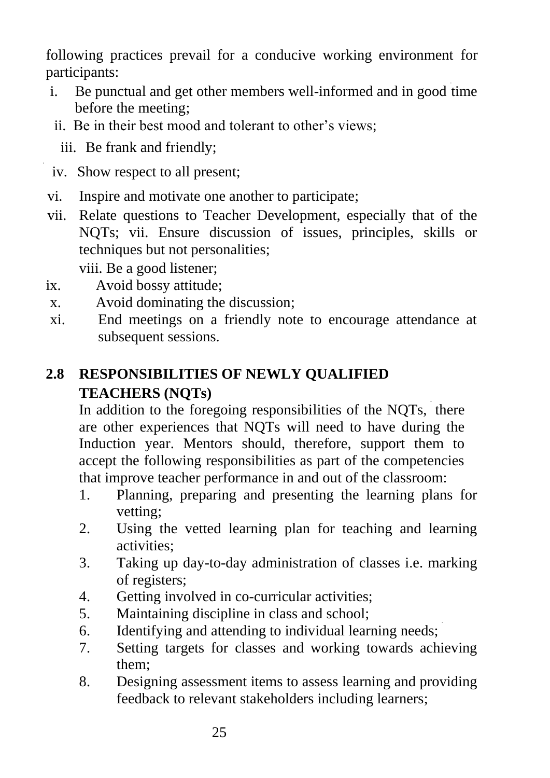following practices prevail for a conducive working environment for participants:

- i. Be punctual and get other members well-informed and in good time before the meeting;
- ii. Be in their best mood and tolerant to other's views;
	- iii. Be frank and friendly;
- iv. Show respect to all present;
- vi. Inspire and motivate one another to participate;
- vii. Relate questions to Teacher Development, especially that of the NQTs; vii. Ensure discussion of issues, principles, skills or techniques but not personalities;

viii. Be a good listener;

- ix. Avoid bossy attitude;
- x. Avoid dominating the discussion;
- xi. End meetings on a friendly note to encourage attendance at subsequent sessions.

# **2.8 RESPONSIBILITIES OF NEWLY QUALIFIED TEACHERS (NQTs)**

In addition to the foregoing responsibilities of the NQTs, there are other experiences that NQTs will need to have during the Induction year. Mentors should, therefore, support them to accept the following responsibilities as part of the competencies that improve teacher performance in and out of the classroom:

- 1. Planning, preparing and presenting the learning plans for vetting;
- 2. Using the vetted learning plan for teaching and learning activities;
- 3. Taking up day-to-day administration of classes i.e. marking of registers;
- 4. Getting involved in co-curricular activities;
- 5. Maintaining discipline in class and school;
- 6. Identifying and attending to individual learning needs;
- 7. Setting targets for classes and working towards achieving them;
- 8. Designing assessment items to assess learning and providing feedback to relevant stakeholders including learners;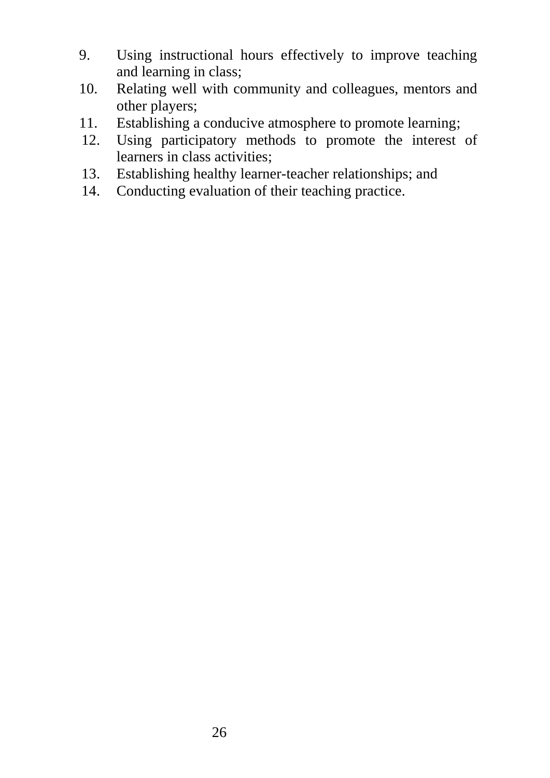- 9. Using instructional hours effectively to improve teaching and learning in class;
- 10. Relating well with community and colleagues, mentors and other players;
- 11. Establishing a conducive atmosphere to promote learning;
- 12. Using participatory methods to promote the interest of learners in class activities;
- 13. Establishing healthy learner-teacher relationships; and
- 14. Conducting evaluation of their teaching practice.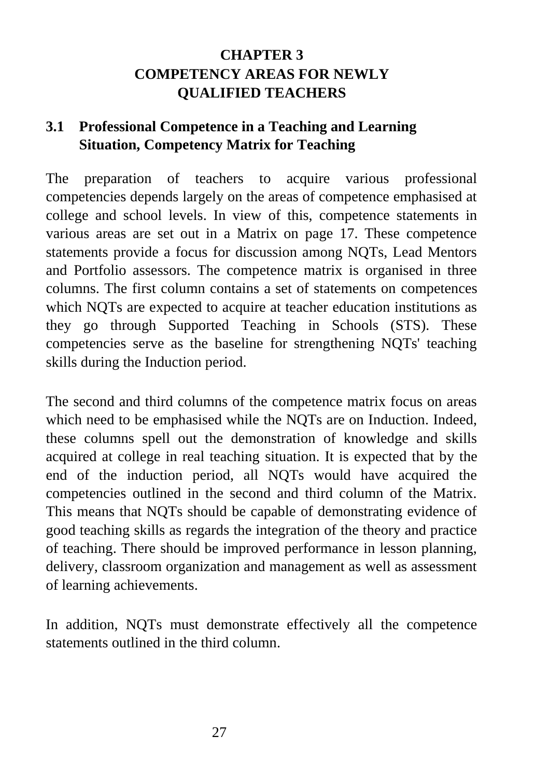# **CHAPTER 3 COMPETENCY AREAS FOR NEWLY QUALIFIED TEACHERS**

# **3.1 Professional Competence in a Teaching and Learning Situation, Competency Matrix for Teaching**

The preparation of teachers to acquire various professional competencies depends largely on the areas of competence emphasised at college and school levels. In view of this, competence statements in various areas are set out in a Matrix on page 17. These competence statements provide a focus for discussion among NQTs, Lead Mentors and Portfolio assessors. The competence matrix is organised in three columns. The first column contains a set of statements on competences which NQTs are expected to acquire at teacher education institutions as they go through Supported Teaching in Schools (STS). These competencies serve as the baseline for strengthening NQTs' teaching skills during the Induction period.

The second and third columns of the competence matrix focus on areas which need to be emphasised while the NQTs are on Induction. Indeed, these columns spell out the demonstration of knowledge and skills acquired at college in real teaching situation. It is expected that by the end of the induction period, all NQTs would have acquired the competencies outlined in the second and third column of the Matrix. This means that NQTs should be capable of demonstrating evidence of good teaching skills as regards the integration of the theory and practice of teaching. There should be improved performance in lesson planning, delivery, classroom organization and management as well as assessment of learning achievements.

In addition, NQTs must demonstrate effectively all the competence statements outlined in the third column.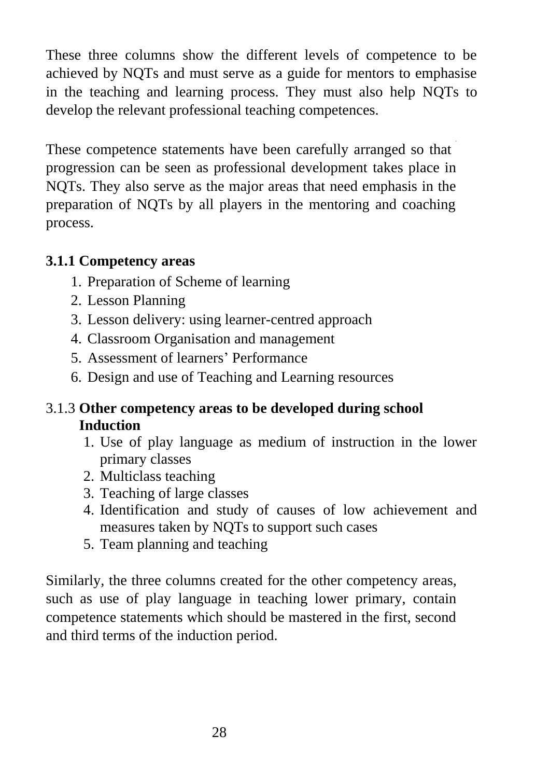These three columns show the different levels of competence to be achieved by NQTs and must serve as a guide for mentors to emphasise in the teaching and learning process. They must also help NQTs to develop the relevant professional teaching competences.

These competence statements have been carefully arranged so that progression can be seen as professional development takes place in NQTs. They also serve as the major areas that need emphasis in the preparation of NQTs by all players in the mentoring and coaching process.

#### **3.1.1 Competency areas**

- 1. Preparation of Scheme of learning
- 2. Lesson Planning
- 3. Lesson delivery: using learner-centred approach
- 4. Classroom Organisation and management
- 5. Assessment of learners' Performance
- 6. Design and use of Teaching and Learning resources

# 3.1.3 **Other competency areas to be developed during school Induction**

- 1. Use of play language as medium of instruction in the lower primary classes
- 2. Multiclass teaching
- 3. Teaching of large classes
- 4. Identification and study of causes of low achievement and measures taken by NQTs to support such cases
- 5. Team planning and teaching

Similarly, the three columns created for the other competency areas, such as use of play language in teaching lower primary, contain competence statements which should be mastered in the first, second and third terms of the induction period.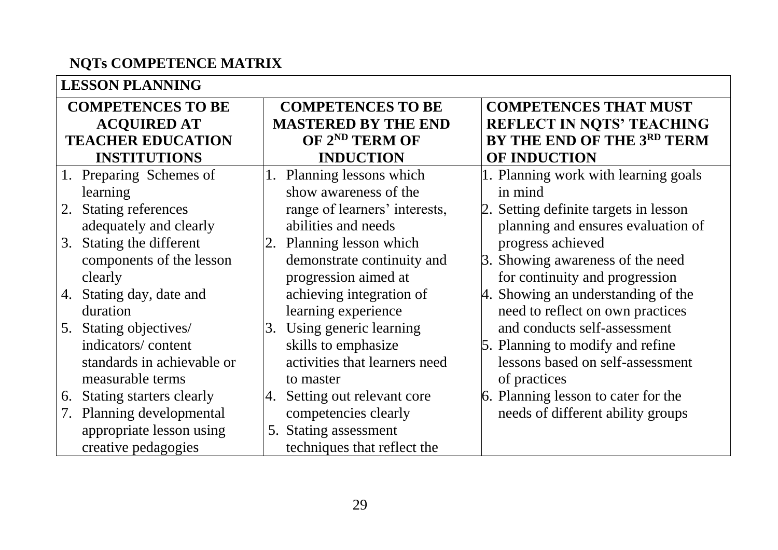# **NQTs COMPETENCE MATRIX**

| <b>LESSON PLANNING</b>          |                                 |                                       |  |  |
|---------------------------------|---------------------------------|---------------------------------------|--|--|
| <b>COMPETENCES TO BE</b>        | <b>COMPETENCES TO BE</b>        | <b>COMPETENCES THAT MUST</b>          |  |  |
| <b>ACQUIRED AT</b>              | <b>MASTERED BY THE END</b>      | <b>REFLECT IN NOTS' TEACHING</b>      |  |  |
| <b>TEACHER EDUCATION</b>        | OF 2 <sup>ND</sup> TERM OF      | BY THE END OF THE 3RD TERM            |  |  |
| <b>INSTITUTIONS</b>             | <b>INDUCTION</b>                | OF INDUCTION                          |  |  |
| Preparing Schemes of            | Planning lessons which<br>1.    | 1. Planning work with learning goals  |  |  |
| learning                        | show awareness of the           | in mind                               |  |  |
| <b>Stating references</b><br>2. | range of learners' interests,   | 2. Setting definite targets in lesson |  |  |
| adequately and clearly          | abilities and needs             | planning and ensures evaluation of    |  |  |
| Stating the different<br>3.     | 2. Planning lesson which        | progress achieved                     |  |  |
| components of the lesson        | demonstrate continuity and      | 3. Showing awareness of the need      |  |  |
| clearly                         | progression aimed at            | for continuity and progression        |  |  |
| Stating day, date and<br>4.     | achieving integration of        | 4. Showing an understanding of the    |  |  |
| duration                        | learning experience             | need to reflect on own practices      |  |  |
| Stating objectives/<br>5.       | Using generic learning<br>3.    | and conducts self-assessment          |  |  |
| indicators/content              | skills to emphasize             | 5. Planning to modify and refine      |  |  |
| standards in achievable or      | activities that learners need   | lessons based on self-assessment      |  |  |
| measurable terms                | to master                       | of practices                          |  |  |
| Stating starters clearly<br>6.  | Setting out relevant core<br>4. | 6. Planning lesson to cater for the   |  |  |
| Planning developmental<br>7.    | competencies clearly            | needs of different ability groups     |  |  |
| appropriate lesson using        | <b>Stating assessment</b><br>5. |                                       |  |  |
| creative pedagogies             | techniques that reflect the     |                                       |  |  |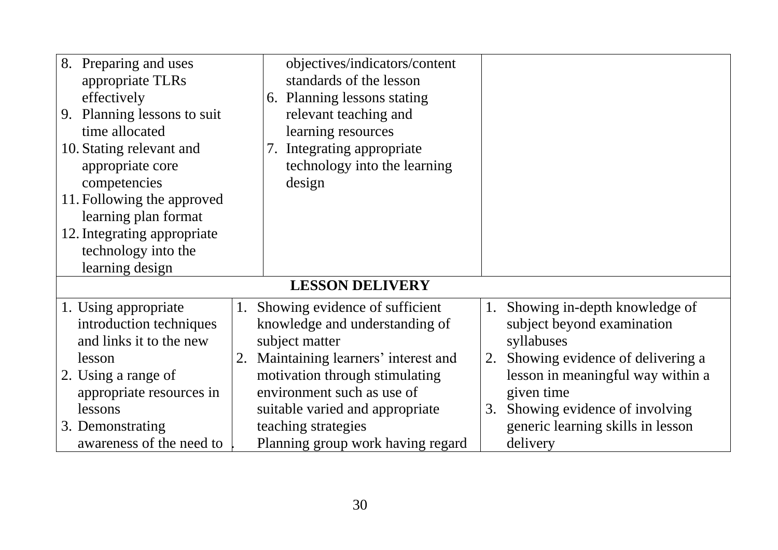| Preparing and uses<br>8.<br>appropriate TLRs<br>effectively<br>9. Planning lessons to suit<br>time allocated<br>10. Stating relevant and | objectives/indicators/content<br>standards of the lesson<br>6. Planning lessons stating<br>relevant teaching and<br>learning resources<br>Integrating appropriate<br>7. |                                                                             |
|------------------------------------------------------------------------------------------------------------------------------------------|-------------------------------------------------------------------------------------------------------------------------------------------------------------------------|-----------------------------------------------------------------------------|
| appropriate core<br>competencies                                                                                                         | technology into the learning<br>design                                                                                                                                  |                                                                             |
| 11. Following the approved<br>learning plan format                                                                                       |                                                                                                                                                                         |                                                                             |
| 12. Integrating appropriate                                                                                                              |                                                                                                                                                                         |                                                                             |
| technology into the<br>learning design                                                                                                   |                                                                                                                                                                         |                                                                             |
| <b>LESSON DELIVERY</b>                                                                                                                   |                                                                                                                                                                         |                                                                             |
| 1. Using appropriate                                                                                                                     | Showing evidence of sufficient<br>1.                                                                                                                                    | Showing in-depth knowledge of<br>1.                                         |
| introduction techniques                                                                                                                  | knowledge and understanding of                                                                                                                                          | subject beyond examination                                                  |
| and links it to the new                                                                                                                  | subject matter                                                                                                                                                          | syllabuses                                                                  |
| lesson<br>2. Using a range of                                                                                                            | Maintaining learners' interest and<br>motivation through stimulating                                                                                                    | Showing evidence of delivering a<br>2.<br>lesson in meaningful way within a |
| appropriate resources in                                                                                                                 | environment such as use of                                                                                                                                              | given time                                                                  |
| lessons                                                                                                                                  | suitable varied and appropriate                                                                                                                                         | Showing evidence of involving<br>3.                                         |
| 3. Demonstrating                                                                                                                         | teaching strategies                                                                                                                                                     | generic learning skills in lesson                                           |
| awareness of the need to                                                                                                                 | Planning group work having regard                                                                                                                                       | delivery                                                                    |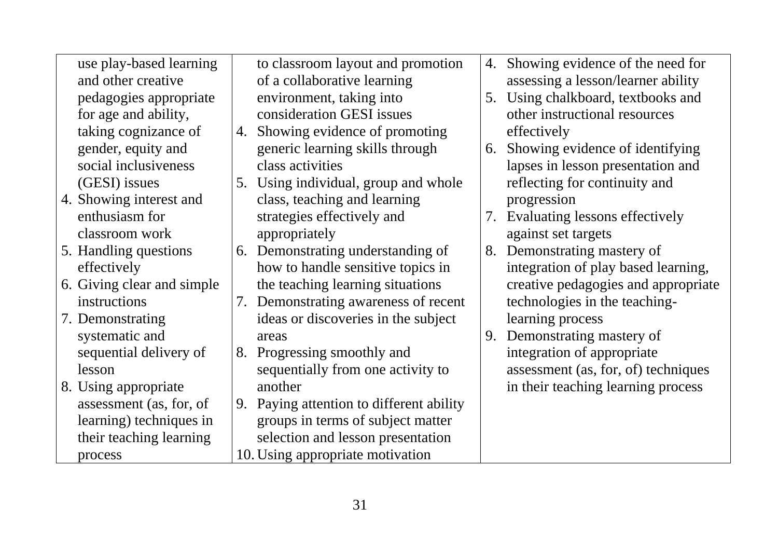| use play-based learning    |    | to classroom layout and promotion        | 4. | Showing evidence of the need for    |
|----------------------------|----|------------------------------------------|----|-------------------------------------|
| and other creative         |    | of a collaborative learning              |    | assessing a lesson/learner ability  |
| pedagogies appropriate     |    | environment, taking into                 | 5. | Using chalkboard, textbooks and     |
| for age and ability,       |    | consideration GESI issues                |    | other instructional resources       |
| taking cognizance of       | 4. | Showing evidence of promoting            |    | effectively                         |
| gender, equity and         |    | generic learning skills through          | 6. | Showing evidence of identifying     |
| social inclusiveness       |    | class activities                         |    | lapses in lesson presentation and   |
| (GESI) issues              |    | 5. Using individual, group and whole     |    | reflecting for continuity and       |
| 4. Showing interest and    |    | class, teaching and learning             |    | progression                         |
| enthusiasm for             |    | strategies effectively and               |    | 7. Evaluating lessons effectively   |
| classroom work             |    | appropriately                            |    | against set targets                 |
| 5. Handling questions      | 6. | Demonstrating understanding of           | 8. | Demonstrating mastery of            |
| effectively                |    | how to handle sensitive topics in        |    | integration of play based learning, |
| 6. Giving clear and simple |    | the teaching learning situations         |    | creative pedagogies and appropriate |
| instructions               |    | 7. Demonstrating awareness of recent     |    | technologies in the teaching-       |
| 7. Demonstrating           |    | ideas or discoveries in the subject      |    | learning process                    |
| systematic and             |    | areas                                    |    | 9. Demonstrating mastery of         |
| sequential delivery of     | 8. | Progressing smoothly and                 |    | integration of appropriate          |
| lesson                     |    | sequentially from one activity to        |    | assessment (as, for, of) techniques |
| 8. Using appropriate       |    | another                                  |    | in their teaching learning process  |
| assessment (as, for, of    |    | 9. Paying attention to different ability |    |                                     |
| learning) techniques in    |    | groups in terms of subject matter        |    |                                     |
| their teaching learning    |    | selection and lesson presentation        |    |                                     |
| process                    |    | 10. Using appropriate motivation         |    |                                     |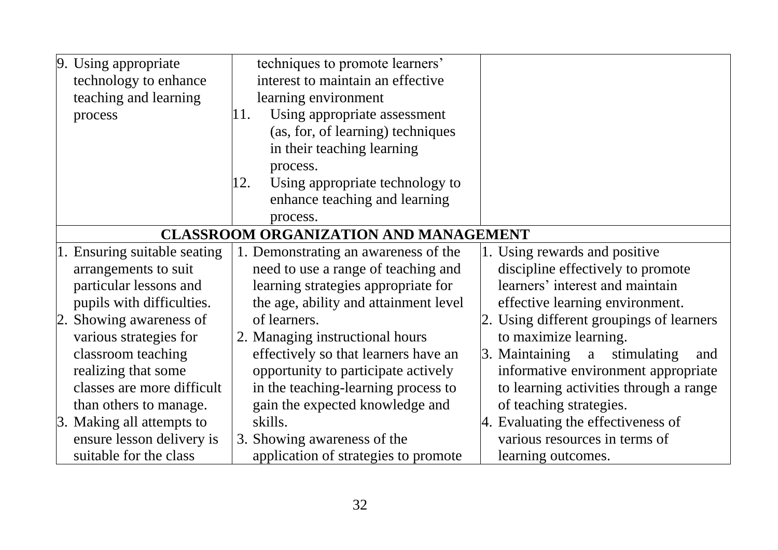| 9. Using appropriate                         | techniques to promote learners'        |                                                  |  |
|----------------------------------------------|----------------------------------------|--------------------------------------------------|--|
| technology to enhance                        | interest to maintain an effective      |                                                  |  |
| teaching and learning                        | learning environment                   |                                                  |  |
| process                                      | Using appropriate assessment<br>11.    |                                                  |  |
|                                              | (as, for, of learning) techniques      |                                                  |  |
|                                              | in their teaching learning             |                                                  |  |
|                                              | process.                               |                                                  |  |
|                                              | Using appropriate technology to<br>12. |                                                  |  |
|                                              | enhance teaching and learning          |                                                  |  |
|                                              | process.                               |                                                  |  |
| <b>CLASSROOM ORGANIZATION AND MANAGEMENT</b> |                                        |                                                  |  |
| 1. Ensuring suitable seating                 | 1. Demonstrating an awareness of the   | 1. Using rewards and positive                    |  |
| arrangements to suit                         | need to use a range of teaching and    | discipline effectively to promote                |  |
| particular lessons and                       | learning strategies appropriate for    | learners' interest and maintain                  |  |
| pupils with difficulties.                    | the age, ability and attainment level  | effective learning environment.                  |  |
| 2. Showing awareness of                      | of learners.                           | 2. Using different groupings of learners         |  |
| various strategies for                       | 2. Managing instructional hours        | to maximize learning.                            |  |
| classroom teaching                           | effectively so that learners have an   | $\beta$ . Maintaining<br>stimulating<br>a<br>and |  |
| realizing that some                          | opportunity to participate actively    | informative environment appropriate              |  |
| classes are more difficult                   | in the teaching-learning process to    | to learning activities through a range           |  |
| than others to manage.                       | gain the expected knowledge and        | of teaching strategies.                          |  |
| 3. Making all attempts to                    | skills.                                | 4. Evaluating the effectiveness of               |  |
| ensure lesson delivery is                    | 3. Showing awareness of the            | various resources in terms of                    |  |
| suitable for the class                       | application of strategies to promote   | learning outcomes.                               |  |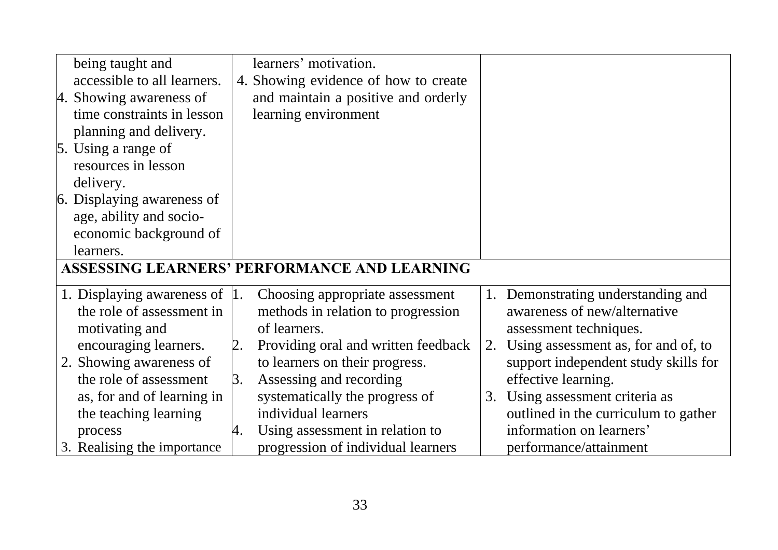| being taught and                                    | learners' motivation.                     |                                           |  |
|-----------------------------------------------------|-------------------------------------------|-------------------------------------------|--|
| accessible to all learners.                         | 4. Showing evidence of how to create      |                                           |  |
| 4. Showing awareness of                             | and maintain a positive and orderly       |                                           |  |
| time constraints in lesson                          | learning environment                      |                                           |  |
| planning and delivery.                              |                                           |                                           |  |
| $\vert$ 5. Using a range of                         |                                           |                                           |  |
| resources in lesson                                 |                                           |                                           |  |
| delivery.                                           |                                           |                                           |  |
| 6. Displaying awareness of                          |                                           |                                           |  |
| age, ability and socio-                             |                                           |                                           |  |
| economic background of                              |                                           |                                           |  |
| learners.                                           |                                           |                                           |  |
| <b>ASSESSING LEARNERS' PERFORMANCE AND LEARNING</b> |                                           |                                           |  |
| 1. Displaying awareness of 1.                       | Choosing appropriate assessment           | Demonstrating understanding and<br>1.     |  |
| the role of assessment in                           | methods in relation to progression        | awareness of new/alternative              |  |
| motivating and                                      | of learners.                              | assessment techniques.                    |  |
| encouraging learners.                               | Providing oral and written feedback<br>2. | Using assessment as, for and of, to<br>2. |  |
| 2. Showing awareness of                             | to learners on their progress.            | support independent study skills for      |  |
| the role of assessment                              | Assessing and recording<br>3.             | effective learning.                       |  |
| as, for and of learning in                          | systematically the progress of            | Using assessment criteria as<br>3.        |  |
| the teaching learning                               | individual learners                       | outlined in the curriculum to gather      |  |
| process                                             | Using assessment in relation to<br>4.     | information on learners'                  |  |
| 3. Realising the importance                         | progression of individual learners        | performance/attainment                    |  |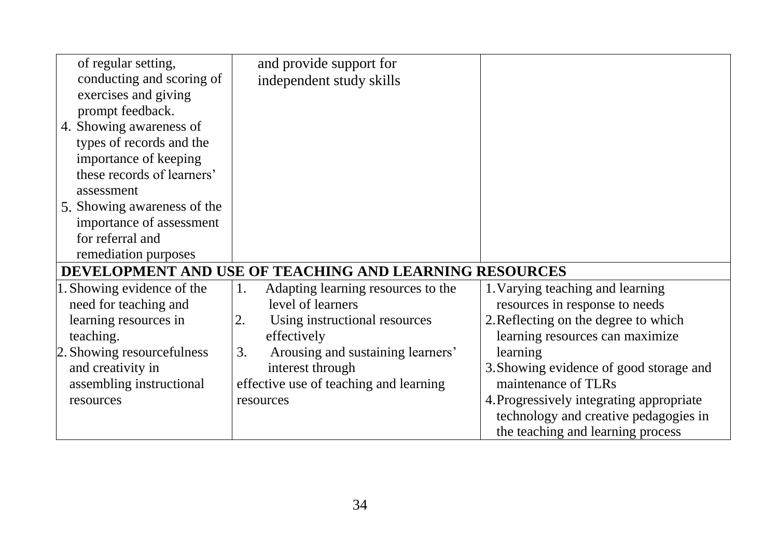| of regular setting,                                    | and provide support for                  |                                          |
|--------------------------------------------------------|------------------------------------------|------------------------------------------|
| conducting and scoring of                              | independent study skills                 |                                          |
| exercises and giving                                   |                                          |                                          |
| prompt feedback.                                       |                                          |                                          |
| 4. Showing awareness of                                |                                          |                                          |
| types of records and the                               |                                          |                                          |
| importance of keeping                                  |                                          |                                          |
| these records of learners'                             |                                          |                                          |
| assessment                                             |                                          |                                          |
| 5. Showing awareness of the                            |                                          |                                          |
| importance of assessment                               |                                          |                                          |
| for referral and                                       |                                          |                                          |
| remediation purposes                                   |                                          |                                          |
| DEVELOPMENT AND USE OF TEACHING AND LEARNING RESOURCES |                                          |                                          |
| 1. Showing evidence of the                             | Adapting learning resources to the<br>1. | 1. Varying teaching and learning         |
| need for teaching and                                  | level of learners                        | resources in response to needs           |
| learning resources in                                  | Using instructional resources<br>2.      | 2. Reflecting on the degree to which     |
| teaching.                                              | effectively                              | learning resources can maximize          |
| 2. Showing resourcefulness                             | Arousing and sustaining learners'<br>3.  | learning                                 |
| and creativity in                                      | interest through                         | 3. Showing evidence of good storage and  |
| assembling instructional                               | effective use of teaching and learning   | maintenance of TLRs                      |
| resources                                              | resources                                | 4. Progressively integrating appropriate |
|                                                        |                                          | technology and creative pedagogies in    |
|                                                        |                                          | the teaching and learning process        |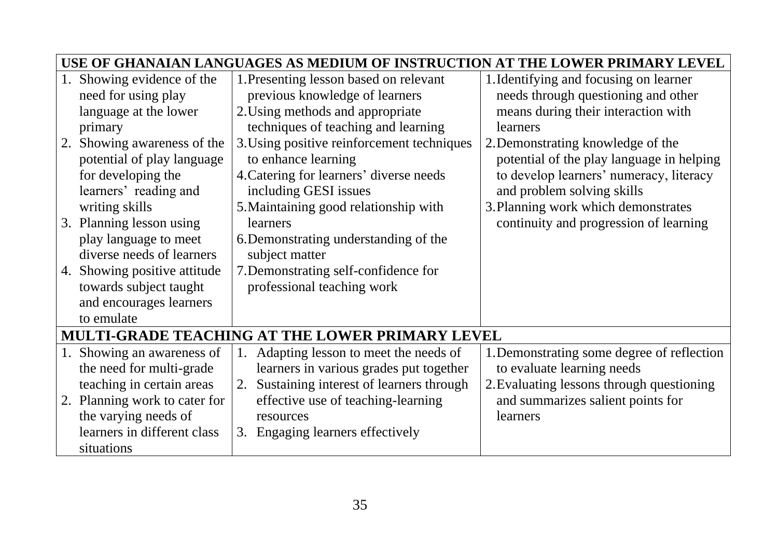|                                                 | USE OF GHANAIAN LANGUAGES AS MEDIUM OF INSTRUCTION<br>THE LOWER PRIMARY LEVEL |                                               |                                            |  |
|-------------------------------------------------|-------------------------------------------------------------------------------|-----------------------------------------------|--------------------------------------------|--|
| 1.                                              | Showing evidence of the                                                       | 1. Presenting lesson based on relevant        | 1. Identifying and focusing on learner     |  |
|                                                 | need for using play                                                           | previous knowledge of learners                | needs through questioning and other        |  |
|                                                 | language at the lower                                                         | 2. Using methods and appropriate              | means during their interaction with        |  |
|                                                 | primary                                                                       | techniques of teaching and learning           | learners                                   |  |
| 2.                                              | Showing awareness of the                                                      | 3. Using positive reinforcement techniques    | 2. Demonstrating knowledge of the          |  |
|                                                 | potential of play language                                                    | to enhance learning                           | potential of the play language in helping  |  |
|                                                 | for developing the                                                            | 4. Catering for learners' diverse needs       | to develop learners' numeracy, literacy    |  |
|                                                 | learners' reading and                                                         | including GESI issues                         | and problem solving skills                 |  |
|                                                 | writing skills                                                                | 5. Maintaining good relationship with         | 3. Planning work which demonstrates        |  |
|                                                 | 3. Planning lesson using                                                      | learners                                      | continuity and progression of learning     |  |
|                                                 | play language to meet                                                         | 6. Demonstrating understanding of the         |                                            |  |
|                                                 | diverse needs of learners                                                     | subject matter                                |                                            |  |
|                                                 | 4. Showing positive attitude                                                  | 7. Demonstrating self-confidence for          |                                            |  |
|                                                 | towards subject taught                                                        | professional teaching work                    |                                            |  |
|                                                 | and encourages learners                                                       |                                               |                                            |  |
|                                                 | to emulate                                                                    |                                               |                                            |  |
| MULTI-GRADE TEACHING AT THE LOWER PRIMARY LEVEL |                                                                               |                                               |                                            |  |
|                                                 | 1. Showing an awareness of                                                    | Adapting lesson to meet the needs of<br>1.    | 1. Demonstrating some degree of reflection |  |
|                                                 | the need for multi-grade                                                      | learners in various grades put together       | to evaluate learning needs                 |  |
|                                                 | teaching in certain areas                                                     | Sustaining interest of learners through<br>2. | 2. Evaluating lessons through questioning  |  |
|                                                 | 2. Planning work to cater for                                                 | effective use of teaching-learning            | and summarizes salient points for          |  |
|                                                 | the varying needs of                                                          | resources                                     | learners                                   |  |
|                                                 | learners in different class                                                   | 3. Engaging learners effectively              |                                            |  |
|                                                 | situations                                                                    |                                               |                                            |  |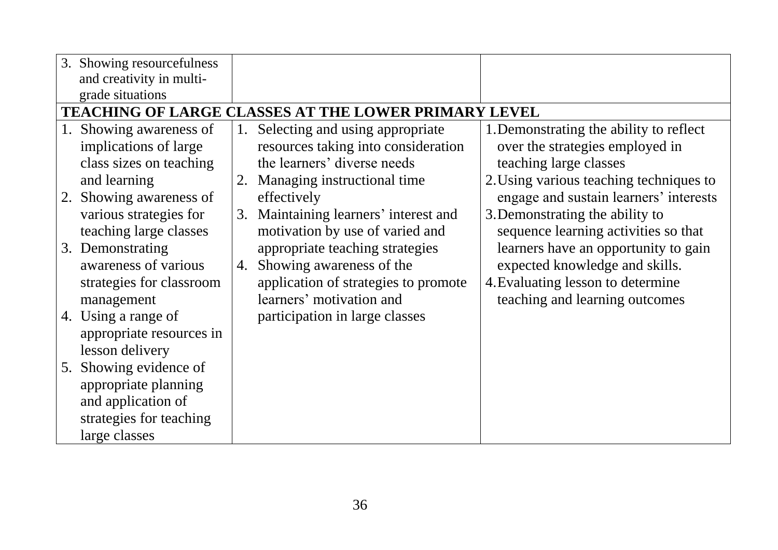| 3. Showing resourcefulness                                  |                                       |                                         |  |  |
|-------------------------------------------------------------|---------------------------------------|-----------------------------------------|--|--|
| and creativity in multi-                                    |                                       |                                         |  |  |
| grade situations                                            |                                       |                                         |  |  |
| <b>TEACHING OF LARGE CLASSES AT THE LOWER PRIMARY LEVEL</b> |                                       |                                         |  |  |
| Showing awareness of                                        | Selecting and using appropriate<br>1. | 1. Demonstrating the ability to reflect |  |  |
| implications of large                                       | resources taking into consideration   | over the strategies employed in         |  |  |
| class sizes on teaching                                     | the learners' diverse needs           | teaching large classes                  |  |  |
| and learning                                                | 2. Managing instructional time        | 2. Using various teaching techniques to |  |  |
| 2. Showing awareness of                                     | effectively                           | engage and sustain learners' interests  |  |  |
| various strategies for                                      | 3. Maintaining learners' interest and | 3. Demonstrating the ability to         |  |  |
| teaching large classes                                      | motivation by use of varied and       | sequence learning activities so that    |  |  |
| 3. Demonstrating                                            | appropriate teaching strategies       | learners have an opportunity to gain    |  |  |
| awareness of various                                        | Showing awareness of the<br>4.        | expected knowledge and skills.          |  |  |
| strategies for classroom                                    | application of strategies to promote  | 4. Evaluating lesson to determine       |  |  |
| management                                                  | learners' motivation and              | teaching and learning outcomes          |  |  |
| 4. Using a range of                                         | participation in large classes        |                                         |  |  |
| appropriate resources in                                    |                                       |                                         |  |  |
| lesson delivery                                             |                                       |                                         |  |  |
| Showing evidence of<br>5.                                   |                                       |                                         |  |  |
| appropriate planning                                        |                                       |                                         |  |  |
| and application of                                          |                                       |                                         |  |  |
| strategies for teaching                                     |                                       |                                         |  |  |
| large classes                                               |                                       |                                         |  |  |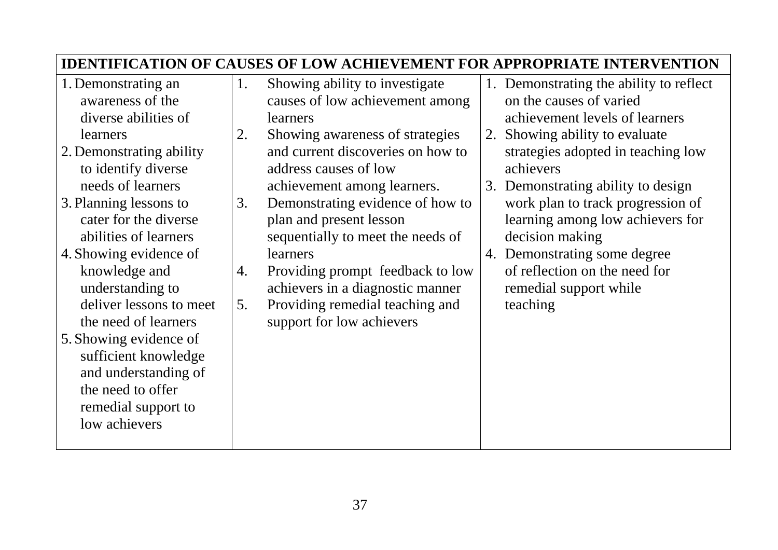|                                                                                                                                                                                                                                                       |          |                                                                                                                                                                                                                                  |    | <b>IDENTIFICATION OF CAUSES OF LOW ACHIEVEMENT FOR APPROPRIATE INTERVENTION</b>                                                                                                                                  |
|-------------------------------------------------------------------------------------------------------------------------------------------------------------------------------------------------------------------------------------------------------|----------|----------------------------------------------------------------------------------------------------------------------------------------------------------------------------------------------------------------------------------|----|------------------------------------------------------------------------------------------------------------------------------------------------------------------------------------------------------------------|
| 1. Demonstrating an<br>awareness of the<br>diverse abilities of                                                                                                                                                                                       | 1.       | Showing ability to investigate<br>causes of low achievement among<br>learners                                                                                                                                                    |    | 1. Demonstrating the ability to reflect<br>on the causes of varied<br>achievement levels of learners                                                                                                             |
| learners<br>2. Demonstrating ability<br>to identify diverse<br>needs of learners<br>3. Planning lessons to<br>cater for the diverse<br>abilities of learners                                                                                          | 2.<br>3. | Showing awareness of strategies<br>and current discoveries on how to<br>address causes of low<br>achievement among learners.<br>Demonstrating evidence of how to<br>plan and present lesson<br>sequentially to meet the needs of | 2. | Showing ability to evaluate<br>strategies adopted in teaching low<br>achievers<br>3. Demonstrating ability to design<br>work plan to track progression of<br>learning among low achievers for<br>decision making |
| 4. Showing evidence of<br>knowledge and<br>understanding to<br>deliver lessons to meet<br>the need of learners<br>5. Showing evidence of<br>sufficient knowledge<br>and understanding of<br>the need to offer<br>remedial support to<br>low achievers | 4.<br>5. | learners<br>Providing prompt feedback to low<br>achievers in a diagnostic manner<br>Providing remedial teaching and<br>support for low achievers                                                                                 |    | 4. Demonstrating some degree<br>of reflection on the need for<br>remedial support while<br>teaching                                                                                                              |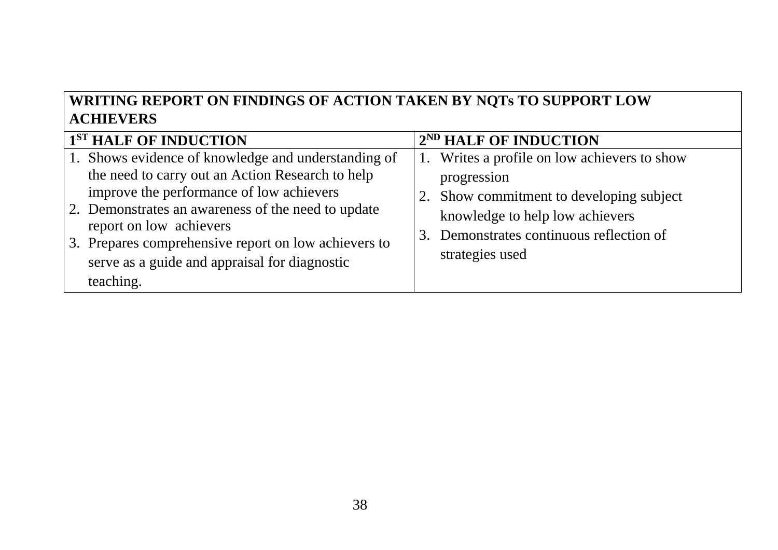# **WRITING REPORT ON FINDINGS OF ACTION TAKEN BY NQTs TO SUPPORT LOW ACHIEVERS**

| 1 <sup>ST</sup> HALF OF INDUCTION                                                                                                                                                                                                                                                                                                                          | 2 <sup>ND</sup> HALF OF INDUCTION                                                                                                                                                                         |
|------------------------------------------------------------------------------------------------------------------------------------------------------------------------------------------------------------------------------------------------------------------------------------------------------------------------------------------------------------|-----------------------------------------------------------------------------------------------------------------------------------------------------------------------------------------------------------|
| 1. Shows evidence of knowledge and understanding of<br>the need to carry out an Action Research to help<br>improve the performance of low achievers<br>2. Demonstrates an awareness of the need to update<br>report on low achievers<br>3. Prepares comprehensive report on low achievers to<br>serve as a guide and appraisal for diagnostic<br>teaching. | 1. Writes a profile on low achievers to show<br>progression<br>2. Show commitment to developing subject<br>knowledge to help low achievers<br>3. Demonstrates continuous reflection of<br>strategies used |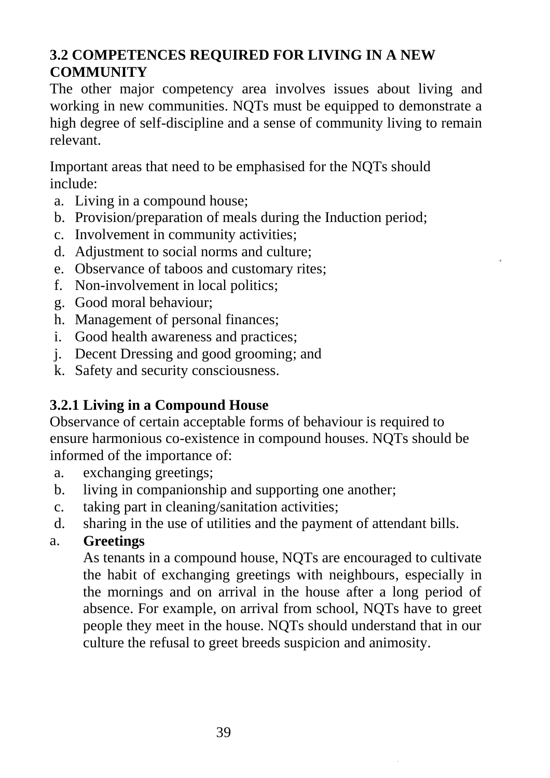# **3.2 COMPETENCES REQUIRED FOR LIVING IN A NEW COMMUNITY**

The other major competency area involves issues about living and working in new communities. NQTs must be equipped to demonstrate a high degree of self-discipline and a sense of community living to remain relevant.

Important areas that need to be emphasised for the NQTs should include:

- a. Living in a compound house;
- b. Provision/preparation of meals during the Induction period;
- c. Involvement in community activities;
- d. Adjustment to social norms and culture;
- e. Observance of taboos and customary rites;
- f. Non-involvement in local politics;
- g. Good moral behaviour;
- h. Management of personal finances;
- i. Good health awareness and practices;
- j. Decent Dressing and good grooming; and
- k. Safety and security consciousness.

# **3.2.1 Living in a Compound House**

Observance of certain acceptable forms of behaviour is required to ensure harmonious co-existence in compound houses. NQTs should be informed of the importance of:

- a. exchanging greetings;
- b. living in companionship and supporting one another;
- c. taking part in cleaning/sanitation activities;
- d. sharing in the use of utilities and the payment of attendant bills.

## a. **Greetings**

As tenants in a compound house, NQTs are encouraged to cultivate the habit of exchanging greetings with neighbours, especially in the mornings and on arrival in the house after a long period of absence. For example, on arrival from school, NQTs have to greet people they meet in the house. NQTs should understand that in our culture the refusal to greet breeds suspicion and animosity.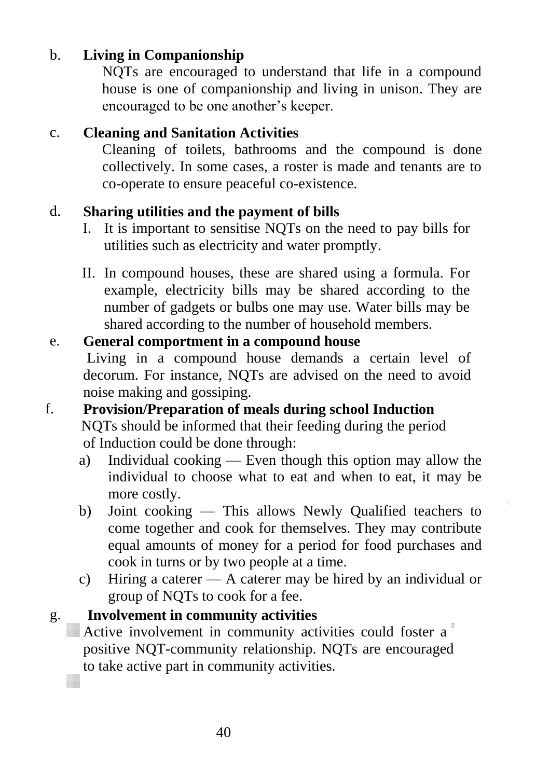#### b. **Living in Companionship**

NQTs are encouraged to understand that life in a compound house is one of companionship and living in unison. They are encouraged to be one another's keeper.

#### c. **Cleaning and Sanitation Activities**

Cleaning of toilets, bathrooms and the compound is done collectively. In some cases, a roster is made and tenants are to co-operate to ensure peaceful co-existence.

#### d. **Sharing utilities and the payment of bills**

- I. It is important to sensitise NQTs on the need to pay bills for utilities such as electricity and water promptly.
- II. In compound houses, these are shared using a formula. For example, electricity bills may be shared according to the number of gadgets or bulbs one may use. Water bills may be shared according to the number of household members.

#### e. **General comportment in a compound house**

Living in a compound house demands a certain level of decorum. For instance, NQTs are advised on the need to avoid noise making and gossiping.

#### f. **Provision/Preparation of meals during school Induction** NQTs should be informed that their feeding during the period of Induction could be done through:

- a) Individual cooking Even though this option may allow the individual to choose what to eat and when to eat, it may be more costly.
- b) Joint cooking This allows Newly Qualified teachers to come together and cook for themselves. They may contribute equal amounts of money for a period for food purchases and cook in turns or by two people at a time.
- c) Hiring a caterer A caterer may be hired by an individual or group of NQTs to cook for a fee.

#### g. **Involvement in community activities**

Active involvement in community activities could foster a positive NQT-community relationship. NQTs are encouraged to take active part in community activities.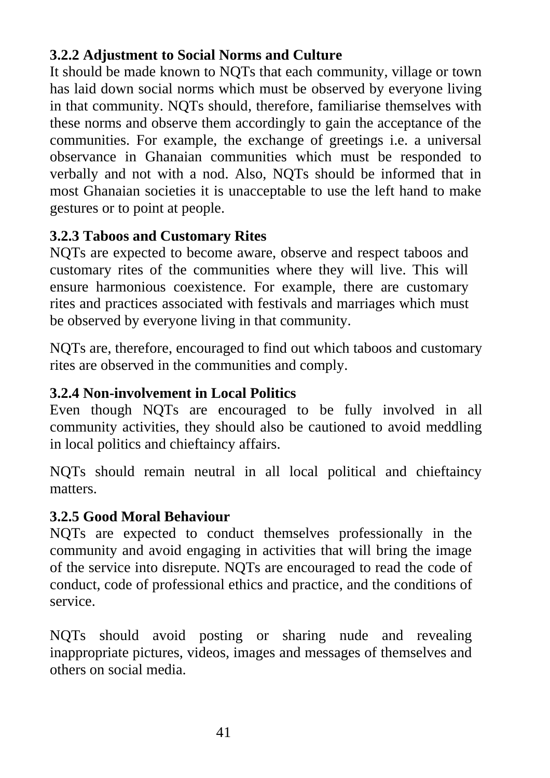# **3.2.2 Adjustment to Social Norms and Culture**

It should be made known to NQTs that each community, village or town has laid down social norms which must be observed by everyone living in that community. NQTs should, therefore, familiarise themselves with these norms and observe them accordingly to gain the acceptance of the communities. For example, the exchange of greetings i.e. a universal observance in Ghanaian communities which must be responded to verbally and not with a nod. Also, NQTs should be informed that in most Ghanaian societies it is unacceptable to use the left hand to make gestures or to point at people.

# **3.2.3 Taboos and Customary Rites**

NQTs are expected to become aware, observe and respect taboos and customary rites of the communities where they will live. This will ensure harmonious coexistence. For example, there are customary rites and practices associated with festivals and marriages which must be observed by everyone living in that community.

NQTs are, therefore, encouraged to find out which taboos and customary rites are observed in the communities and comply.

## **3.2.4 Non-involvement in Local Politics**

Even though NQTs are encouraged to be fully involved in all community activities, they should also be cautioned to avoid meddling in local politics and chieftaincy affairs.

NQTs should remain neutral in all local political and chieftaincy matters.

#### **3.2.5 Good Moral Behaviour**

NQTs are expected to conduct themselves professionally in the community and avoid engaging in activities that will bring the image of the service into disrepute. NQTs are encouraged to read the code of conduct, code of professional ethics and practice, and the conditions of service.

NQTs should avoid posting or sharing nude and revealing inappropriate pictures, videos, images and messages of themselves and others on social media.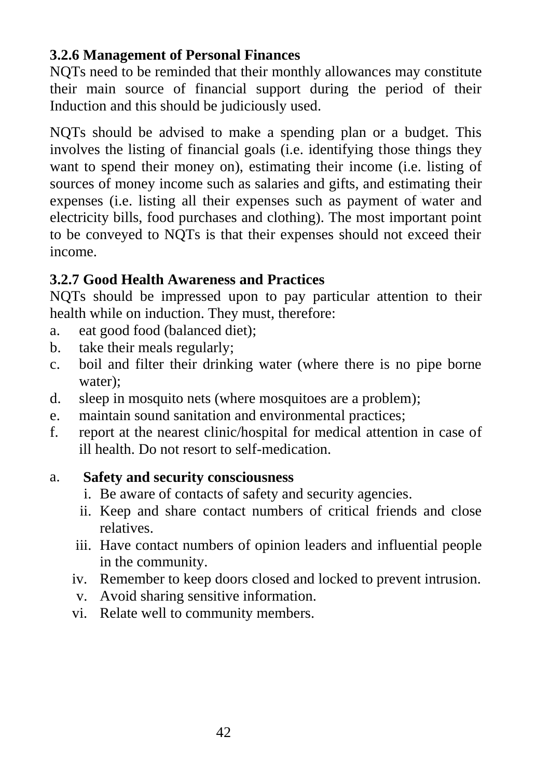#### **3.2.6 Management of Personal Finances**

NQTs need to be reminded that their monthly allowances may constitute their main source of financial support during the period of their Induction and this should be judiciously used.

NQTs should be advised to make a spending plan or a budget. This involves the listing of financial goals (i.e. identifying those things they want to spend their money on), estimating their income (i.e. listing of sources of money income such as salaries and gifts, and estimating their expenses (i.e. listing all their expenses such as payment of water and electricity bills, food purchases and clothing). The most important point to be conveyed to NQTs is that their expenses should not exceed their income.

## **3.2.7 Good Health Awareness and Practices**

NQTs should be impressed upon to pay particular attention to their health while on induction. They must, therefore:

- a. eat good food (balanced diet);
- b. take their meals regularly;
- c. boil and filter their drinking water (where there is no pipe borne water);
- d. sleep in mosquito nets (where mosquitoes are a problem);
- e. maintain sound sanitation and environmental practices;
- f. report at the nearest clinic/hospital for medical attention in case of ill health. Do not resort to self-medication.

#### a. **Safety and security consciousness**

- i. Be aware of contacts of safety and security agencies.
- ii. Keep and share contact numbers of critical friends and close relatives.
- iii. Have contact numbers of opinion leaders and influential people in the community.
- iv. Remember to keep doors closed and locked to prevent intrusion.
- v. Avoid sharing sensitive information.
- vi. Relate well to community members.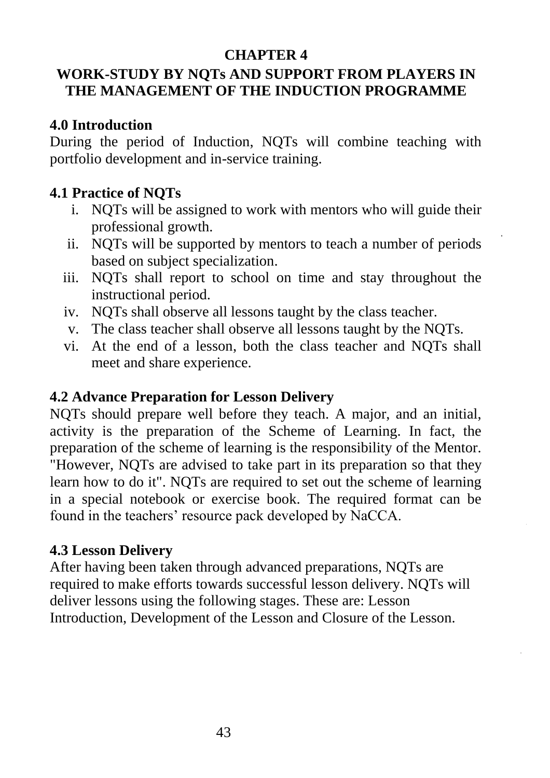#### **CHAPTER 4**

# **WORK-STUDY BY NQTs AND SUPPORT FROM PLAYERS IN THE MANAGEMENT OF THE INDUCTION PROGRAMME**

#### **4.0 Introduction**

During the period of Induction, NQTs will combine teaching with portfolio development and in-service training.

#### **4.1 Practice of NQTs**

- i. NQTs will be assigned to work with mentors who will guide their professional growth.
- ii. NQTs will be supported by mentors to teach a number of periods based on subject specialization.
- iii. NQTs shall report to school on time and stay throughout the instructional period.
- iv. NQTs shall observe all lessons taught by the class teacher.
- v. The class teacher shall observe all lessons taught by the NQTs.
- vi. At the end of a lesson, both the class teacher and NQTs shall meet and share experience.

#### **4.2 Advance Preparation for Lesson Delivery**

NQTs should prepare well before they teach. A major, and an initial, activity is the preparation of the Scheme of Learning. In fact, the preparation of the scheme of learning is the responsibility of the Mentor. "However, NQTs are advised to take part in its preparation so that they learn how to do it". NQTs are required to set out the scheme of learning in a special notebook or exercise book. The required format can be found in the teachers' resource pack developed by NaCCA.

#### **4.3 Lesson Delivery**

After having been taken through advanced preparations, NQTs are required to make efforts towards successful lesson delivery. NQTs will deliver lessons using the following stages. These are: Lesson Introduction, Development of the Lesson and Closure of the Lesson.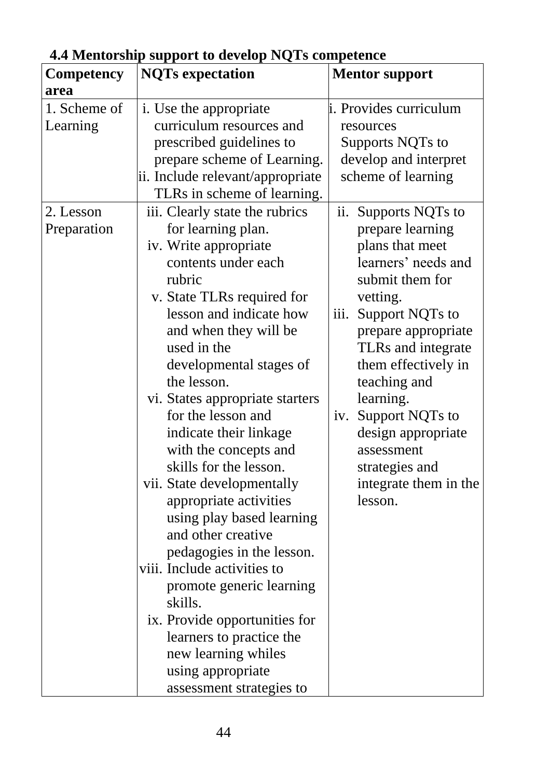| $\cdots$<br><b>Competency</b> | $P_{\text{per}}$<br><b>NQTs</b> expectation | <b>Mentor support</b>   |  |
|-------------------------------|---------------------------------------------|-------------------------|--|
| area                          |                                             |                         |  |
|                               |                                             |                         |  |
| 1. Scheme of                  | i. Use the appropriate                      | i. Provides curriculum  |  |
| Learning                      | curriculum resources and                    | resources               |  |
|                               | prescribed guidelines to                    | Supports NQTs to        |  |
|                               | prepare scheme of Learning.                 | develop and interpret   |  |
|                               | ii. Include relevant/appropriate            | scheme of learning      |  |
|                               | TLRs in scheme of learning.                 |                         |  |
| 2. Lesson                     | iii. Clearly state the rubrics              | ii.<br>Supports NQTs to |  |
| Preparation                   | for learning plan.                          | prepare learning        |  |
|                               | iv. Write appropriate                       | plans that meet         |  |
|                               | contents under each                         | learners' needs and     |  |
|                               | rubric                                      | submit them for         |  |
|                               | v. State TLRs required for                  | vetting.                |  |
|                               | lesson and indicate how                     | iii.<br>Support NQTs to |  |
|                               | and when they will be                       | prepare appropriate     |  |
|                               | used in the                                 | TLRs and integrate      |  |
|                               | developmental stages of                     | them effectively in     |  |
|                               | the lesson.                                 | teaching and            |  |
|                               | vi. States appropriate starters             | learning.               |  |
|                               | for the lesson and                          | Support NQTs to<br>iv.  |  |
|                               | indicate their linkage                      | design appropriate      |  |
|                               | with the concepts and                       | assessment              |  |
|                               | skills for the lesson.                      | strategies and          |  |
|                               | vii. State developmentally                  | integrate them in the   |  |
|                               | appropriate activities                      | lesson.                 |  |
|                               |                                             |                         |  |
|                               | using play based learning                   |                         |  |
|                               | and other creative                          |                         |  |
|                               | pedagogies in the lesson.                   |                         |  |
|                               | viii. Include activities to                 |                         |  |
|                               | promote generic learning                    |                         |  |
|                               | skills.                                     |                         |  |
|                               | ix. Provide opportunities for               |                         |  |
|                               | learners to practice the                    |                         |  |
|                               | new learning whiles                         |                         |  |
|                               | using appropriate                           |                         |  |
|                               | assessment strategies to                    |                         |  |

# **4.4 Mentorship support to develop NQTs competence**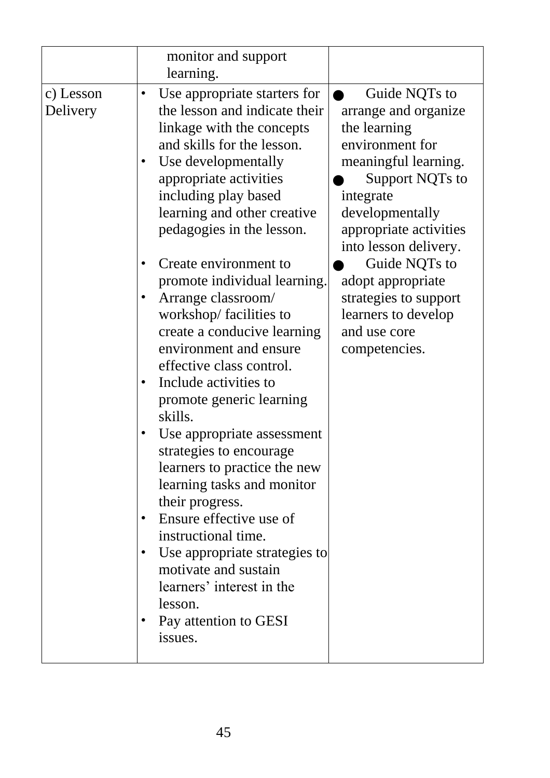| Use appropriate starters for<br>Guide NQTs to<br>٠<br>the lesson and indicate their<br>arrange and organize<br>Delivery<br>the learning<br>linkage with the concepts<br>environment for<br>and skills for the lesson.<br>Use developmentally<br>meaningful learning.<br>appropriate activities<br>Support NQTs to<br>including play based<br>integrate<br>learning and other creative<br>developmentally<br>pedagogies in the lesson.<br>appropriate activities<br>into lesson delivery.<br>Guide NQTs to<br>Create environment to<br>promote individual learning.<br>adopt appropriate<br>Arrange classroom/<br>strategies to support<br>workshop/facilities to<br>learners to develop<br>create a conducive learning<br>and use core<br>environment and ensure<br>competencies.<br>effective class control.<br>Include activities to<br>promote generic learning<br>skills.<br>Use appropriate assessment<br>strategies to encourage<br>learners to practice the new<br>learning tasks and monitor<br>their progress.<br>Ensure effective use of<br>instructional time.<br>Use appropriate strategies to<br>motivate and sustain<br>learners' interest in the<br>lesson.<br>Pay attention to GESI<br>issues. |           | monitor and support<br>learning. |  |
|----------------------------------------------------------------------------------------------------------------------------------------------------------------------------------------------------------------------------------------------------------------------------------------------------------------------------------------------------------------------------------------------------------------------------------------------------------------------------------------------------------------------------------------------------------------------------------------------------------------------------------------------------------------------------------------------------------------------------------------------------------------------------------------------------------------------------------------------------------------------------------------------------------------------------------------------------------------------------------------------------------------------------------------------------------------------------------------------------------------------------------------------------------------------------------------------------------------|-----------|----------------------------------|--|
|                                                                                                                                                                                                                                                                                                                                                                                                                                                                                                                                                                                                                                                                                                                                                                                                                                                                                                                                                                                                                                                                                                                                                                                                                | c) Lesson |                                  |  |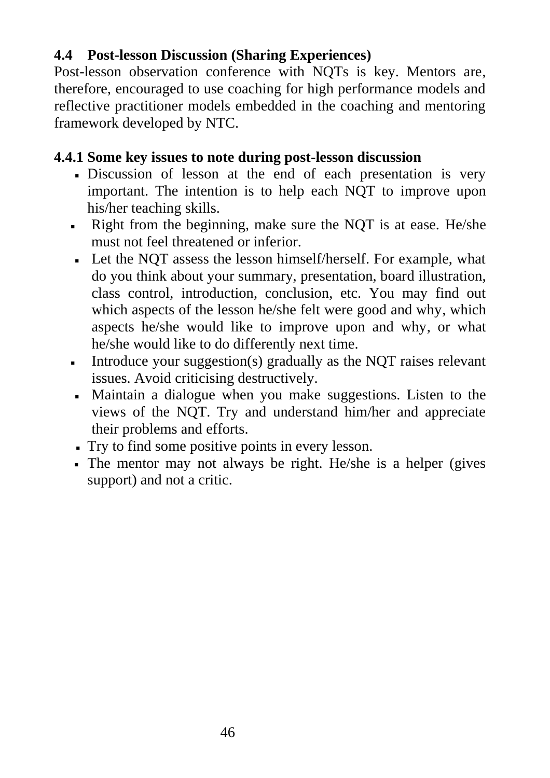#### **4.4 Post-lesson Discussion (Sharing Experiences)**

Post-lesson observation conference with NQTs is key. Mentors are, therefore, encouraged to use coaching for high performance models and reflective practitioner models embedded in the coaching and mentoring framework developed by NTC.

#### **4.4.1 Some key issues to note during post-lesson discussion**

- Discussion of lesson at the end of each presentation is very important. The intention is to help each NQT to improve upon his/her teaching skills.
- Right from the beginning, make sure the NQT is at ease. He/she must not feel threatened or inferior.
- Let the NQT assess the lesson himself/herself. For example, what do you think about your summary, presentation, board illustration, class control, introduction, conclusion, etc. You may find out which aspects of the lesson he/she felt were good and why, which aspects he/she would like to improve upon and why, or what he/she would like to do differently next time.
- **•** Introduce your suggestion(s) gradually as the NQT raises relevant issues. Avoid criticising destructively.
- Maintain a dialogue when you make suggestions. Listen to the views of the NQT. Try and understand him/her and appreciate their problems and efforts.
- Try to find some positive points in every lesson.
- The mentor may not always be right. He/she is a helper (gives support) and not a critic.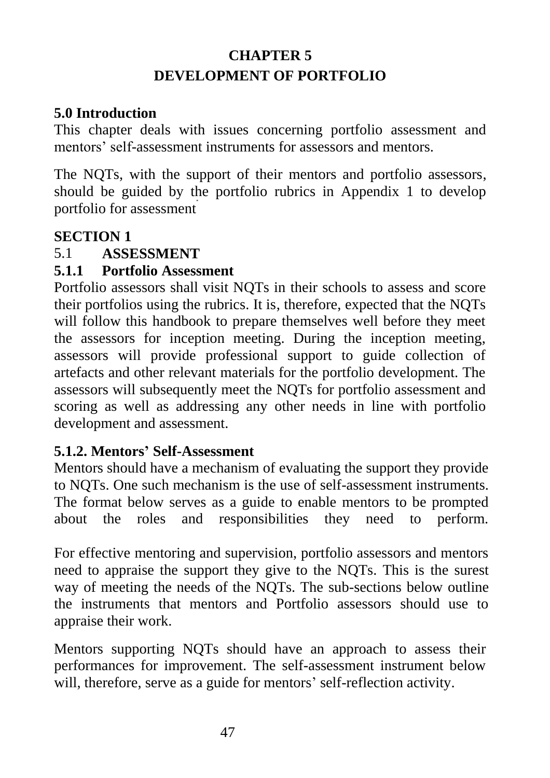# **CHAPTER 5 DEVELOPMENT OF PORTFOLIO**

#### **5.0 Introduction**

This chapter deals with issues concerning portfolio assessment and mentors' self-assessment instruments for assessors and mentors.

The NQTs, with the support of their mentors and portfolio assessors, should be guided by the portfolio rubrics in Appendix 1 to develop portfolio for assessment

## **SECTION 1**

# 5.1 **ASSESSMENT**

## **5.1.1 Portfolio Assessment**

Portfolio assessors shall visit NQTs in their schools to assess and score their portfolios using the rubrics. It is, therefore, expected that the NQTs will follow this handbook to prepare themselves well before they meet the assessors for inception meeting. During the inception meeting, assessors will provide professional support to guide collection of artefacts and other relevant materials for the portfolio development. The assessors will subsequently meet the NQTs for portfolio assessment and scoring as well as addressing any other needs in line with portfolio development and assessment.

## **5.1.2. Mentors' Self-Assessment**

Mentors should have a mechanism of evaluating the support they provide to NQTs. One such mechanism is the use of self-assessment instruments. The format below serves as a guide to enable mentors to be prompted about the roles and responsibilities they need to perform.

For effective mentoring and supervision, portfolio assessors and mentors need to appraise the support they give to the NQTs. This is the surest way of meeting the needs of the NOTs. The sub-sections below outline the instruments that mentors and Portfolio assessors should use to appraise their work.

Mentors supporting NQTs should have an approach to assess their performances for improvement. The self-assessment instrument below will, therefore, serve as a guide for mentors' self-reflection activity.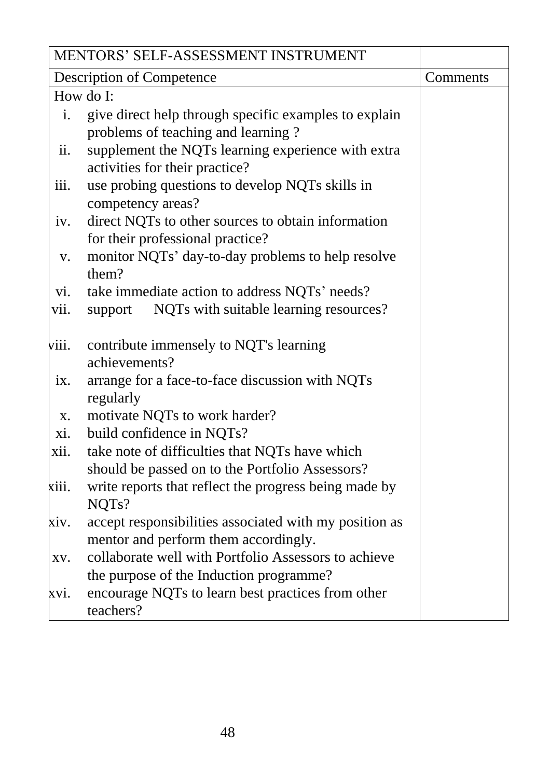|                           | MENTORS' SELF-ASSESSMENT INSTRUMENT                                                                       |          |
|---------------------------|-----------------------------------------------------------------------------------------------------------|----------|
|                           | <b>Description of Competence</b>                                                                          | Comments |
|                           | How do I:                                                                                                 |          |
| $\mathbf{i}$ .            | give direct help through specific examples to explain<br>problems of teaching and learning?               |          |
| $\overline{\mathbf{u}}$ . | supplement the NQTs learning experience with extra<br>activities for their practice?                      |          |
| iii.                      | use probing questions to develop NQTs skills in<br>competency areas?                                      |          |
| iv.                       | direct NQTs to other sources to obtain information<br>for their professional practice?                    |          |
| V.                        | monitor NQTs' day-to-day problems to help resolve<br>them?                                                |          |
| V1.                       | take immediate action to address NQTs' needs?                                                             |          |
| vii.                      | NQTs with suitable learning resources?<br>support                                                         |          |
| viii.                     | contribute immensely to NQT's learning<br>achievements?                                                   |          |
| ix.                       | arrange for a face-to-face discussion with NQTs<br>regularly                                              |          |
| X.                        | motivate NQTs to work harder?                                                                             |          |
| xi.                       | build confidence in NQTs?                                                                                 |          |
| xii.                      | take note of difficulties that NQTs have which<br>should be passed on to the Portfolio Assessors?         |          |
| kiii.                     | write reports that reflect the progress being made by<br>NQT <sub>s</sub> ?                               |          |
| xiv.                      | accept responsibilities associated with my position as<br>mentor and perform them accordingly.            |          |
| XV.                       | collaborate well with Portfolio Assessors to achieve                                                      |          |
| XV1.                      | the purpose of the Induction programme?<br>encourage NQTs to learn best practices from other<br>teachers? |          |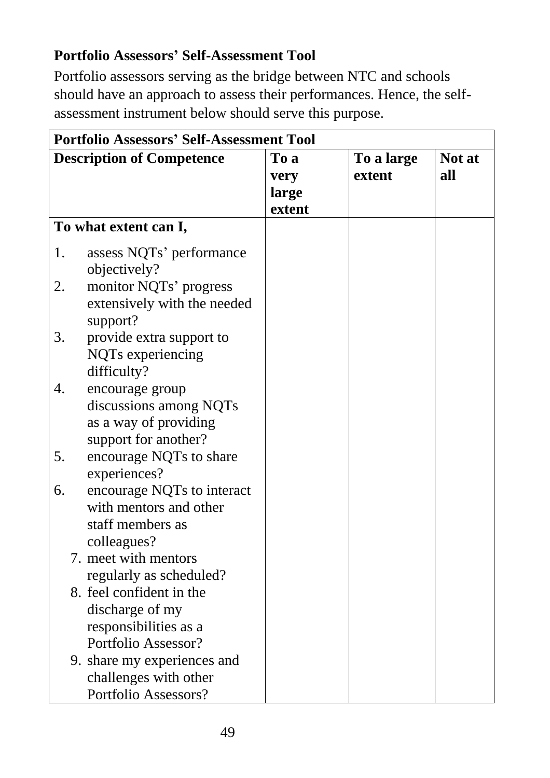# **Portfolio Assessors' Self-Assessment Tool**

Portfolio assessors serving as the bridge between NTC and schools should have an approach to assess their performances. Hence, the selfassessment instrument below should serve this purpose.

| <b>Portfolio Assessors' Self-Assessment Tool</b> |                                  |        |            |        |  |
|--------------------------------------------------|----------------------------------|--------|------------|--------|--|
|                                                  | <b>Description of Competence</b> | To a   | To a large | Not at |  |
|                                                  |                                  | very   | extent     | all    |  |
|                                                  |                                  | large  |            |        |  |
|                                                  |                                  | extent |            |        |  |
|                                                  | To what extent can I,            |        |            |        |  |
| 1.                                               | assess NQTs' performance         |        |            |        |  |
|                                                  | objectively?                     |        |            |        |  |
| 2.                                               | monitor NQTs' progress           |        |            |        |  |
|                                                  | extensively with the needed      |        |            |        |  |
|                                                  | support?                         |        |            |        |  |
| 3.                                               | provide extra support to         |        |            |        |  |
|                                                  | NQTs experiencing                |        |            |        |  |
|                                                  | difficulty?                      |        |            |        |  |
| 4.                                               | encourage group                  |        |            |        |  |
|                                                  | discussions among NQTs           |        |            |        |  |
|                                                  | as a way of providing            |        |            |        |  |
|                                                  | support for another?             |        |            |        |  |
| 5.                                               | encourage NQTs to share          |        |            |        |  |
|                                                  | experiences?                     |        |            |        |  |
| 6.                                               | encourage NQTs to interact       |        |            |        |  |
|                                                  | with mentors and other           |        |            |        |  |
|                                                  | staff members as                 |        |            |        |  |
|                                                  | colleagues?                      |        |            |        |  |
|                                                  | 7. meet with mentors             |        |            |        |  |
|                                                  | regularly as scheduled?          |        |            |        |  |
|                                                  | 8. feel confident in the         |        |            |        |  |
|                                                  | discharge of my                  |        |            |        |  |
|                                                  | responsibilities as a            |        |            |        |  |
|                                                  | Portfolio Assessor?              |        |            |        |  |
|                                                  | 9. share my experiences and      |        |            |        |  |
|                                                  | challenges with other            |        |            |        |  |
|                                                  | Portfolio Assessors?             |        |            |        |  |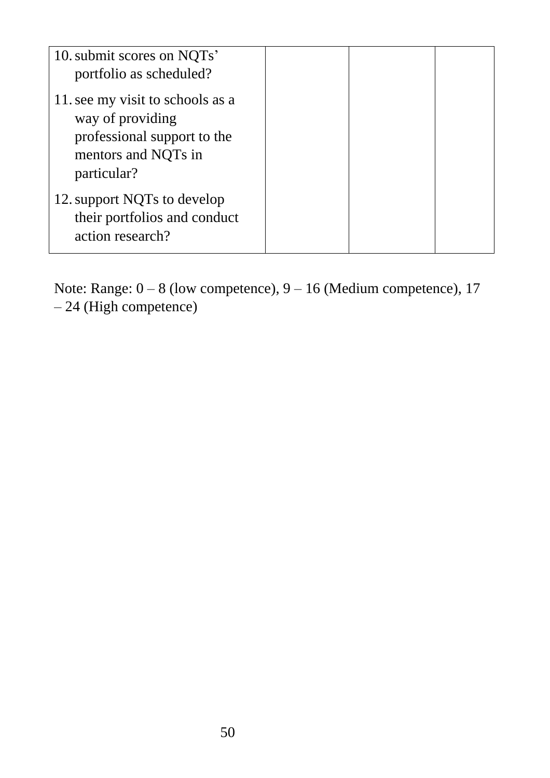| 10. submit scores on NQTs'<br>portfolio as scheduled?                                                                     |  |  |
|---------------------------------------------------------------------------------------------------------------------------|--|--|
| 11. see my visit to schools as a<br>way of providing<br>professional support to the<br>mentors and NQTs in<br>particular? |  |  |
| 12. support NQTs to develop<br>their portfolios and conduct<br>action research?                                           |  |  |

Note: Range:  $0 - 8$  (low competence),  $9 - 16$  (Medium competence), 17 – 24 (High competence)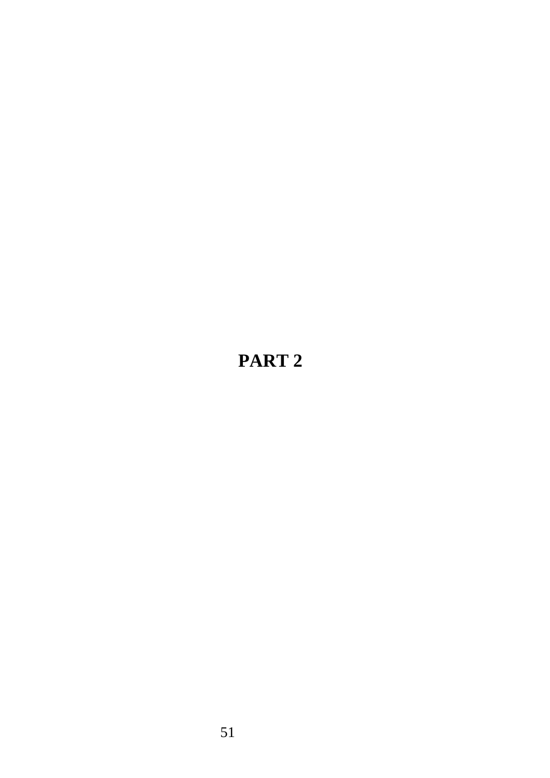# **PART 2**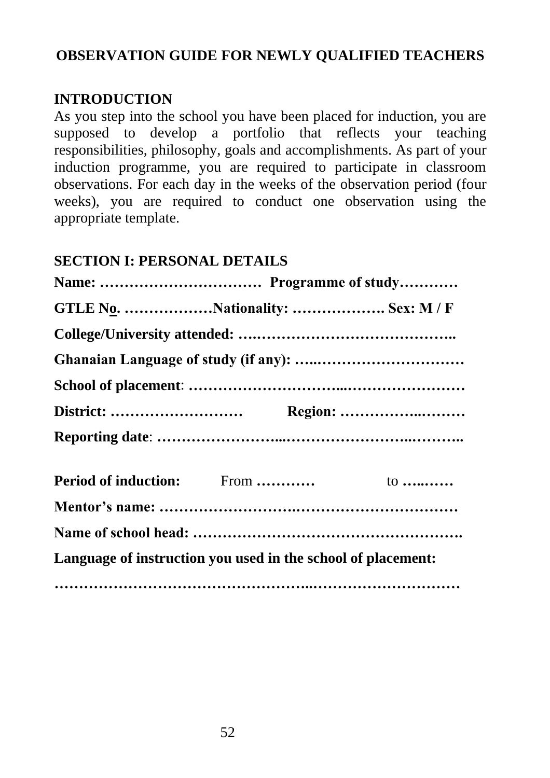#### **OBSERVATION GUIDE FOR NEWLY QUALIFIED TEACHERS**

#### **INTRODUCTION**

As you step into the school you have been placed for induction, you are supposed to develop a portfolio that reflects your teaching responsibilities, philosophy, goals and accomplishments. As part of your induction programme, you are required to participate in classroom observations. For each day in the weeks of the observation period (four weeks), you are required to conduct one observation using the appropriate template.

#### **SECTION I: PERSONAL DETAILS**

| Language of instruction you used in the school of placement: |  |
|--------------------------------------------------------------|--|
|                                                              |  |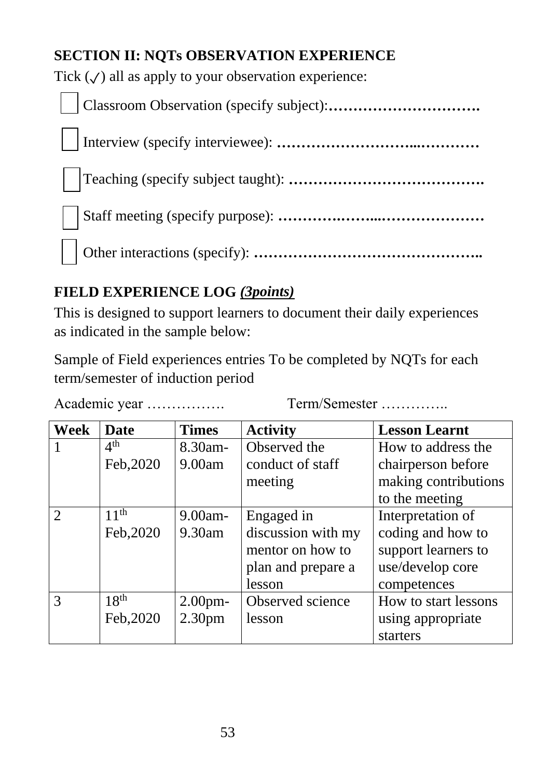# **SECTION II: NQTs OBSERVATION EXPERIENCE**

Tick  $(\checkmark)$  all as apply to your observation experience:

Classroom Observation (specify subject):**………………………….** Interview (specify interviewee): **………………………...…………** Teaching (specify subject taught): **………………………………….** Staff meeting (specify purpose): **………….……...…………………** Other interactions (specify): **………………………………………..**

# **FIELD EXPERIENCE LOG** *(3points)*

This is designed to support learners to document their daily experiences as indicated in the sample below:

Sample of Field experiences entries To be completed by NQTs for each term/semester of induction period

Academic year ……………….. Term/Semester ………….

| <b>Week</b>    | <b>Date</b>      | <b>Times</b>       | <b>Activity</b>    | <b>Lesson Learnt</b> |
|----------------|------------------|--------------------|--------------------|----------------------|
|                | 4 <sup>th</sup>  | 8.30am-            | Observed the       | How to address the   |
|                | Feb, 2020        | 9.00am             | conduct of staff   | chairperson before   |
|                |                  |                    | meeting            | making contributions |
|                |                  |                    |                    | to the meeting       |
| $\overline{2}$ | 11 <sup>th</sup> | $9.00$ am-         | Engaged in         | Interpretation of    |
|                | Feb, 2020        | 9.30am             | discussion with my | coding and how to    |
|                |                  |                    | mentor on how to   | support learners to  |
|                |                  |                    | plan and prepare a | use/develop core     |
|                |                  |                    | lesson             | competences          |
| 3              | 18 <sup>th</sup> | 2.00 <sub>pm</sub> | Observed science   | How to start lessons |
|                | Feb, 2020        | 2.30 <sub>pm</sub> | lesson             | using appropriate    |
|                |                  |                    |                    | starters             |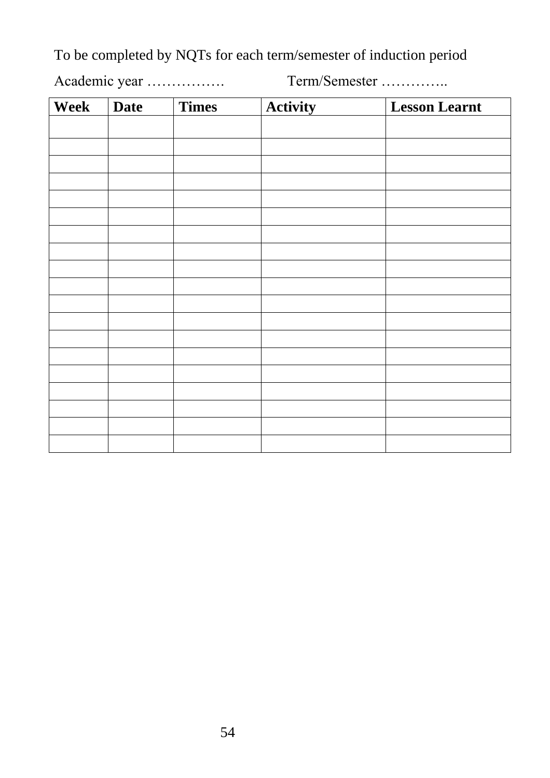To be completed by NQTs for each term/semester of induction period

Academic year ……………. Term/Semester …………..

| Week | <b>Date</b> | Times | Activity | <b>Lesson Learnt</b> |
|------|-------------|-------|----------|----------------------|
|      |             |       |          |                      |
|      |             |       |          |                      |
|      |             |       |          |                      |
|      |             |       |          |                      |
|      |             |       |          |                      |
|      |             |       |          |                      |
|      |             |       |          |                      |
|      |             |       |          |                      |
|      |             |       |          |                      |
|      |             |       |          |                      |
|      |             |       |          |                      |
|      |             |       |          |                      |
|      |             |       |          |                      |
|      |             |       |          |                      |
|      |             |       |          |                      |
|      |             |       |          |                      |
|      |             |       |          |                      |
|      |             |       |          |                      |
|      |             |       |          |                      |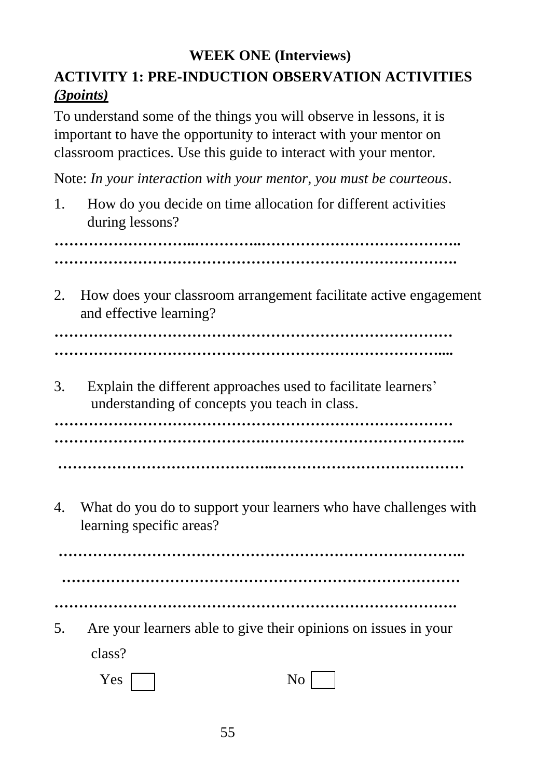# **WEEK ONE (Interviews) ACTIVITY 1: PRE-INDUCTION OBSERVATION ACTIVITIES**  *(3points)*

To understand some of the things you will observe in lessons, it is important to have the opportunity to interact with your mentor on classroom practices. Use this guide to interact with your mentor.

Note: *In your interaction with your mentor, you must be courteous*.

1. How do you decide on time allocation for different activities during lessons?

**………………………..…………..…………………………………..**

**……………………………………………………………………….**

2. How does your classroom arrangement facilitate active engagement and effective learning?

…………………………………………………………………………… **……………………………………………………………………....**

3. Explain the different approaches used to facilitate learners' understanding of concepts you teach in class.

**……………………………………………………………………… …………………………………….………………………………….. ……………………………………..…………………………………**

4. What do you do to support your learners who have challenges with learning specific areas?

**……………………………………………………………………….. ……………………………………………………………………… ……………………………………………………………………….**

5. Are your learners able to give their opinions on issues in your class?

| Yes | No<br>┻ |
|-----|---------|
|-----|---------|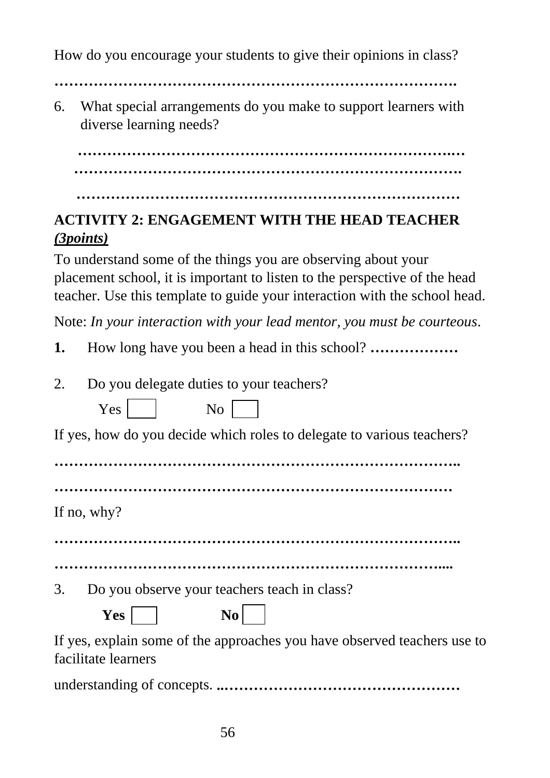How do you encourage your students to give their opinions in class?

**……………………………………………………………………….**

6. What special arrangements do you make to support learners with diverse learning needs?

**………………………………………………………………….… …………………………………………………………………….**

#### **……………………………………………………………………**

# **ACTIVITY 2: ENGAGEMENT WITH THE HEAD TEACHER**  *(3points)*

To understand some of the things you are observing about your placement school, it is important to listen to the perspective of the head teacher. Use this template to guide your interaction with the school head.

Note: *In your interaction with your lead mentor, you must be courteous*.

- **1.** How long have you been a head in this school? **………………**
- 2. Do you delegate duties to your teachers?

Yes No

| If yes, how do you decide which roles to delegate to various teachers? |  |  |  |  |
|------------------------------------------------------------------------|--|--|--|--|
|                                                                        |  |  |  |  |

**………………………………………………………………………..**

**………………………………………………………………………**

If no, why?

**………………………………………………………………………..**

**……………………………………………………………………....**

3. Do you observe your teachers teach in class?

**Yes** No

If yes, explain some of the approaches you have observed teachers use to facilitate learners

understanding of concepts. **..…………………………………………**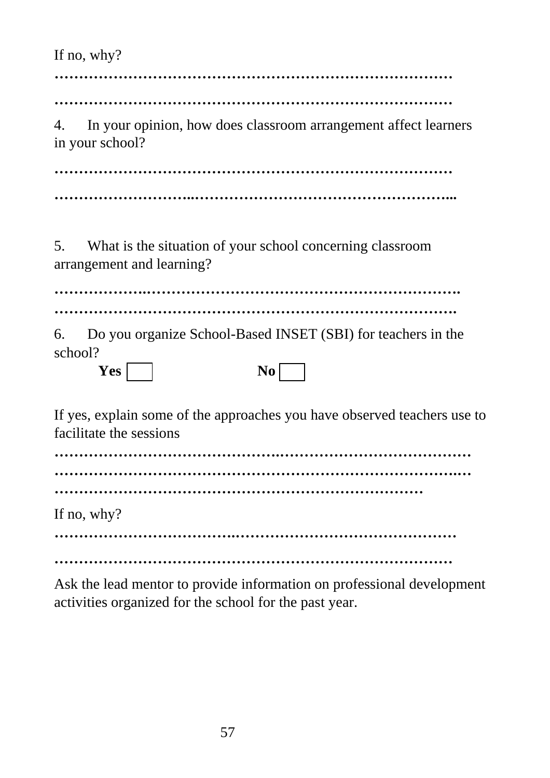If no, why?

**………………………………………………………………………**

**………………………………………………………………………**

4. In your opinion, how does classroom arrangement affect learners in your school?

**……………………………………………………………………… ………………………..……………………………………………...**

5. What is the situation of your school concerning classroom arrangement and learning?

**……………….………………………………………………………. ……………………………………………………………………….**

6. Do you organize School-Based INSET (SBI) for teachers in the school?

| 'es<br>$\mathbf{I}$ |  | $\bf{0}$ |
|---------------------|--|----------|
|---------------------|--|----------|

If yes, explain some of the approaches you have observed teachers use to facilitate the sessions

**……………………………………….………………………………… ……………………………………………………………………….… …………………………………………………………………** If no, why? **……………………………….………………………………………**

**………………………………………………………………………**

Ask the lead mentor to provide information on professional development activities organized for the school for the past year.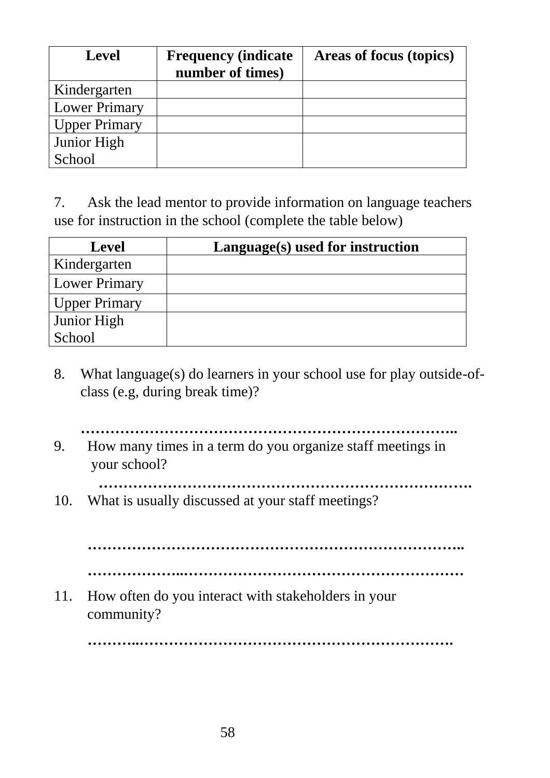| <b>Level</b>         | <b>Frequency (indicate)</b><br>number of times) | Areas of focus (topics) |
|----------------------|-------------------------------------------------|-------------------------|
| Kindergarten         |                                                 |                         |
| Lower Primary        |                                                 |                         |
| <b>Upper Primary</b> |                                                 |                         |
| Junior High          |                                                 |                         |
| School               |                                                 |                         |

7. Ask the lead mentor to provide information on language teachers use for instruction in the school (complete the table below)

| <b>Level</b>         | Language(s) used for instruction |
|----------------------|----------------------------------|
| Kindergarten         |                                  |
| <b>Lower Primary</b> |                                  |
| <b>Upper Primary</b> |                                  |
| Junior High          |                                  |
| School               |                                  |

- 8. What language(s) do learners in your school use for play outside-ofclass (e.g, during break time)?
	- **…………………………………………………………………..**
- 9. How many times in a term do you organize staff meetings in your school?
- **………………………………………………………………….**
- 10. What is usually discussed at your staff meetings?

**………………………………………………………………….. ………………..…………………………………………………**

11. How often do you interact with stakeholders in your community?

**………..……………………………………………………….**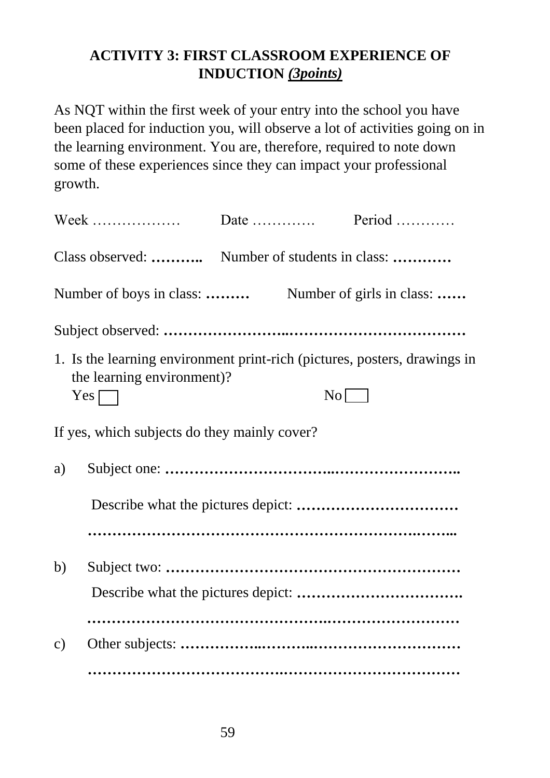# **ACTIVITY 3: FIRST CLASSROOM EXPERIENCE OF INDUCTION** *(3points)*

As NQT within the first week of your entry into the school you have been placed for induction you, will observe a lot of activities going on in the learning environment. You are, therefore, required to note down some of these experiences since they can impact your professional growth.

| 1. Is the learning environment print-rich (pictures, posters, drawings in<br>the learning environment)? |    |  |
|---------------------------------------------------------------------------------------------------------|----|--|
| $Yes \Box$                                                                                              | No |  |
| If yes, which subjects do they mainly cover?                                                            |    |  |
| a)                                                                                                      |    |  |
|                                                                                                         |    |  |
|                                                                                                         |    |  |
| b)                                                                                                      |    |  |
|                                                                                                         |    |  |
| $\mathbf{c})$                                                                                           |    |  |
|                                                                                                         |    |  |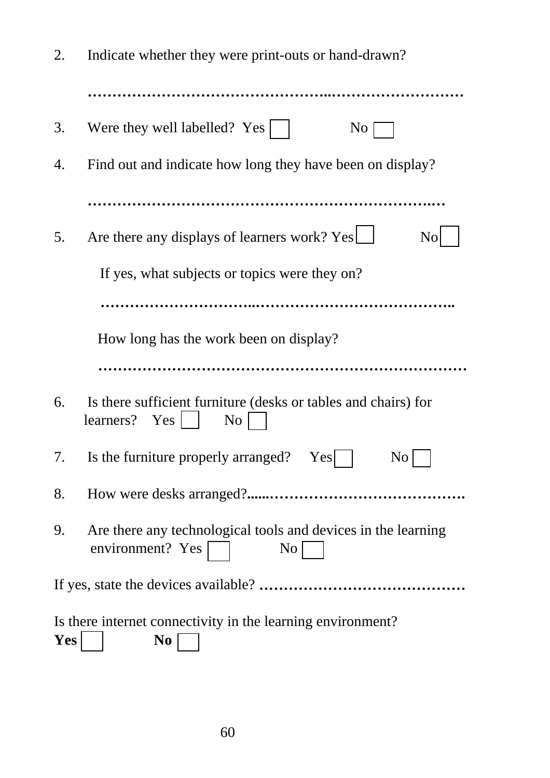| 2.                                                                                          | Indicate whether they were print-outs or hand-drawn?                                                      |  |
|---------------------------------------------------------------------------------------------|-----------------------------------------------------------------------------------------------------------|--|
|                                                                                             |                                                                                                           |  |
| 3.                                                                                          | Were they well labelled? $Yes$    <br>$\overline{N_{O}}$                                                  |  |
| 4.                                                                                          | Find out and indicate how long they have been on display?                                                 |  |
|                                                                                             |                                                                                                           |  |
| 5.                                                                                          | Are there any displays of learners work? Yes<br>N <sub>o</sub>                                            |  |
|                                                                                             | If yes, what subjects or topics were they on?                                                             |  |
|                                                                                             |                                                                                                           |  |
|                                                                                             | How long has the work been on display?                                                                    |  |
|                                                                                             |                                                                                                           |  |
| 6.                                                                                          | Is there sufficient furniture (desks or tables and chairs) for<br>learners? Yes $\vert$<br>N <sub>o</sub> |  |
| 7.                                                                                          | Is the furniture properly arranged? Yes    <br>$N$ o $\vert \_$                                           |  |
| 8.                                                                                          |                                                                                                           |  |
| 9.                                                                                          | Are there any technological tools and devices in the learning<br>environment? Yes<br>$\overline{N_{O}}$   |  |
|                                                                                             |                                                                                                           |  |
| Is there internet connectivity in the learning environment?<br><b>Yes</b><br>N <sub>0</sub> |                                                                                                           |  |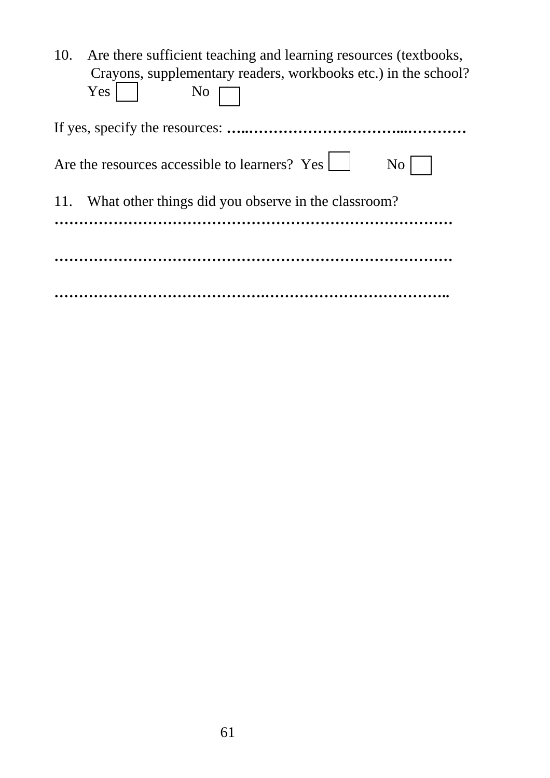| Are there sufficient teaching and learning resources (textbooks,<br>10.<br>Crayons, supplementary readers, workbooks etc.) in the school? |
|-------------------------------------------------------------------------------------------------------------------------------------------|
| Yes<br>N <sub>0</sub>                                                                                                                     |
|                                                                                                                                           |
| Are the resources accessible to learners? Yes<br>N <sub>0</sub>                                                                           |
| 11. What other things did you observe in the classroom?                                                                                   |
|                                                                                                                                           |
|                                                                                                                                           |
|                                                                                                                                           |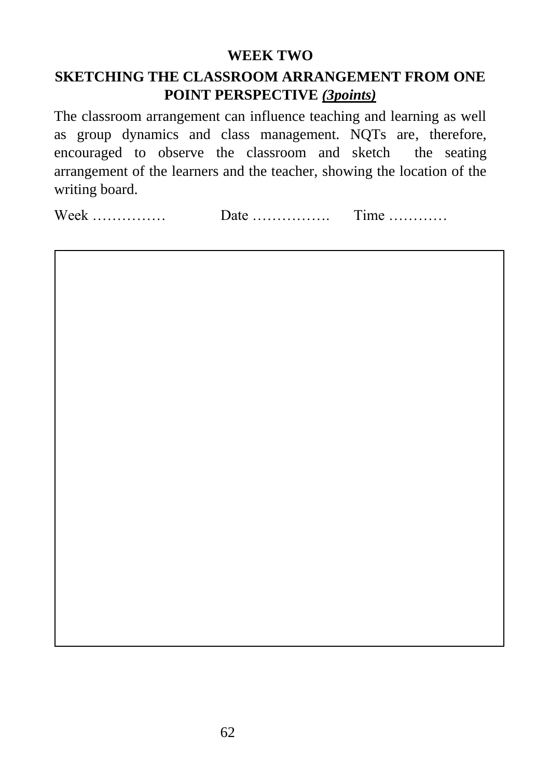#### **WEEK TWO**

#### **SKETCHING THE CLASSROOM ARRANGEMENT FROM ONE POINT PERSPECTIVE** *(3points)*

The classroom arrangement can influence teaching and learning as well as group dynamics and class management. NQTs are, therefore, encouraged to observe the classroom and sketch the seating arrangement of the learners and the teacher, showing the location of the writing board.

Week …………… Date ……………. Time …………

1. 1 1. How does this arrangement help students' learning? The students' learning? In the students' learning? In the students' learning? In the students' learning? In the students' learning? In the students' learning? In the st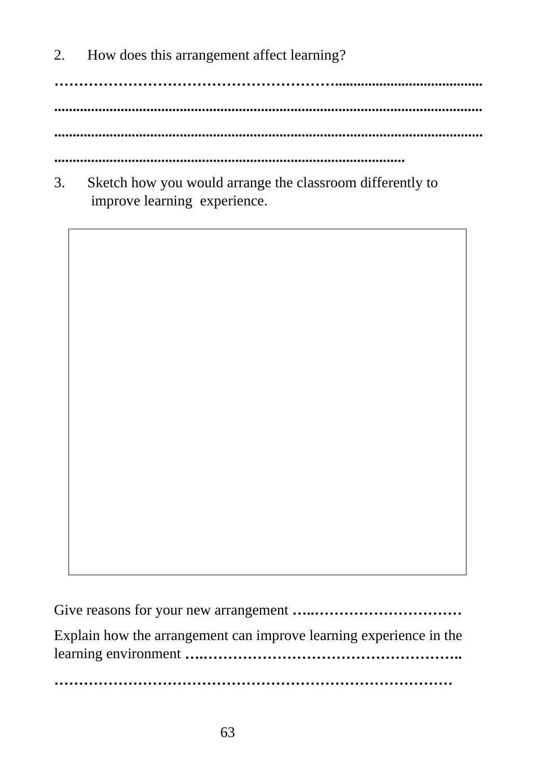2. How does this arrangement affect learning?

**…………………………………………………........................................ .................................................................................................................... .................................................................................................................... ...............................................................................................**

3. Sketch how you would arrange the classroom differently to improve learning experience.



Give reasons for your new arrangement **…..…………………………** Explain how the arrangement can improve learning experience in the learning environment **….…………………………………………….. ………………………………………………………………………**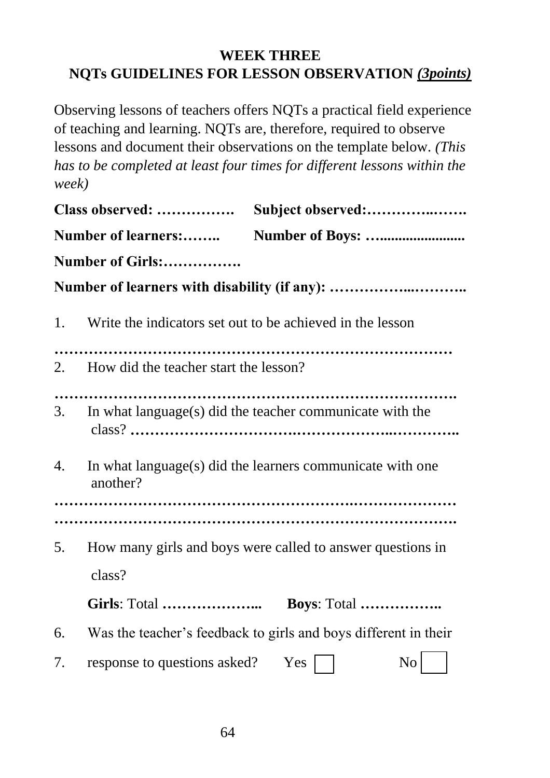## **WEEK THREE NQTs GUIDELINES FOR LESSON OBSERVATION** *(3points)*

Observing lessons of teachers offers NQTs a practical field experience of teaching and learning. NQTs are, therefore, required to observe lessons and document their observations on the template below. *(This has to be completed at least four times for different lessons within the week)*

|                            | Class observed:                                           | Subject observed:                                               |
|----------------------------|-----------------------------------------------------------|-----------------------------------------------------------------|
| <b>Number of learners:</b> |                                                           |                                                                 |
|                            | Number of Girls:                                          |                                                                 |
|                            |                                                           |                                                                 |
| 1.                         | Write the indicators set out to be achieved in the lesson |                                                                 |
|                            | 2. How did the teacher start the lesson?                  |                                                                 |
| 3.                         |                                                           | In what language(s) did the teacher communicate with the        |
| 4.                         | another?                                                  | In what language(s) did the learners communicate with one       |
|                            |                                                           |                                                                 |
| 5.                         | class?                                                    | How many girls and boys were called to answer questions in      |
|                            | <b>Girls: Total </b>                                      | Boys: Total                                                     |
| 6.                         |                                                           | Was the teacher's feedback to girls and boys different in their |
| 7.                         | response to questions asked? Yes                          | N <sub>o</sub>                                                  |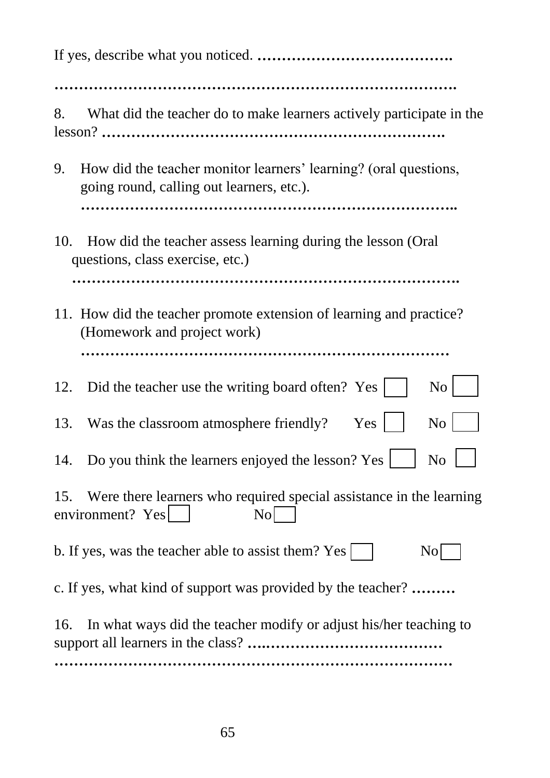| What did the teacher do to make learners actively participate in the<br>8.                                          |
|---------------------------------------------------------------------------------------------------------------------|
| How did the teacher monitor learners' learning? (oral questions,<br>9.<br>going round, calling out learners, etc.). |
|                                                                                                                     |
| How did the teacher assess learning during the lesson (Oral<br>10.<br>questions, class exercise, etc.)              |
|                                                                                                                     |
| 11. How did the teacher promote extension of learning and practice?<br>(Homework and project work)                  |
|                                                                                                                     |
| Did the teacher use the writing board often? Yes<br>N <sub>o</sub><br>12.                                           |
| Was the classroom atmosphere friendly?<br>Yes<br>N <sub>o</sub><br>13.                                              |
| 14. Do you think the learners enjoyed the lesson? Yes<br>N <sub>0</sub>                                             |
| Were there learners who required special assistance in the learning<br>15.<br>environment? Yes<br>N <sub>o</sub>    |
| b. If yes, was the teacher able to assist them? Yes<br>$\overline{N}$ o                                             |
| c. If yes, what kind of support was provided by the teacher?                                                        |
| In what ways did the teacher modify or adjust his/her teaching to<br>16.                                            |
|                                                                                                                     |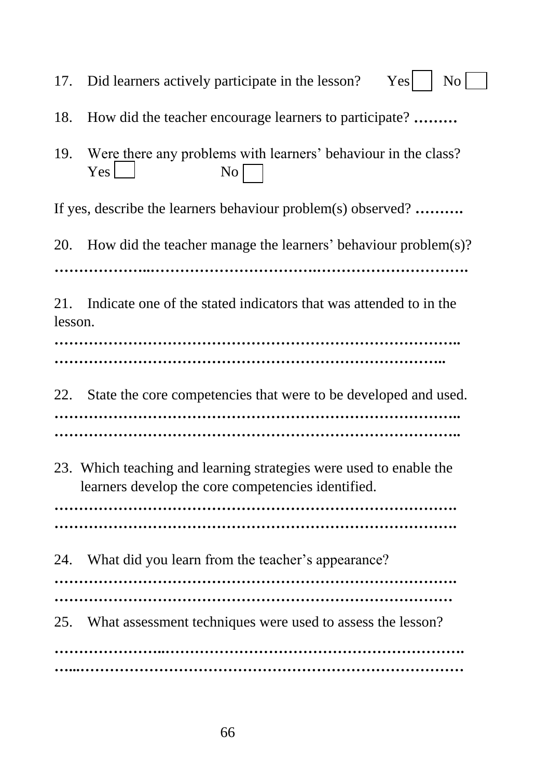17. Did learners actively participate in the lesson?  $Yes$   $\begin{bmatrix} No \end{bmatrix}$ 18. How did the teacher encourage learners to participate? **………** 19. Were there any problems with learners' behaviour in the class? Yes No If yes, describe the learners behaviour problem(s) observed? **……….** 20. How did the teacher manage the learners' behaviour problem(s)? **………………..…………………………….………………………….** 21. Indicate one of the stated indicators that was attended to in the lesson. **……………………………………………………………………….. ……………………………………………………………………..** 22. State the core competencies that were to be developed and used. **……………………………………………………………………….. ………………………………………………………………………..** 23. Which teaching and learning strategies were used to enable the learners develop the core competencies identified. **………………………………………………………………………. ……………………………………………………………………….** 24. What did you learn from the teacher's appearance? **………………………………………………………………………. ………………………………………………………………………** 25. What assessment techniques were used to assess the lesson? **…………………..……………………………………………………. …...……………………………………………………………………**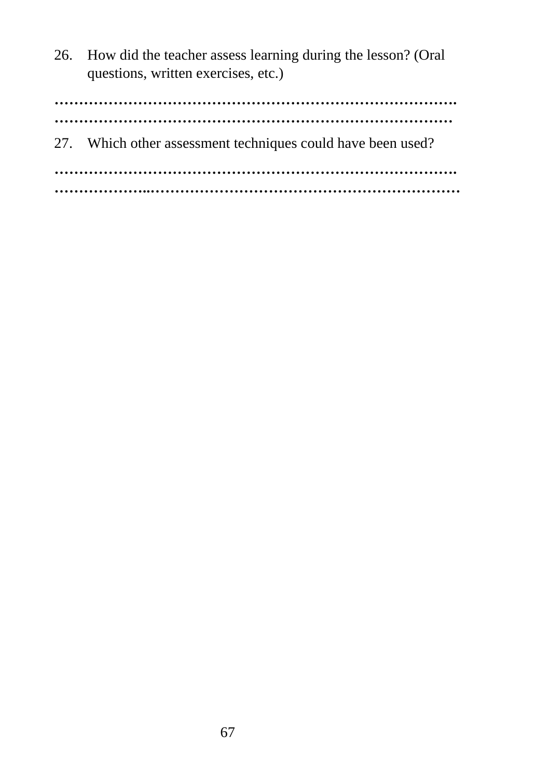26. How did the teacher assess learning during the lesson? (Oral questions, written exercises, etc.)

**………………………………………………………………………. ………………………………………………………………………** 27. Which other assessment techniques could have been used? **………………………………………………………………………. ………………..………………………………………………………**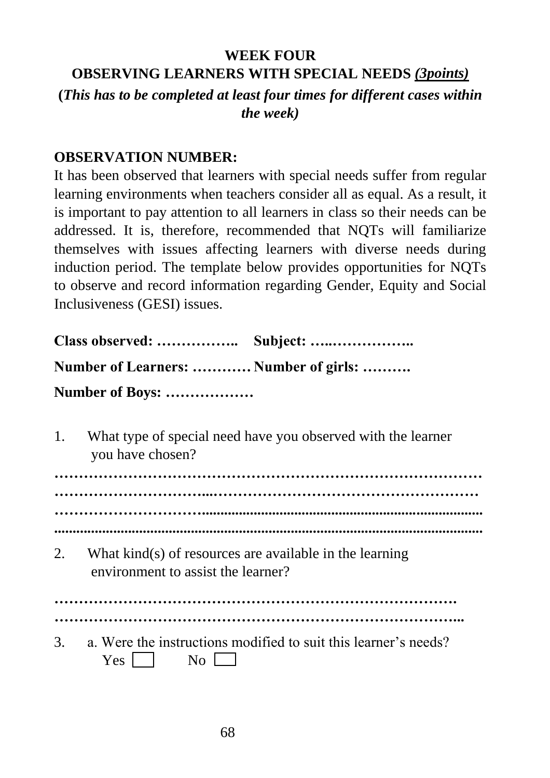# **WEEK FOUR OBSERVING LEARNERS WITH SPECIAL NEEDS** *(3points)*

## **(***This has to be completed at least four times for different cases within the week)*

#### **OBSERVATION NUMBER:**

It has been observed that learners with special needs suffer from regular learning environments when teachers consider all as equal. As a result, it is important to pay attention to all learners in class so their needs can be addressed. It is, therefore, recommended that NQTs will familiarize themselves with issues affecting learners with diverse needs during induction period. The template below provides opportunities for NQTs to observe and record information regarding Gender, Equity and Social Inclusiveness (GESI) issues.

| Number of Learners:  Number of girls: |  |
|---------------------------------------|--|
| Number of Boys:                       |  |

1. What type of special need have you observed with the learner you have chosen?

**…………………………………………………………………………… …………………………...……………………………………………… …………………………............................................................................ ....................................................................................................................**

2. What kind(s) of resources are available in the learning environment to assist the learner?

**……………………………………………………………………….**

- **………………………………………………………………………...**
- 3. a. Were the instructions modified to suit this learner's needs?  $Yes \t No \t$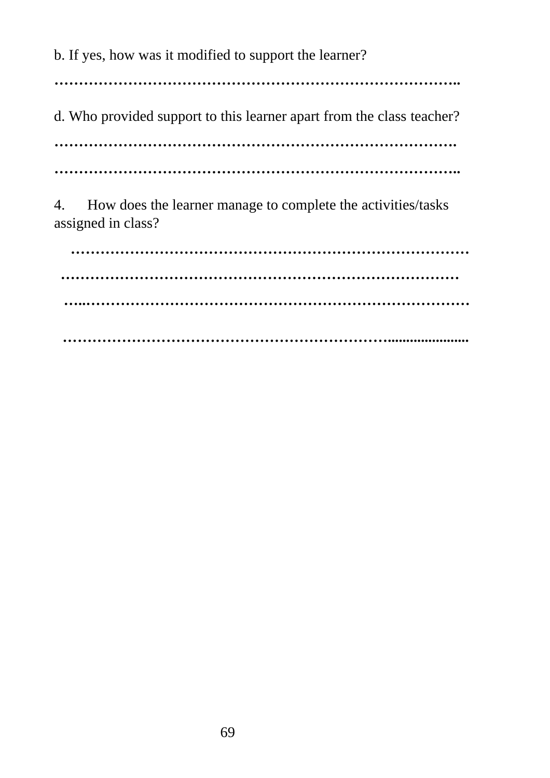b. If yes, how was it modified to support the learner?

**………………………………………………………………………..**

d. Who provided support to this learner apart from the class teacher?

**……………………………………………………………………….**

**………………………………………………………………………..**

4. How does the learner manage to complete the activities/tasks assigned in class?

 **……………………………………………………………………… ……………………………………………………………………… …..…………………………………………………………………… …………………………………………………………......................**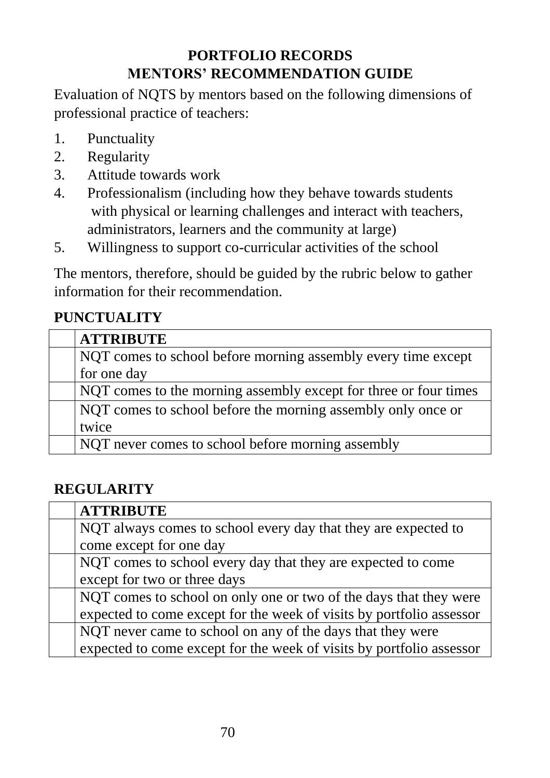# **PORTFOLIO RECORDS MENTORS' RECOMMENDATION GUIDE**

Evaluation of NQTS by mentors based on the following dimensions of professional practice of teachers:

- 1. Punctuality
- 2. Regularity
- 3. Attitude towards work
- 4. Professionalism (including how they behave towards students with physical or learning challenges and interact with teachers, administrators, learners and the community at large)
- 5. Willingness to support co-curricular activities of the school

The mentors, therefore, should be guided by the rubric below to gather information for their recommendation.

## **PUNCTUALITY**

| <b>ATTRIBUTE</b>                                                 |
|------------------------------------------------------------------|
| NQT comes to school before morning assembly every time except    |
| for one day                                                      |
| NQT comes to the morning assembly except for three or four times |
| NQT comes to school before the morning assembly only once or     |
| twice                                                            |
| NQT never comes to school before morning assembly                |

# **REGULARITY**

| <b>ATTRIBUTE</b>                                                     |
|----------------------------------------------------------------------|
| NQT always comes to school every day that they are expected to       |
| come except for one day                                              |
| NQT comes to school every day that they are expected to come         |
| except for two or three days                                         |
| NQT comes to school on only one or two of the days that they were    |
| expected to come except for the week of visits by portfolio assessor |
| NQT never came to school on any of the days that they were           |
| expected to come except for the week of visits by portfolio assessor |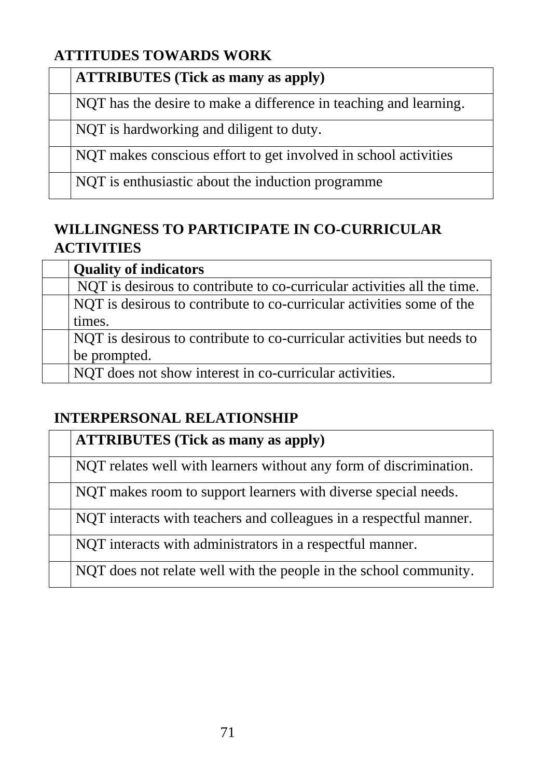# **ATTITUDES TOWARDS WORK**

#### **ATTRIBUTES (Tick as many as apply)**

NQT has the desire to make a difference in teaching and learning.

NQT is hardworking and diligent to duty.

NQT makes conscious effort to get involved in school activities

NQT is enthusiastic about the induction programme

# **WILLINGNESS TO PARTICIPATE IN CO-CURRICULAR ACTIVITIES**

| <b>Quality of indicators</b>                                            |
|-------------------------------------------------------------------------|
| NQT is desirous to contribute to co-curricular activities all the time. |
| NQT is desirous to contribute to co-curricular activities some of the   |
| times.                                                                  |
| NOT is desirous to contribute to co-curricular activities but needs to  |
| be prompted.                                                            |
| NOT does not show interest in co-curricular activities.                 |

## **INTERPERSONAL RELATIONSHIP**

| <b>ATTRIBUTES</b> (Tick as many as apply)                          |
|--------------------------------------------------------------------|
| NQT relates well with learners without any form of discrimination. |
| NQT makes room to support learners with diverse special needs.     |
| NQT interacts with teachers and colleagues in a respectful manner. |
| NQT interacts with administrators in a respectful manner.          |
| NQT does not relate well with the people in the school community.  |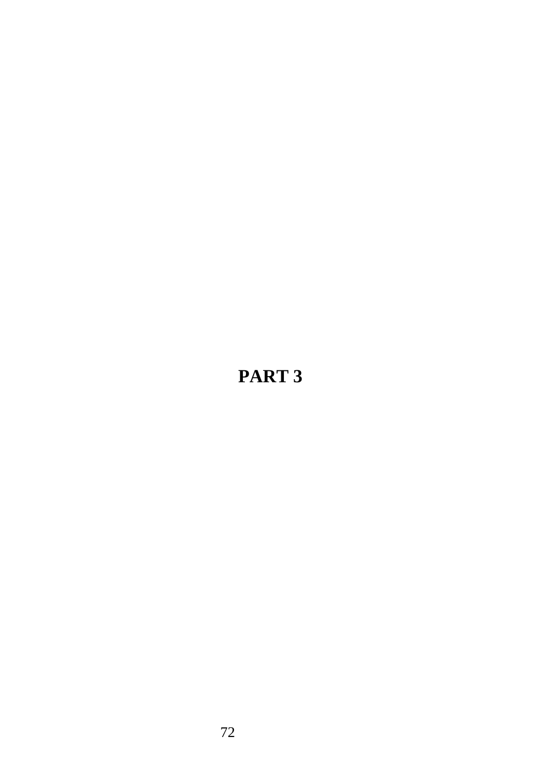# **PART 3**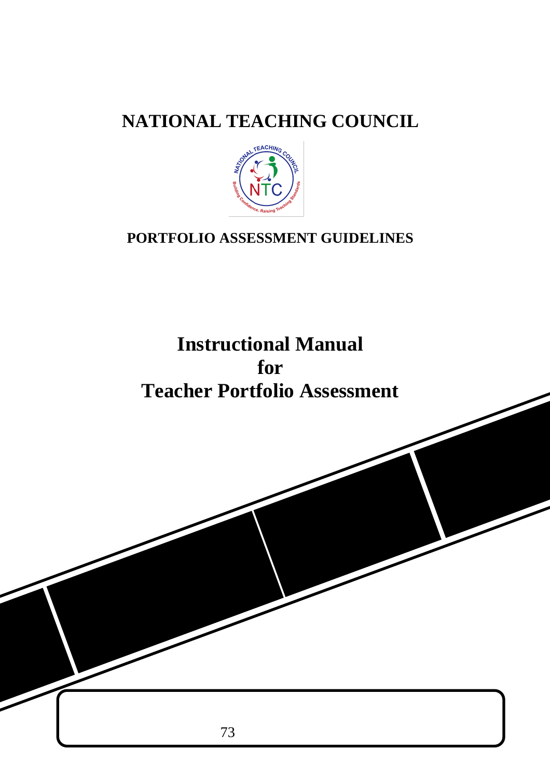# **NATIONAL TEACHING COUNCIL**



# **PORTFOLIO ASSESSMENT GUIDELINES**

# **Instructional Manual for Teacher Portfolio Assessment**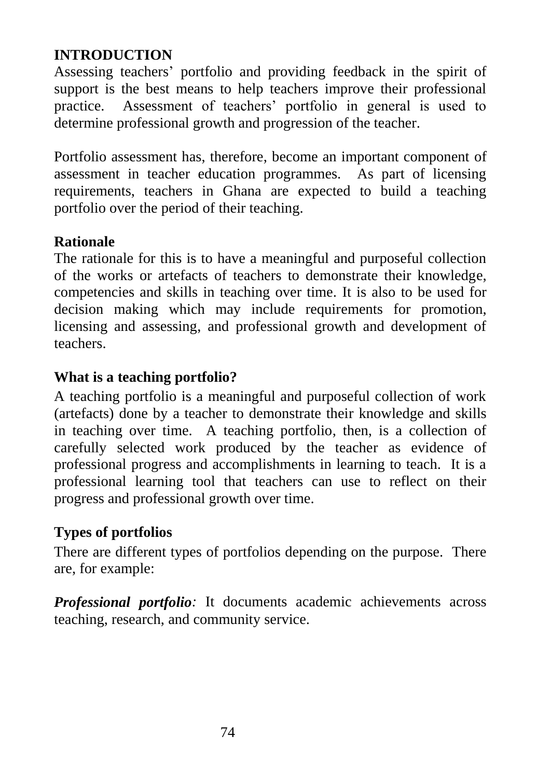### **INTRODUCTION**

Assessing teachers' portfolio and providing feedback in the spirit of support is the best means to help teachers improve their professional practice. Assessment of teachers' portfolio in general is used to determine professional growth and progression of the teacher.

Portfolio assessment has, therefore, become an important component of assessment in teacher education programmes. As part of licensing requirements, teachers in Ghana are expected to build a teaching portfolio over the period of their teaching.

### **Rationale**

The rationale for this is to have a meaningful and purposeful collection of the works or artefacts of teachers to demonstrate their knowledge, competencies and skills in teaching over time. It is also to be used for decision making which may include requirements for promotion, licensing and assessing, and professional growth and development of teachers.

#### **What is a teaching portfolio?**

A teaching portfolio is a meaningful and purposeful collection of work (artefacts) done by a teacher to demonstrate their knowledge and skills in teaching over time. A teaching portfolio, then, is a collection of carefully selected work produced by the teacher as evidence of professional progress and accomplishments in learning to teach. It is a professional learning tool that teachers can use to reflect on their progress and professional growth over time.

### **Types of portfolios**

There are different types of portfolios depending on the purpose. There are, for example:

*Professional portfolio*: It documents academic achievements across teaching, research, and community service.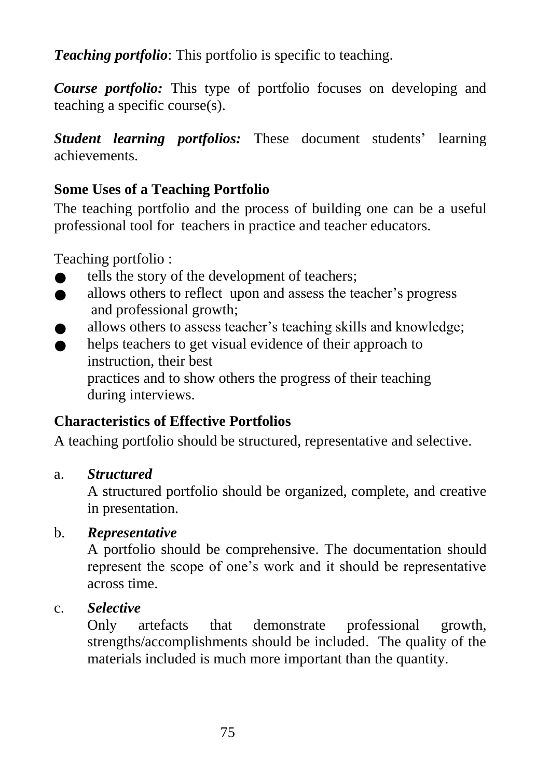*Teaching portfolio*: This portfolio is specific to teaching.

*Course portfolio:* This type of portfolio focuses on developing and teaching a specific course(s).

*Student learning portfolios:* These document students' learning achievements.

# **Some Uses of a Teaching Portfolio**

The teaching portfolio and the process of building one can be a useful professional tool for teachers in practice and teacher educators.

Teaching portfolio :

- tells the story of the development of teachers;
- **allows others to reflect upon and assess the teacher's progress** and professional growth;
- allows others to assess teacher's teaching skills and knowledge;
- helps teachers to get visual evidence of their approach to instruction, their best practices and to show others the progress of their teaching during interviews.

# **Characteristics of Effective Portfolios**

A teaching portfolio should be structured, representative and selective.

### a. *Structured*

A structured portfolio should be organized, complete, and creative in presentation.

### b. *Representative*

A portfolio should be comprehensive. The documentation should represent the scope of one's work and it should be representative across time.

### c. *Selective*

Only artefacts that demonstrate professional growth, strengths/accomplishments should be included. The quality of the materials included is much more important than the quantity.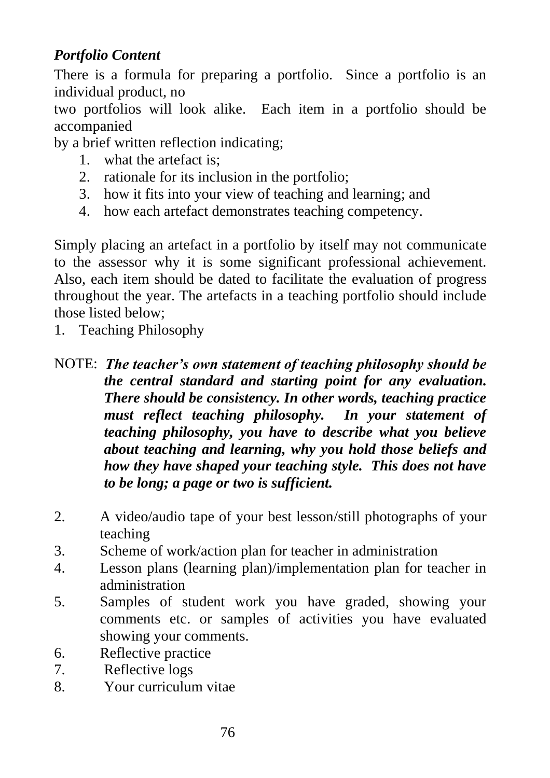# *Portfolio Content*

There is a formula for preparing a portfolio. Since a portfolio is an individual product, no

two portfolios will look alike. Each item in a portfolio should be accompanied

by a brief written reflection indicating;

- 1. what the artefact is;
- 2. rationale for its inclusion in the portfolio;
- 3. how it fits into your view of teaching and learning; and
- 4. how each artefact demonstrates teaching competency.

Simply placing an artefact in a portfolio by itself may not communicate to the assessor why it is some significant professional achievement. Also, each item should be dated to facilitate the evaluation of progress throughout the year. The artefacts in a teaching portfolio should include those listed below;

- 1. Teaching Philosophy
- NOTE: *The teacher's own statement of teaching philosophy should be the central standard and starting point for any evaluation. There should be consistency. In other words, teaching practice must reflect teaching philosophy. In your statement of teaching philosophy, you have to describe what you believe about teaching and learning, why you hold those beliefs and how they have shaped your teaching style. This does not have to be long; a page or two is sufficient.*
- 2. A video/audio tape of your best lesson/still photographs of your teaching
- 3. Scheme of work/action plan for teacher in administration
- 4. Lesson plans (learning plan)/implementation plan for teacher in administration
- 5. Samples of student work you have graded, showing your comments etc. or samples of activities you have evaluated showing your comments.
- 6. Reflective practice
- 7. Reflective logs
- 8. Your curriculum vitae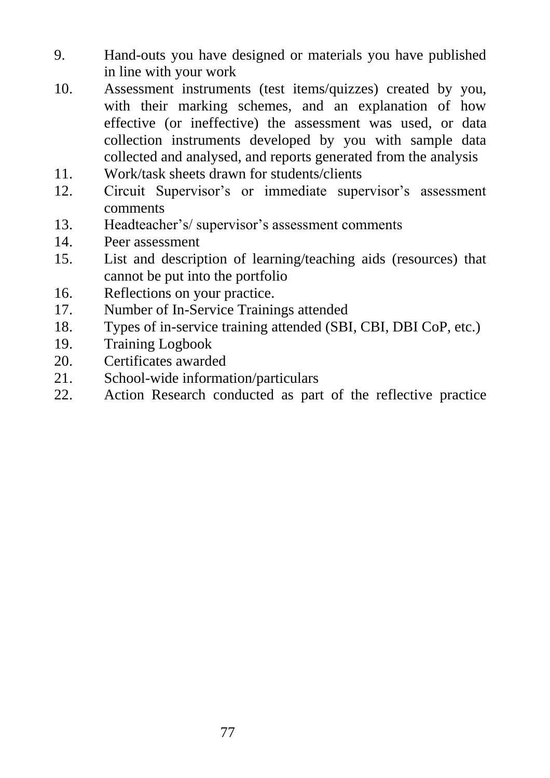- 9. Hand-outs you have designed or materials you have published in line with your work
- 10. Assessment instruments (test items/quizzes) created by you, with their marking schemes, and an explanation of how effective (or ineffective) the assessment was used, or data collection instruments developed by you with sample data collected and analysed, and reports generated from the analysis
- 11. Work/task sheets drawn for students/clients
- 12. Circuit Supervisor's or immediate supervisor's assessment comments
- 13. Headteacher's/ supervisor's assessment comments
- 14. Peer assessment
- 15. List and description of learning/teaching aids (resources) that cannot be put into the portfolio
- 16. Reflections on your practice.
- 17. Number of In-Service Trainings attended
- 18. Types of in-service training attended (SBI, CBI, DBI CoP, etc.)
- 19. Training Logbook
- 20. Certificates awarded
- 21. School-wide information/particulars
- 22. Action Research conducted as part of the reflective practice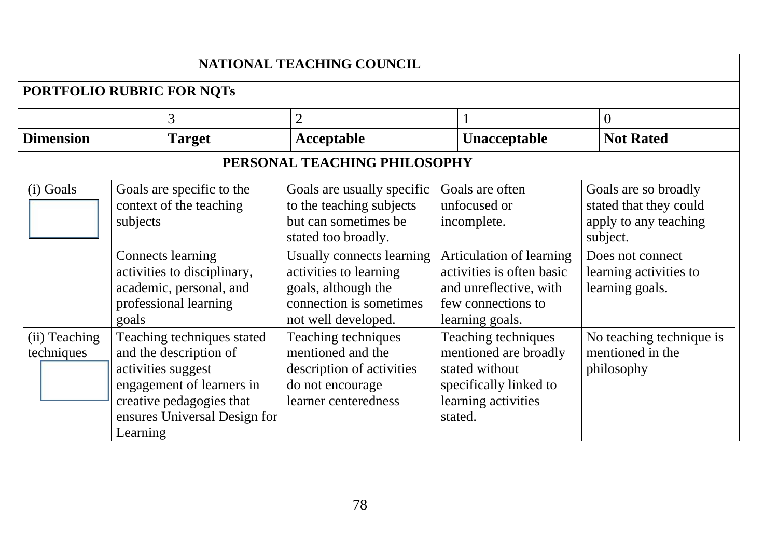|                             | NATIONAL TEACHING COUNCIL                                                                                                                                                       |                                                                                                                              |                                                                                                                            |                                                                                     |  |  |
|-----------------------------|---------------------------------------------------------------------------------------------------------------------------------------------------------------------------------|------------------------------------------------------------------------------------------------------------------------------|----------------------------------------------------------------------------------------------------------------------------|-------------------------------------------------------------------------------------|--|--|
| PORTFOLIO RUBRIC FOR NOTS   |                                                                                                                                                                                 |                                                                                                                              |                                                                                                                            |                                                                                     |  |  |
|                             | 3                                                                                                                                                                               | $\overline{2}$                                                                                                               |                                                                                                                            | $\Omega$                                                                            |  |  |
| <b>Dimension</b>            | <b>Target</b>                                                                                                                                                                   | Acceptable                                                                                                                   | Unacceptable                                                                                                               | <b>Not Rated</b>                                                                    |  |  |
|                             |                                                                                                                                                                                 | PERSONAL TEACHING PHILOSOPHY                                                                                                 |                                                                                                                            |                                                                                     |  |  |
| (i) Goals                   | Goals are specific to the<br>context of the teaching<br>subjects                                                                                                                | Goals are usually specific<br>to the teaching subjects<br>but can sometimes be<br>stated too broadly.                        | Goals are often<br>unfocused or<br>incomplete.                                                                             | Goals are so broadly<br>stated that they could<br>apply to any teaching<br>subject. |  |  |
|                             | <b>Connects</b> learning<br>activities to disciplinary,<br>academic, personal, and<br>professional learning<br>goals                                                            | Usually connects learning<br>activities to learning<br>goals, although the<br>connection is sometimes<br>not well developed. | Articulation of learning<br>activities is often basic<br>and unreflective, with<br>few connections to<br>learning goals.   | Does not connect<br>learning activities to<br>learning goals.                       |  |  |
| (ii) Teaching<br>techniques | Teaching techniques stated<br>and the description of<br>activities suggest<br>engagement of learners in<br>creative pedagogies that<br>ensures Universal Design for<br>Learning | Teaching techniques<br>mentioned and the<br>description of activities<br>do not encourage<br>learner centeredness            | Teaching techniques<br>mentioned are broadly<br>stated without<br>specifically linked to<br>learning activities<br>stated. | No teaching technique is<br>mentioned in the<br>philosophy                          |  |  |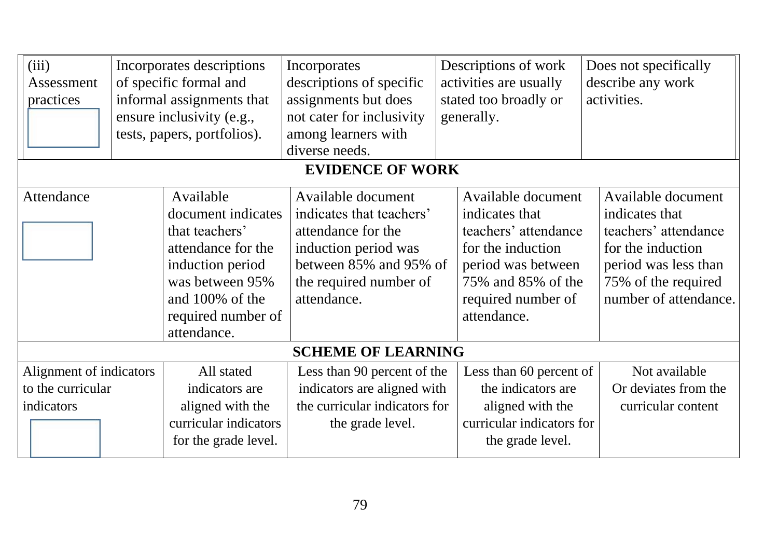| (iii)<br>Assessment<br>practices                           |  | Incorporates descriptions<br>of specific formal and<br>informal assignments that<br>ensure inclusivity (e.g.,<br>tests, papers, portfolios).                           | Incorporates<br>descriptions of specific<br>assignments but does<br>not cater for inclusivity<br>among learners with<br>diverse needs.                          | Descriptions of work<br>activities are usually<br>stated too broadly or<br>generally.                                                                              | Does not specifically<br>describe any work<br>activities.                                                                                                 |
|------------------------------------------------------------|--|------------------------------------------------------------------------------------------------------------------------------------------------------------------------|-----------------------------------------------------------------------------------------------------------------------------------------------------------------|--------------------------------------------------------------------------------------------------------------------------------------------------------------------|-----------------------------------------------------------------------------------------------------------------------------------------------------------|
|                                                            |  |                                                                                                                                                                        | <b>EVIDENCE OF WORK</b>                                                                                                                                         |                                                                                                                                                                    |                                                                                                                                                           |
| Attendance                                                 |  | Available<br>document indicates<br>that teachers'<br>attendance for the<br>induction period<br>was between 95%<br>and 100% of the<br>required number of<br>attendance. | Available document<br>indicates that teachers'<br>attendance for the<br>induction period was<br>between 85% and 95% of<br>the required number of<br>attendance. | Available document<br>indicates that<br>teachers' attendance<br>for the induction<br>period was between<br>75% and 85% of the<br>required number of<br>attendance. | Available document<br>indicates that<br>teachers' attendance<br>for the induction<br>period was less than<br>75% of the required<br>number of attendance. |
|                                                            |  |                                                                                                                                                                        | <b>SCHEME OF LEARNING</b>                                                                                                                                       |                                                                                                                                                                    |                                                                                                                                                           |
| Alignment of indicators<br>to the curricular<br>indicators |  | All stated<br>indicators are<br>aligned with the<br>curricular indicators<br>for the grade level.                                                                      | Less than 90 percent of the<br>indicators are aligned with<br>the curricular indicators for<br>the grade level.                                                 | Less than 60 percent of<br>the indicators are<br>aligned with the<br>curricular indicators for<br>the grade level.                                                 | Not available<br>Or deviates from the<br>curricular content                                                                                               |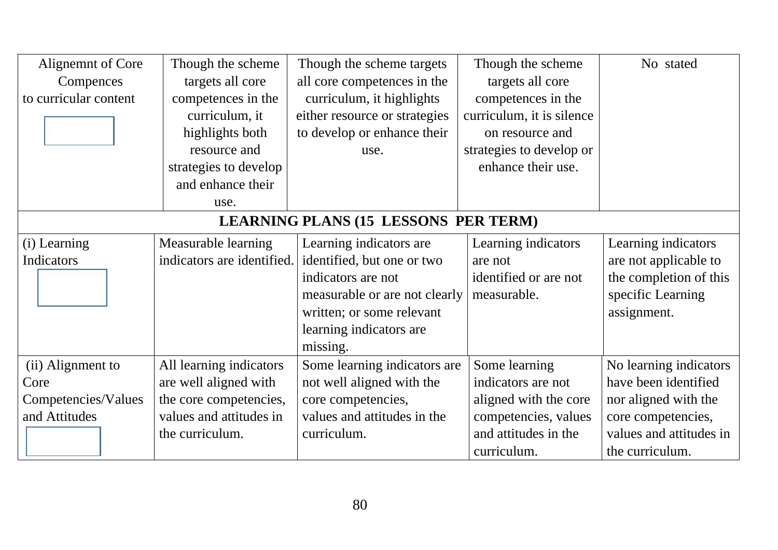| Alignemnt of Core     | Though the scheme          | Though the scheme targets                   | Though the scheme         | No stated               |
|-----------------------|----------------------------|---------------------------------------------|---------------------------|-------------------------|
| Compences             | targets all core           | all core competences in the                 | targets all core          |                         |
| to curricular content | competences in the         | curriculum, it highlights                   | competences in the        |                         |
|                       | curriculum, it             | either resource or strategies               | curriculum, it is silence |                         |
|                       | highlights both            | to develop or enhance their                 | on resource and           |                         |
|                       | resource and               | use.                                        | strategies to develop or  |                         |
|                       | strategies to develop      |                                             | enhance their use.        |                         |
|                       | and enhance their          |                                             |                           |                         |
|                       | use.                       |                                             |                           |                         |
|                       |                            | <b>LEARNING PLANS (15 LESSONS PER TERM)</b> |                           |                         |
| (i) Learning          | Measurable learning        | Learning indicators are                     | Learning indicators       | Learning indicators     |
| Indicators            | indicators are identified. | identified, but one or two                  | are not                   | are not applicable to   |
|                       |                            | indicators are not                          | identified or are not     | the completion of this  |
|                       |                            | measurable or are not clearly               | measurable.               | specific Learning       |
|                       |                            | written; or some relevant                   |                           | assignment.             |
|                       |                            | learning indicators are                     |                           |                         |
|                       |                            | missing.                                    |                           |                         |
| (ii) Alignment to     | All learning indicators    | Some learning indicators are                | Some learning             | No learning indicators  |
| Core                  | are well aligned with      | not well aligned with the                   | indicators are not        | have been identified    |
| Competencies/Values   | the core competencies,     | core competencies,                          | aligned with the core     | nor aligned with the    |
| and Attitudes         | values and attitudes in    | values and attitudes in the                 | competencies, values      | core competencies,      |
|                       | the curriculum.            | curriculum.                                 | and attitudes in the      | values and attitudes in |
|                       |                            |                                             | curriculum.               | the curriculum.         |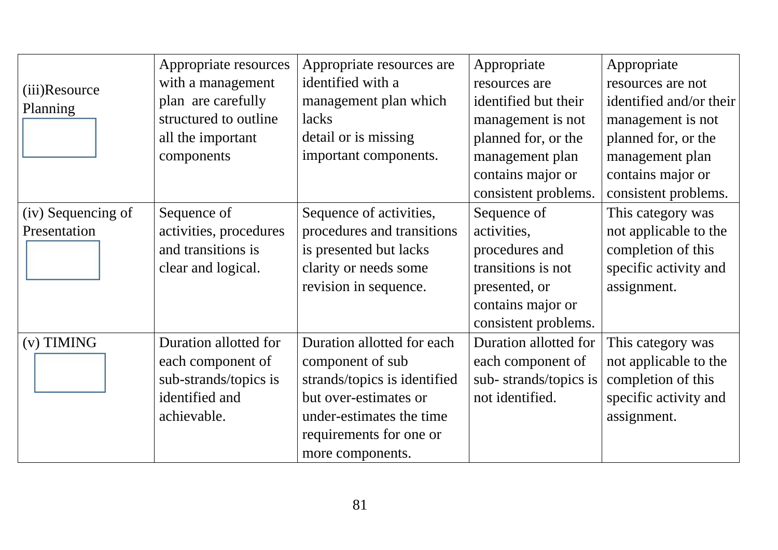|                    | Appropriate resources  | Appropriate resources are    | Appropriate           | Appropriate             |
|--------------------|------------------------|------------------------------|-----------------------|-------------------------|
| (iii)Resource      | with a management      | identified with a            | resources are         | resources are not       |
| Planning           | plan are carefully     | management plan which        | identified but their  | identified and/or their |
|                    | structured to outline  | lacks                        | management is not     | management is not       |
|                    | all the important      | detail or is missing         | planned for, or the   | planned for, or the     |
|                    | components             | important components.        | management plan       | management plan         |
|                    |                        |                              | contains major or     | contains major or       |
|                    |                        |                              | consistent problems.  | consistent problems.    |
| (iv) Sequencing of | Sequence of            | Sequence of activities,      | Sequence of           | This category was       |
| Presentation       | activities, procedures | procedures and transitions   | activities,           | not applicable to the   |
|                    | and transitions is     | is presented but lacks       | procedures and        | completion of this      |
|                    | clear and logical.     | clarity or needs some        | transitions is not    | specific activity and   |
|                    |                        | revision in sequence.        | presented, or         | assignment.             |
|                    |                        |                              | contains major or     |                         |
|                    |                        |                              | consistent problems.  |                         |
| $(v)$ TIMING       | Duration allotted for  | Duration allotted for each   | Duration allotted for | This category was       |
|                    | each component of      | component of sub             | each component of     | not applicable to the   |
|                    | sub-strands/topics is  | strands/topics is identified | sub-strands/topics is | completion of this      |
|                    | identified and         | but over-estimates or        | not identified.       | specific activity and   |
|                    | achievable.            | under-estimates the time     |                       | assignment.             |
|                    |                        | requirements for one or      |                       |                         |
|                    |                        | more components.             |                       |                         |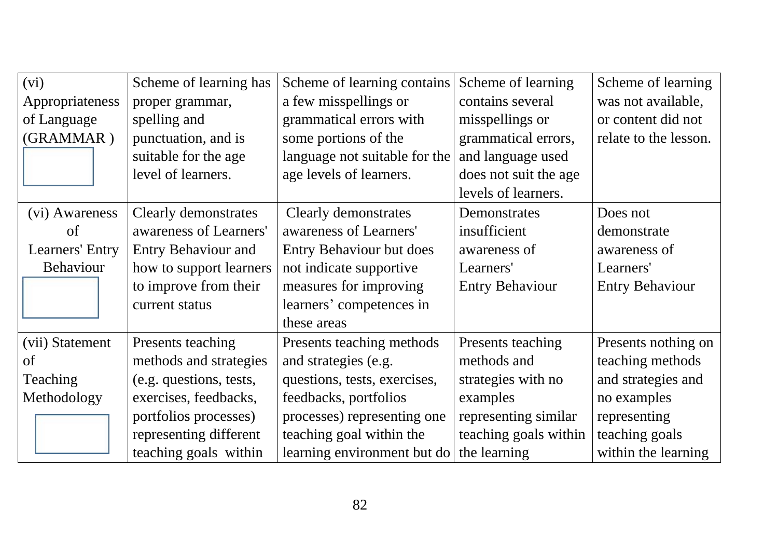| (vi)            | Scheme of learning has     | Scheme of learning contains     | Scheme of learning     | Scheme of learning     |
|-----------------|----------------------------|---------------------------------|------------------------|------------------------|
| Appropriateness | proper grammar,            | a few misspellings or           | contains several       | was not available,     |
| of Language     | spelling and               | grammatical errors with         | misspellings or        | or content did not     |
| (GRAMMAR)       | punctuation, and is        | some portions of the            | grammatical errors,    | relate to the lesson.  |
|                 | suitable for the age       | language not suitable for the   | and language used      |                        |
|                 | level of learners.         | age levels of learners.         | does not suit the age  |                        |
|                 |                            |                                 | levels of learners.    |                        |
| (vi) Awareness  | Clearly demonstrates       | Clearly demonstrates            | Demonstrates           | Does not               |
| of              | awareness of Learners'     | awareness of Learners'          | insufficient           | demonstrate            |
| Learners' Entry | <b>Entry Behaviour and</b> | <b>Entry Behaviour but does</b> | awareness of           | awareness of           |
| Behaviour       | how to support learners    | not indicate supportive         | Learners'              | Learners'              |
|                 | to improve from their      | measures for improving          | <b>Entry Behaviour</b> | <b>Entry Behaviour</b> |
|                 | current status             | learners' competences in        |                        |                        |
|                 |                            | these areas                     |                        |                        |
| (vii) Statement | Presents teaching          | Presents teaching methods       | Presents teaching      | Presents nothing on    |
| of              | methods and strategies     | and strategies (e.g.            | methods and            | teaching methods       |
| Teaching        | (e.g. questions, tests,    | questions, tests, exercises,    | strategies with no     | and strategies and     |
| Methodology     | exercises, feedbacks,      | feedbacks, portfolios           | examples               | no examples            |
|                 | portfolios processes)      | processes) representing one     | representing similar   | representing           |
|                 | representing different     | teaching goal within the        | teaching goals within  | teaching goals         |
|                 | teaching goals within      | learning environment but do     | the learning           | within the learning    |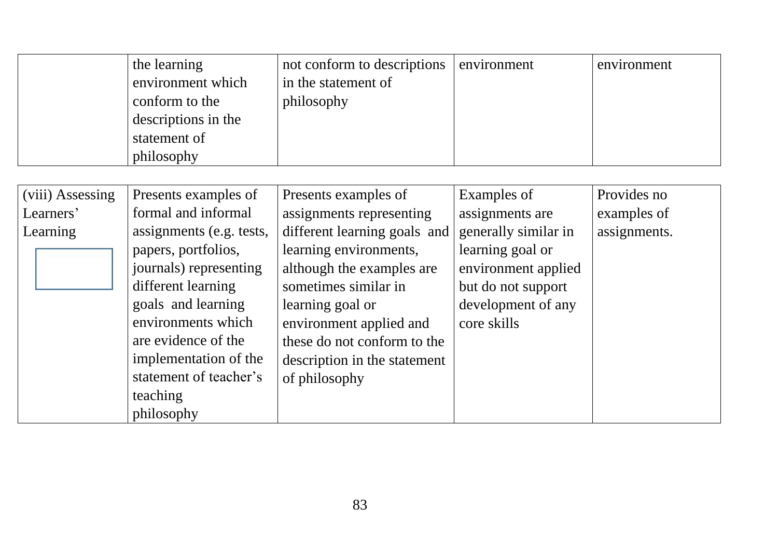| the learning        | not conform to descriptions | environment | environment |
|---------------------|-----------------------------|-------------|-------------|
| environment which   | in the statement of         |             |             |
| conform to the      | philosophy                  |             |             |
| descriptions in the |                             |             |             |
| statement of        |                             |             |             |
| philosophy          |                             |             |             |

| (viii) Assessing | Presents examples of     | Presents examples of         | Examples of          | Provides no  |
|------------------|--------------------------|------------------------------|----------------------|--------------|
| Learners'        | formal and informal      | assignments representing     | assignments are      | examples of  |
| Learning         | assignments (e.g. tests, | different learning goals and | generally similar in | assignments. |
|                  | papers, portfolios,      | learning environments,       | learning goal or     |              |
|                  | journals) representing   | although the examples are    | environment applied  |              |
|                  | different learning       | sometimes similar in         | but do not support   |              |
|                  | goals and learning       | learning goal or             | development of any   |              |
|                  | environments which       | environment applied and      | core skills          |              |
|                  | are evidence of the      | these do not conform to the  |                      |              |
|                  | implementation of the    | description in the statement |                      |              |
|                  | statement of teacher's   | of philosophy                |                      |              |
|                  | teaching                 |                              |                      |              |
|                  | philosophy               |                              |                      |              |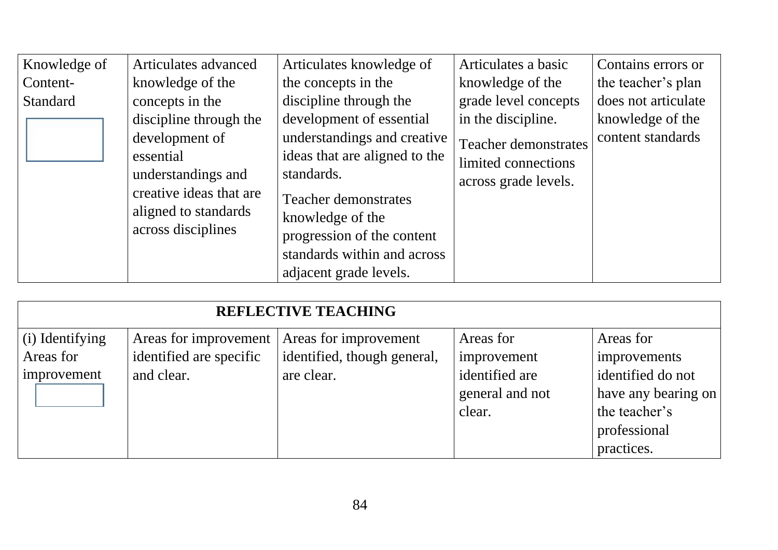| Knowledge of | Articulates advanced    | Articulates knowledge of      | Articulates a basic         | Contains errors or  |
|--------------|-------------------------|-------------------------------|-----------------------------|---------------------|
| Content-     | knowledge of the        | the concepts in the           | knowledge of the            | the teacher's plan  |
| Standard     | concepts in the         | discipline through the        | grade level concepts        | does not articulate |
|              | discipline through the  | development of essential      | in the discipline.          | knowledge of the    |
|              | development of          | understandings and creative   | <b>Teacher demonstrates</b> | content standards   |
|              | essential               | ideas that are aligned to the | limited connections         |                     |
|              | understandings and      | standards.                    | across grade levels.        |                     |
|              | creative ideas that are | <b>Teacher demonstrates</b>   |                             |                     |
|              | aligned to standards    | knowledge of the              |                             |                     |
|              | across disciplines      | progression of the content    |                             |                     |
|              |                         | standards within and across   |                             |                     |
|              |                         | adjacent grade levels.        |                             |                     |

|                              |                                                  | <b>REFLECTIVE TEACHING</b>                           |                                             |                                                                                         |
|------------------------------|--------------------------------------------------|------------------------------------------------------|---------------------------------------------|-----------------------------------------------------------------------------------------|
| (i) Identifying<br>Areas for | Areas for improvement<br>identified are specific | Areas for improvement<br>identified, though general, | Areas for<br>improvement                    | Areas for<br>improvements                                                               |
| improvement                  | and clear.                                       | are clear.                                           | identified are<br>general and not<br>clear. | identified do not<br>have any bearing on<br>the teacher's<br>professional<br>practices. |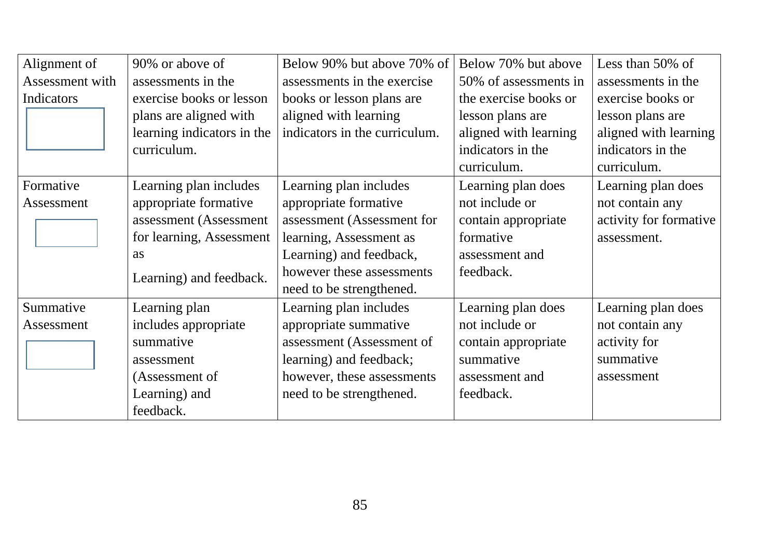| Alignment of    | 90% or above of            | Below 90% but above 70% of    | Below 70% but above   | Less than $50\%$ of    |
|-----------------|----------------------------|-------------------------------|-----------------------|------------------------|
| Assessment with | assessments in the         | assessments in the exercise   | 50% of assessments in | assessments in the     |
| Indicators      | exercise books or lesson   | books or lesson plans are     | the exercise books or | exercise books or      |
|                 | plans are aligned with     | aligned with learning         | lesson plans are      | lesson plans are       |
|                 | learning indicators in the | indicators in the curriculum. | aligned with learning | aligned with learning  |
|                 | curriculum.                |                               | indicators in the     | indicators in the      |
|                 |                            |                               | curriculum.           | curriculum.            |
| Formative       | Learning plan includes     | Learning plan includes        | Learning plan does    | Learning plan does     |
| Assessment      | appropriate formative      | appropriate formative         | not include or        | not contain any        |
|                 | assessment (Assessment     | assessment (Assessment for    | contain appropriate   | activity for formative |
|                 | for learning, Assessment   | learning, Assessment as       | formative             | assessment.            |
|                 | as                         | Learning) and feedback,       | assessment and        |                        |
|                 | Learning) and feedback.    | however these assessments     | feedback.             |                        |
|                 |                            | need to be strengthened.      |                       |                        |
| Summative       | Learning plan              | Learning plan includes        | Learning plan does    | Learning plan does     |
| Assessment      | includes appropriate       | appropriate summative         | not include or        | not contain any        |
|                 | summative                  | assessment (Assessment of     | contain appropriate   | activity for           |
|                 | assessment                 | learning) and feedback;       | summative             | summative              |
|                 | (Assessment of             | however, these assessments    | assessment and        | assessment             |
|                 | Learning) and              | need to be strengthened.      | feedback.             |                        |
|                 | feedback.                  |                               |                       |                        |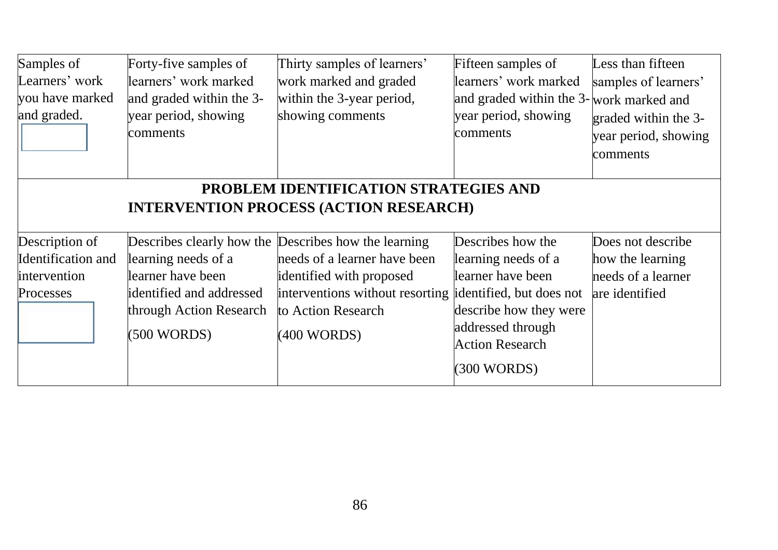| Samples of<br>Learners' work<br>you have marked<br>and graded. | Forty-five samples of<br>learners' work marked<br>and graded within the 3-<br>year period, showing<br>comments                                                                           | Thirty samples of learners'<br>work marked and graded<br>within the 3-year period,<br>showing comments                           | Fifteen samples of<br>learners' work marked<br>and graded within the 3-work marked and<br>year period, showing<br>comments                                   | Less than fifteen<br>samples of learners'<br>graded within the 3-<br>year period, showing<br>comments |  |  |
|----------------------------------------------------------------|------------------------------------------------------------------------------------------------------------------------------------------------------------------------------------------|----------------------------------------------------------------------------------------------------------------------------------|--------------------------------------------------------------------------------------------------------------------------------------------------------------|-------------------------------------------------------------------------------------------------------|--|--|
| Description of<br>Identification and                           | PROBLEM IDENTIFICATION STRATEGIES AND<br><b>INTERVENTION PROCESS (ACTION RESEARCH)</b><br>Describes how the<br>Describes clearly how the Describes how the learning<br>Does not describe |                                                                                                                                  |                                                                                                                                                              |                                                                                                       |  |  |
| intervention<br>Processes                                      | learning needs of a<br>learner have been<br>identified and addressed<br>through Action Research<br>(500 WORDS)                                                                           | needs of a learner have been<br>identified with proposed<br>interventions without resorting<br>to Action Research<br>(400 WORDS) | learning needs of a<br>learner have been<br>identified, but does not<br>describe how they were<br>addressed through<br><b>Action Research</b><br>(300 WORDS) | how the learning<br>needs of a learner<br>are identified                                              |  |  |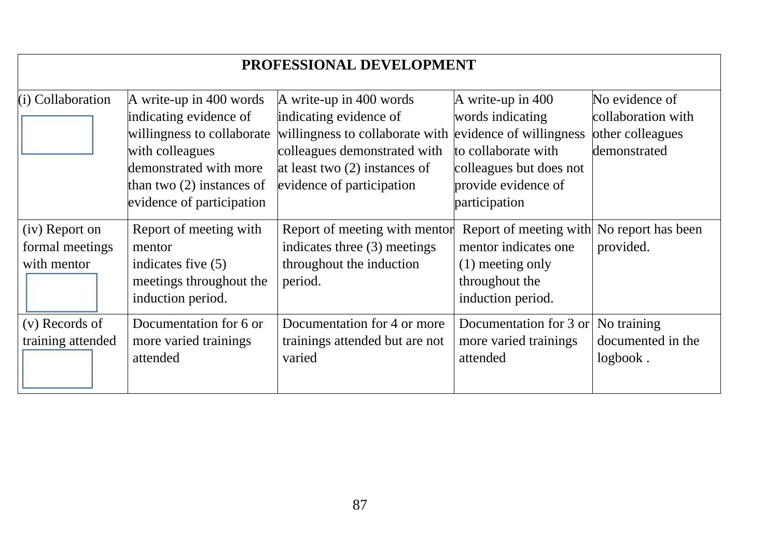| PROFESSIONAL DEVELOPMENT                         |                                                                                                                                                                                          |                                                                                                                                                                                      |                                                                                                                                                            |                                                                          |  |
|--------------------------------------------------|------------------------------------------------------------------------------------------------------------------------------------------------------------------------------------------|--------------------------------------------------------------------------------------------------------------------------------------------------------------------------------------|------------------------------------------------------------------------------------------------------------------------------------------------------------|--------------------------------------------------------------------------|--|
| $(i)$ Collaboration                              | A write-up in 400 words<br>indicating evidence of<br>willingness to collaborate<br>with colleagues<br>demonstrated with more<br>than two $(2)$ instances of<br>evidence of participation | A write-up in 400 words<br>indicating evidence of<br>willingness to collaborate with<br>colleagues demonstrated with<br>at least two $(2)$ instances of<br>evidence of participation | A write-up in 400<br>words indicating<br>evidence of willingness<br>to collaborate with<br>colleagues but does not<br>provide evidence of<br>participation | No evidence of<br>collaboration with<br>other colleagues<br>demonstrated |  |
| (iv) Report on<br>formal meetings<br>with mentor | Report of meeting with<br>mentor<br>indicates five $(5)$<br>meetings throughout the<br>induction period.                                                                                 | Report of meeting with mentor<br>indicates three (3) meetings<br>throughout the induction<br>period.                                                                                 | Report of meeting with No report has been<br>mentor indicates one<br>$(1)$ meeting only<br>throughout the<br>induction period.                             | provided.                                                                |  |
| (v) Records of<br>training attended              | Documentation for 6 or<br>more varied trainings<br>attended                                                                                                                              | Documentation for 4 or more<br>trainings attended but are not<br>varied                                                                                                              | Documentation for 3 or<br>more varied trainings<br>attended                                                                                                | No training<br>documented in the<br>logbook.                             |  |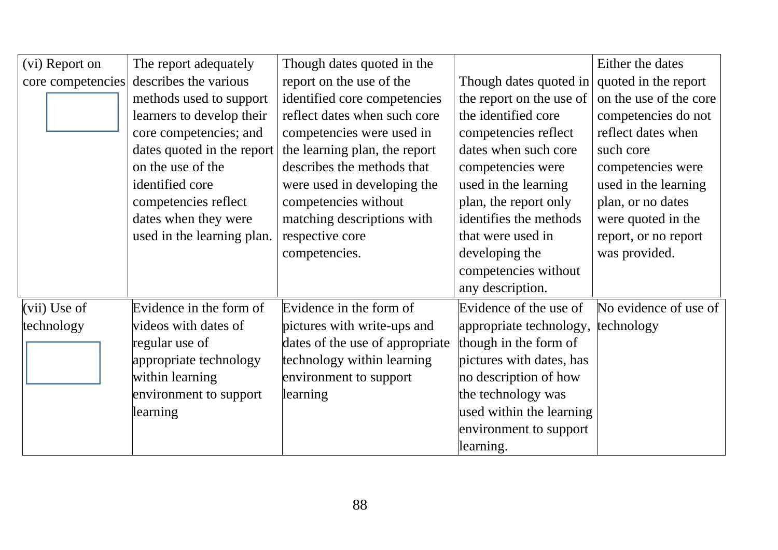| (vi) Report on    | The report adequately      | Though dates quoted in the      |                                    | Either the dates       |
|-------------------|----------------------------|---------------------------------|------------------------------------|------------------------|
| core competencies | describes the various      | report on the use of the        | Though dates quoted in             | quoted in the report   |
|                   | methods used to support    | identified core competencies    | the report on the use of           | on the use of the core |
|                   | learners to develop their  | reflect dates when such core    | the identified core                | competencies do not    |
|                   | core competencies; and     | competencies were used in       | competencies reflect               | reflect dates when     |
|                   | dates quoted in the report | the learning plan, the report   | dates when such core               | such core              |
|                   | on the use of the          | describes the methods that      | competencies were                  | competencies were      |
|                   | identified core            | were used in developing the     | used in the learning               | used in the learning   |
|                   | competencies reflect       | competencies without            | plan, the report only              | plan, or no dates      |
|                   | dates when they were       | matching descriptions with      | identifies the methods             | were quoted in the     |
|                   | used in the learning plan. | respective core                 | that were used in                  | report, or no report   |
|                   |                            | competencies.                   | developing the                     | was provided.          |
|                   |                            |                                 | competencies without               |                        |
|                   |                            |                                 | any description.                   |                        |
| $(vii)$ Use of    | Evidence in the form of    | Evidence in the form of         | Evidence of the use of             | No evidence of use of  |
| technology        | videos with dates of       | pictures with write-ups and     | appropriate technology, technology |                        |
|                   | regular use of             | dates of the use of appropriate | though in the form of              |                        |
|                   | appropriate technology     | technology within learning      | pictures with dates, has           |                        |
|                   | within learning            | environment to support          | no description of how              |                        |
|                   | environment to support     | learning                        | the technology was                 |                        |
|                   | learning                   |                                 | used within the learning           |                        |
|                   |                            |                                 | environment to support             |                        |
|                   |                            |                                 | learning.                          |                        |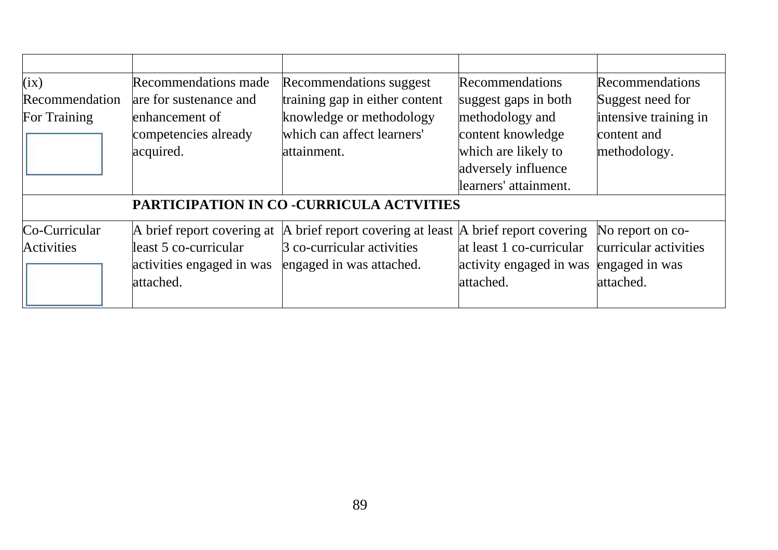| (ix)                                     | <b>Recommendations made</b> | Recommendations suggest          | Recommendations                        | Recommendations       |  |
|------------------------------------------|-----------------------------|----------------------------------|----------------------------------------|-----------------------|--|
| Recommendation                           | are for sustenance and      | training gap in either content   | suggest gaps in both                   | Suggest need for      |  |
| For Training                             | enhancement of              | knowledge or methodology         | methodology and                        | intensive training in |  |
|                                          | competencies already        | which can affect learners'       | content knowledge                      | content and           |  |
|                                          | acquired.                   | attainment.                      | which are likely to                    | methodology.          |  |
|                                          |                             |                                  | adversely influence                    |                       |  |
|                                          |                             |                                  | learners' attainment.                  |                       |  |
| PARTICIPATION IN CO -CURRICULA ACTVITIES |                             |                                  |                                        |                       |  |
| Co-Curricular                            | A brief report covering at  | A brief report covering at least | A brief report covering                | No report on co-      |  |
| <b>Activities</b>                        | least 5 co-curricular       | 3 co-curricular activities       | at least 1 co-curricular               | curricular activities |  |
|                                          | activities engaged in was   | engaged in was attached.         | activity engaged in was engaged in was |                       |  |
|                                          | attached.                   |                                  | attached.                              | attached.             |  |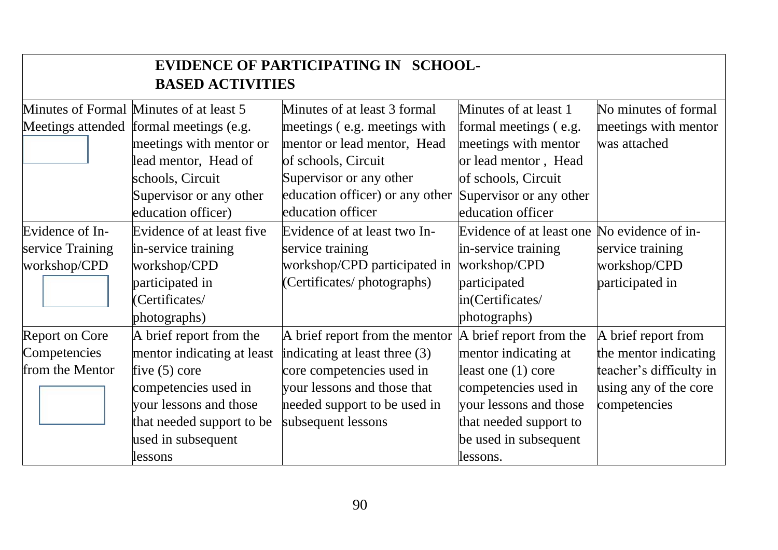| EVIDENCE OF PARTICIPATING IN SCHOOL-<br><b>BASED ACTIVITIES</b> |                                         |                                 |                                             |                         |  |
|-----------------------------------------------------------------|-----------------------------------------|---------------------------------|---------------------------------------------|-------------------------|--|
|                                                                 | Minutes of Formal Minutes of at least 5 | Minutes of at least 3 formal    | Minutes of at least 1                       | No minutes of formal    |  |
|                                                                 | Meetings attended formal meetings (e.g. | meetings (e.g. meetings with    | formal meetings (e.g.                       | meetings with mentor    |  |
|                                                                 | meetings with mentor or                 | mentor or lead mentor, Head     | meetings with mentor                        | was attached            |  |
|                                                                 | lead mentor, Head of                    | of schools, Circuit             | or lead mentor, Head                        |                         |  |
|                                                                 | schools, Circuit                        | Supervisor or any other         | of schools, Circuit                         |                         |  |
|                                                                 | Supervisor or any other                 | education officer) or any other | Supervisor or any other                     |                         |  |
|                                                                 | education officer)                      | education officer               | education officer                           |                         |  |
| Evidence of In-                                                 | Evidence of at least five               | Evidence of at least two In-    | Evidence of at least one No evidence of in- |                         |  |
| service Training                                                | in-service training                     | service training                | in-service training                         | service training        |  |
| workshop/CPD                                                    | workshop/CPD                            | workshop/CPD participated in    | workshop/CPD                                | workshop/CPD            |  |
|                                                                 | participated in                         | (Certificates/photographs)      | participated                                | participated in         |  |
|                                                                 | (Certificates/                          |                                 | in(Certificates/                            |                         |  |
|                                                                 | photographs)                            |                                 | photographs)                                |                         |  |
| <b>Report on Core</b>                                           | A brief report from the                 | A brief report from the mentor  | A brief report from the                     | A brief report from     |  |
| Competencies                                                    | mentor indicating at least              | indicating at least three $(3)$ | mentor indicating at                        | the mentor indicating   |  |
| from the Mentor                                                 | five $(5)$ core                         | core competencies used in       | least one $(1)$ core                        | teacher's difficulty in |  |
|                                                                 | competencies used in                    | your lessons and those that     | competencies used in                        | using any of the core   |  |
|                                                                 | your lessons and those                  | needed support to be used in    | your lessons and those                      | competencies            |  |
|                                                                 | that needed support to be               | subsequent lessons              | that needed support to                      |                         |  |
|                                                                 | used in subsequent                      |                                 | be used in subsequent                       |                         |  |
|                                                                 | lessons                                 |                                 | lessons.                                    |                         |  |